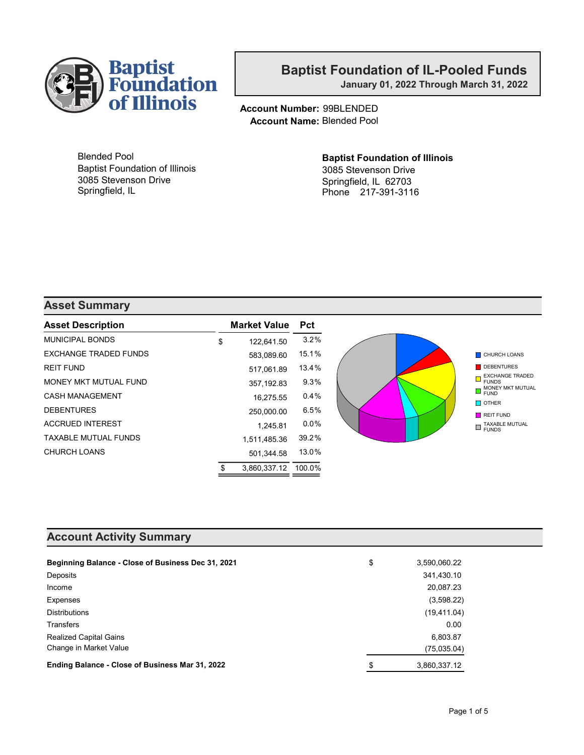

January 01, 2022 Through March 31, 2022

Account Number: 99BLENDED Account Name: Blended Pool

Blended Pool Baptist Foundation of Illinois 3085 Stevenson Drive Springfield, IL

#### Baptist Foundation of Illinois 3085 Stevenson Drive Springfield, IL 62703 Phone 217-391-3116

#### Asset Summary

| <b>Asset Description</b>     | <b>Market Value</b> | <b>Pct</b> |                                                            |
|------------------------------|---------------------|------------|------------------------------------------------------------|
| <b>MUNICIPAL BONDS</b>       | \$<br>122.641.50    | 3.2%       |                                                            |
| <b>EXCHANGE TRADED FUNDS</b> | 583,089.60          | 15.1%      | <b>CHURCH LOANS</b>                                        |
| <b>REIT FUND</b>             | 517.061.89          | 13.4%      | DEBENTURES                                                 |
| MONEY MKT MUTUAL FUND        | 357,192.83          | 9.3%       | <b>EXCHANGE TRADED</b><br><b>FUNDS</b><br>MONEY MKT MUTUAL |
| <b>CASH MANAGEMENT</b>       | 16.275.55           | 0.4%       | <b>FUND</b>                                                |
| <b>DEBENTURES</b>            | 250,000.00          | 6.5%       | $\blacksquare$ OTHER<br>REIT FUND                          |
| <b>ACCRUED INTEREST</b>      | 1.245.81            | $0.0\%$    | TAXABLE MUTUAL<br>П<br><b>FUNDS</b>                        |
| <b>TAXABLE MUTUAL FUNDS</b>  | 1,511,485.36        | 39.2%      |                                                            |
| CHURCH LOANS                 | 501.344.58          | 13.0%      |                                                            |
|                              | 3.860.337.12        | 100.0%     |                                                            |

#### Account Activity Summary

| Beginning Balance - Close of Business Dec 31, 2021 | \$<br>3,590,060.22 |
|----------------------------------------------------|--------------------|
| Deposits                                           | 341,430.10         |
| Income                                             | 20,087.23          |
| Expenses                                           | (3,598.22)         |
| Distributions                                      | (19, 411.04)       |
| <b>Transfers</b>                                   | 0.00               |
| <b>Realized Capital Gains</b>                      | 6,803.87           |
| Change in Market Value                             | (75,035.04)        |
| Ending Balance - Close of Business Mar 31, 2022    | \$<br>3,860,337.12 |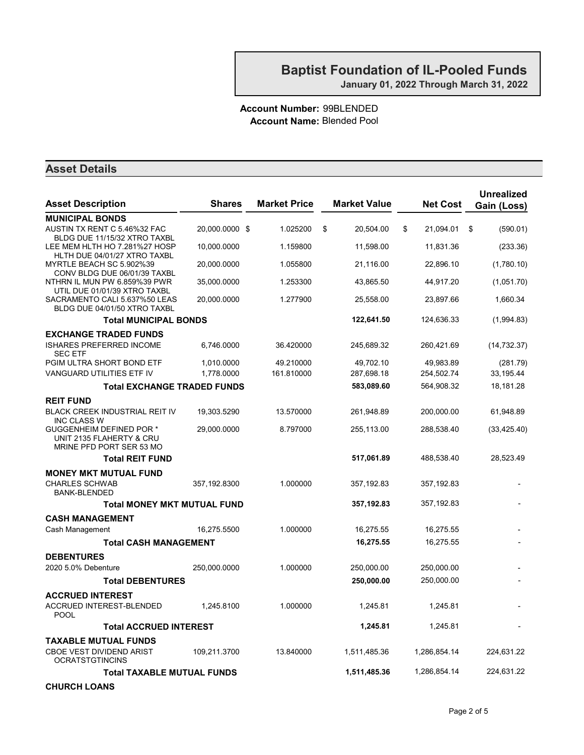January 01, 2022 Through March 31, 2022

#### Account Number: 99BLENDED Account Name: Blended Pool

| <b>Asset Description</b>                                                         | <b>Shares</b>  | <b>Market Price</b> | <b>Market Value</b> | <b>Net Cost</b> | <b>Unrealized</b><br>Gain (Loss) |
|----------------------------------------------------------------------------------|----------------|---------------------|---------------------|-----------------|----------------------------------|
| <b>MUNICIPAL BONDS</b>                                                           |                |                     |                     |                 |                                  |
| AUSTIN TX RENT C 5.46%32 FAC<br>BLDG DUE 11/15/32 XTRO TAXBL                     | 20,000.0000 \$ | 1.025200            | \$<br>20,504.00     | \$<br>21,094.01 | (590.01)<br>\$                   |
| LEE MEM HLTH HO 7.281%27 HOSP<br>HLTH DUE 04/01/27 XTRO TAXBL                    | 10,000.0000    | 1.159800            | 11,598.00           | 11,831.36       | (233.36)                         |
| MYRTLE BEACH SC 5.902%39<br>CONV BLDG DUE 06/01/39 TAXBL                         | 20,000.0000    | 1.055800            | 21,116.00           | 22,896.10       | (1,780.10)                       |
| NTHRN IL MUN PW 6.859%39 PWR<br>UTIL DUE 01/01/39 XTRO TAXBL                     | 35,000.0000    | 1.253300            | 43,865.50           | 44,917.20       | (1,051.70)                       |
| SACRAMENTO CALI 5.637%50 LEAS<br>BLDG DUE 04/01/50 XTRO TAXBL                    | 20.000.0000    | 1.277900            | 25,558.00           | 23,897.66       | 1,660.34                         |
| <b>Total MUNICIPAL BONDS</b>                                                     |                |                     | 122,641.50          | 124,636.33      | (1,994.83)                       |
| <b>EXCHANGE TRADED FUNDS</b>                                                     |                |                     |                     |                 |                                  |
| <b>ISHARES PREFERRED INCOME</b><br><b>SEC ETF</b>                                | 6,746.0000     | 36.420000           | 245,689.32          | 260,421.69      | (14, 732.37)                     |
| PGIM ULTRA SHORT BOND ETF                                                        | 1,010.0000     | 49.210000           | 49,702.10           | 49,983.89       | (281.79)                         |
| VANGUARD UTILITIES ETF IV                                                        | 1,778.0000     | 161.810000          | 287,698.18          | 254,502.74      | 33, 195.44                       |
| <b>Total EXCHANGE TRADED FUNDS</b>                                               |                |                     | 583,089.60          | 564,908.32      | 18,181.28                        |
| <b>REIT FUND</b>                                                                 |                |                     |                     |                 |                                  |
| BLACK CREEK INDUSTRIAL REIT IV<br><b>INC CLASS W</b>                             | 19.303.5290    | 13.570000           | 261,948.89          | 200,000.00      | 61,948.89                        |
| GUGGENHEIM DEFINED POR *<br>UNIT 2135 FLAHERTY & CRU<br>MRINE PFD PORT SER 53 MO | 29,000.0000    | 8.797000            | 255,113.00          | 288,538.40      | (33, 425.40)                     |
| <b>Total REIT FUND</b>                                                           |                |                     | 517,061.89          | 488,538.40      | 28,523.49                        |
| <b>MONEY MKT MUTUAL FUND</b>                                                     |                |                     |                     |                 |                                  |
| <b>CHARLES SCHWAB</b><br><b>BANK-BLENDED</b>                                     | 357, 192.8300  | 1.000000            | 357,192.83          | 357,192.83      |                                  |
| <b>Total MONEY MKT MUTUAL FUND</b>                                               |                |                     | 357,192.83          | 357,192.83      |                                  |
| <b>CASH MANAGEMENT</b>                                                           |                |                     |                     |                 |                                  |
| Cash Management                                                                  | 16,275.5500    | 1.000000            | 16,275.55           | 16,275.55       |                                  |
| <b>Total CASH MANAGEMENT</b>                                                     |                |                     | 16,275.55           | 16,275.55       |                                  |
| <b>DEBENTURES</b>                                                                |                |                     |                     |                 |                                  |
| 2020 5.0% Debenture                                                              | 250,000.0000   | 1.000000            | 250,000.00          | 250,000.00      |                                  |
| <b>Total DEBENTURES</b>                                                          |                |                     | 250,000.00          | 250,000.00      |                                  |
| <b>ACCRUED INTEREST</b>                                                          |                |                     |                     |                 |                                  |
| <b>ACCRUED INTEREST-BLENDED</b><br>POOL                                          | 1,245.8100     | 1.000000            | 1,245.81            | 1,245.81        |                                  |
| <b>Total ACCRUED INTEREST</b>                                                    |                |                     | 1,245.81            | 1,245.81        |                                  |
| <b>TAXABLE MUTUAL FUNDS</b>                                                      |                |                     |                     |                 |                                  |
| <b>CBOE VEST DIVIDEND ARIST</b><br><b>OCRATSTGTINCINS</b>                        | 109,211.3700   | 13.840000           | 1,511,485.36        | 1,286,854.14    | 224,631.22                       |
| <b>Total TAXABLE MUTUAL FUNDS</b>                                                |                |                     | 1,511,485.36        | 1,286,854.14    | 224,631.22                       |
| <b>CHURCH LOANS</b>                                                              |                |                     |                     |                 |                                  |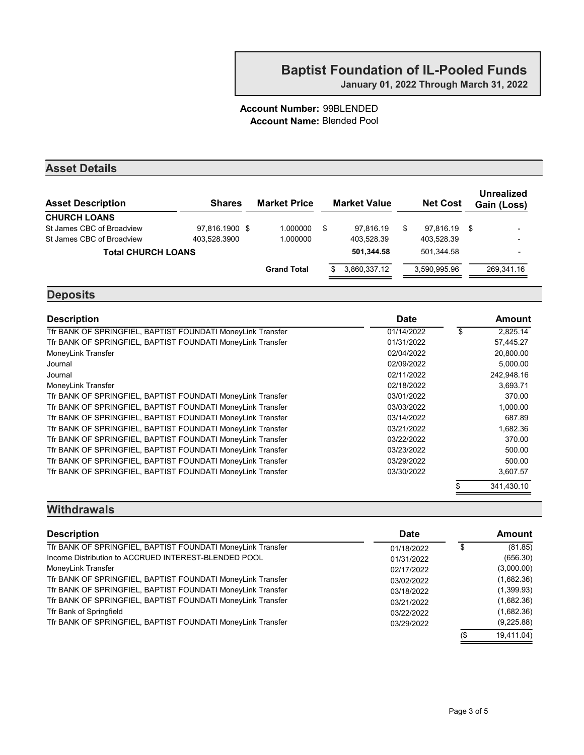#### Account Number: 99BLENDED Account Name: Blended Pool

#### Asset Details

| <b>Asset Description</b>  | <b>Shares</b>  | <b>Market Price</b> | <b>Market Value</b> |   | <b>Net Cost</b> |      | Unrealized<br>Gain (Loss) |
|---------------------------|----------------|---------------------|---------------------|---|-----------------|------|---------------------------|
| <b>CHURCH LOANS</b>       |                |                     |                     |   |                 |      |                           |
| St James CBC of Broadview | 97.816.1900 \$ | 1.000000            | \$<br>97.816.19     | S | 97.816.19       | - \$ | $\overline{\phantom{0}}$  |
| St James CBC of Broadview | 403.528.3900   | 1.000000            | 403.528.39          |   | 403.528.39      |      | -                         |
| <b>Total CHURCH LOANS</b> |                |                     | 501,344.58          |   | 501.344.58      |      | $\overline{\phantom{0}}$  |
|                           |                | <b>Grand Total</b>  | 3,860,337.12        |   | 3.590.995.96    |      | 269,341.16                |

#### **Deposits**

| <b>Description</b>                                          | <b>Date</b> | Amount         |
|-------------------------------------------------------------|-------------|----------------|
| Tfr BANK OF SPRINGFIEL, BAPTIST FOUNDATI MoneyLink Transfer | 01/14/2022  | \$<br>2,825.14 |
| Tfr BANK OF SPRINGFIEL, BAPTIST FOUNDATI MoneyLink Transfer | 01/31/2022  | 57,445.27      |
| MoneyLink Transfer                                          | 02/04/2022  | 20,800.00      |
| Journal                                                     | 02/09/2022  | 5,000.00       |
| Journal                                                     | 02/11/2022  | 242.948.16     |
| MoneyLink Transfer                                          | 02/18/2022  | 3,693.71       |
| Tfr BANK OF SPRINGFIEL, BAPTIST FOUNDATI MoneyLink Transfer | 03/01/2022  | 370.00         |
| Tfr BANK OF SPRINGFIEL, BAPTIST FOUNDATI MoneyLink Transfer | 03/03/2022  | 1,000.00       |
| Tfr BANK OF SPRINGFIEL, BAPTIST FOUNDATI MoneyLink Transfer | 03/14/2022  | 687.89         |
| Tfr BANK OF SPRINGFIEL, BAPTIST FOUNDATI MoneyLink Transfer | 03/21/2022  | 1,682.36       |
| Tfr BANK OF SPRINGFIEL, BAPTIST FOUNDATI MoneyLink Transfer | 03/22/2022  | 370.00         |
| Tfr BANK OF SPRINGFIEL, BAPTIST FOUNDATI MoneyLink Transfer | 03/23/2022  | 500.00         |
| Tfr BANK OF SPRINGFIEL, BAPTIST FOUNDATI MoneyLink Transfer | 03/29/2022  | 500.00         |
| Tfr BANK OF SPRINGFIEL, BAPTIST FOUNDATI MoneyLink Transfer | 03/30/2022  | 3,607.57       |
|                                                             |             | 341.430.10     |

#### **Withdrawals**

| <b>Description</b>                                          | <b>Date</b> |     | <b>Amount</b> |
|-------------------------------------------------------------|-------------|-----|---------------|
| Tfr BANK OF SPRINGFIEL, BAPTIST FOUNDATI MoneyLink Transfer | 01/18/2022  |     | (81.85)       |
| Income Distribution to ACCRUED INTEREST-BLENDED POOL        | 01/31/2022  |     | (656.30)      |
| MoneyLink Transfer                                          | 02/17/2022  |     | (3,000.00)    |
| Tfr BANK OF SPRINGFIEL, BAPTIST FOUNDATI MoneyLink Transfer | 03/02/2022  |     | (1,682.36)    |
| Tfr BANK OF SPRINGFIEL, BAPTIST FOUNDATI MoneyLink Transfer | 03/18/2022  |     | (1,399.93)    |
| Tfr BANK OF SPRINGFIEL, BAPTIST FOUNDATI MoneyLink Transfer | 03/21/2022  |     | (1,682.36)    |
| Tfr Bank of Springfield                                     | 03/22/2022  |     | (1,682.36)    |
| Tfr BANK OF SPRINGFIEL, BAPTIST FOUNDATI MoneyLink Transfer | 03/29/2022  |     | (9,225.88)    |
|                                                             |             | (\$ | 19.411.04)    |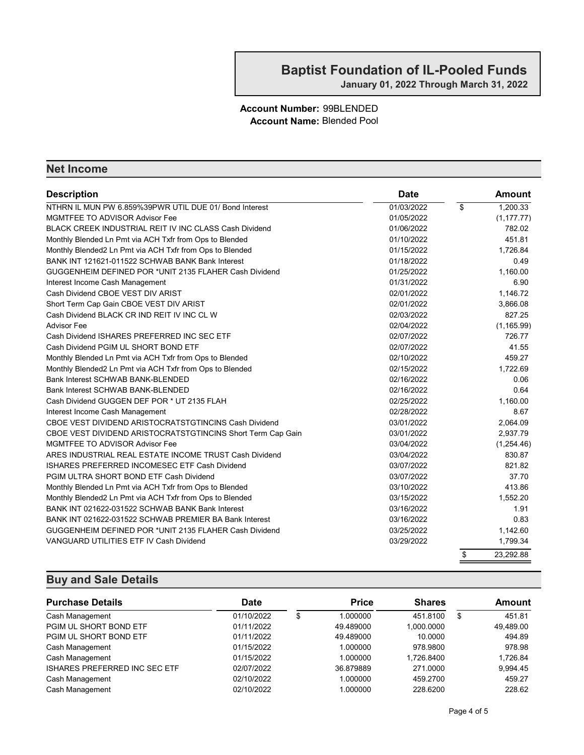#### Account Number: 99BLENDED Account Name: Blended Pool

#### Net Income

| <b>Description</b>                                          | <b>Date</b> | Amount                              |
|-------------------------------------------------------------|-------------|-------------------------------------|
| NTHRN IL MUN PW 6.859%39PWR UTIL DUE 01/ Bond Interest      | 01/03/2022  | $\overline{\mathbf{S}}$<br>1,200.33 |
| <b>MGMTFEE TO ADVISOR Advisor Fee</b>                       | 01/05/2022  | (1, 177.77)                         |
| BLACK CREEK INDUSTRIAL REIT IV INC CLASS Cash Dividend      | 01/06/2022  | 782.02                              |
| Monthly Blended Ln Pmt via ACH Txfr from Ops to Blended     | 01/10/2022  | 451.81                              |
| Monthly Blended2 Ln Pmt via ACH Txfr from Ops to Blended    | 01/15/2022  | 1.726.84                            |
| BANK INT 121621-011522 SCHWAB BANK Bank Interest            | 01/18/2022  | 0.49                                |
| GUGGENHEIM DEFINED POR *UNIT 2135 FLAHER Cash Dividend      | 01/25/2022  | 1.160.00                            |
| Interest Income Cash Management                             | 01/31/2022  | 6.90                                |
| Cash Dividend CBOE VEST DIV ARIST                           | 02/01/2022  | 1,146.72                            |
| Short Term Cap Gain CBOE VEST DIV ARIST                     | 02/01/2022  | 3.866.08                            |
| Cash Dividend BLACK CR IND REIT IV INC CL W                 | 02/03/2022  | 827.25                              |
| <b>Advisor Fee</b>                                          | 02/04/2022  | (1, 165.99)                         |
| Cash Dividend ISHARES PREFERRED INC SEC ETF                 | 02/07/2022  | 726.77                              |
| Cash Dividend PGIM UL SHORT BOND ETF                        | 02/07/2022  | 41.55                               |
| Monthly Blended Ln Pmt via ACH Txfr from Ops to Blended     | 02/10/2022  | 459.27                              |
| Monthly Blended2 Ln Pmt via ACH Txfr from Ops to Blended    | 02/15/2022  | 1,722.69                            |
| Bank Interest SCHWAB BANK-BLENDED                           | 02/16/2022  | 0.06                                |
| Bank Interest SCHWAB BANK-BLENDED                           | 02/16/2022  | 0.64                                |
| Cash Dividend GUGGEN DEF POR * UT 2135 FLAH                 | 02/25/2022  | 1.160.00                            |
| Interest Income Cash Management                             | 02/28/2022  | 8.67                                |
| CBOE VEST DIVIDEND ARISTOCRATSTGTINCINS Cash Dividend       | 03/01/2022  | 2.064.09                            |
| CBOE VEST DIVIDEND ARISTOCRATSTGTINCINS Short Term Cap Gain | 03/01/2022  | 2,937.79                            |
| <b>MGMTFEE TO ADVISOR Advisor Fee</b>                       | 03/04/2022  | (1,254.46)                          |
| ARES INDUSTRIAL REAL ESTATE INCOME TRUST Cash Dividend      | 03/04/2022  | 830.87                              |
| ISHARES PREFERRED INCOMESEC ETF Cash Dividend               | 03/07/2022  | 821.82                              |
| PGIM ULTRA SHORT BOND ETF Cash Dividend                     | 03/07/2022  | 37.70                               |
| Monthly Blended Ln Pmt via ACH Txfr from Ops to Blended     | 03/10/2022  | 413.86                              |
| Monthly Blended2 Ln Pmt via ACH Txfr from Ops to Blended    | 03/15/2022  | 1.552.20                            |
| BANK INT 021622-031522 SCHWAB BANK Bank Interest            | 03/16/2022  | 1.91                                |
| BANK INT 021622-031522 SCHWAB PREMIER BA Bank Interest      | 03/16/2022  | 0.83                                |
| GUGGENHEIM DEFINED POR *UNIT 2135 FLAHER Cash Dividend      | 03/25/2022  | 1,142.60                            |
| VANGUARD UTILITIES ETF IV Cash Dividend                     | 03/29/2022  | 1,799.34                            |
|                                                             |             | \$<br>23,292.88                     |

| <b>Purchase Details</b>       | Date       | <b>Price</b>   | <b>Shares</b> | Amount       |
|-------------------------------|------------|----------------|---------------|--------------|
| Cash Management               | 01/10/2022 | \$<br>1.000000 | 451.8100      | \$<br>451.81 |
| PGIM UL SHORT BOND ETF        | 01/11/2022 | 49.489000      | 1.000.0000    | 49,489.00    |
| PGIM UL SHORT BOND ETF        | 01/11/2022 | 49.489000      | 10.0000       | 494.89       |
| Cash Management               | 01/15/2022 | 1.000000       | 978,9800      | 978.98       |
| Cash Management               | 01/15/2022 | 1.000000       | 1.726.8400    | 1.726.84     |
| ISHARES PREFERRED INC SEC ETF | 02/07/2022 | 36.879889      | 271,0000      | 9,994.45     |
| Cash Management               | 02/10/2022 | 1.000000       | 459,2700      | 459.27       |
| Cash Management               | 02/10/2022 | 1.000000       | 228.6200      | 228.62       |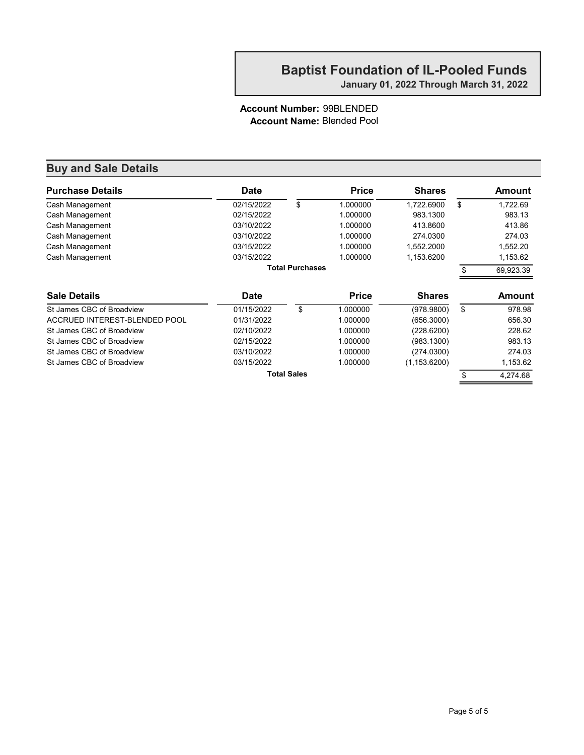January 01, 2022 Through March 31, 2022

#### Account Number: 99BLENDED Account Name: Blended Pool

| <b>Purchase Details</b>       | <b>Date</b> |                        | <b>Price</b> | <b>Shares</b> |     | Amount        |
|-------------------------------|-------------|------------------------|--------------|---------------|-----|---------------|
| Cash Management               | 02/15/2022  | \$                     | 1.000000     | 1,722.6900    | \$  | 1,722.69      |
| Cash Management               | 02/15/2022  |                        | 1.000000     | 983.1300      |     | 983.13        |
| Cash Management               | 03/10/2022  |                        | 1.000000     | 413.8600      |     | 413.86        |
| Cash Management               | 03/10/2022  |                        | 1.000000     | 274.0300      |     | 274.03        |
| Cash Management               | 03/15/2022  |                        | 1.000000     | 1,552.2000    |     | 1,552.20      |
| Cash Management               | 03/15/2022  |                        | 1.000000     | 1,153.6200    |     | 1,153.62      |
|                               |             | <b>Total Purchases</b> |              |               | \$. | 69,923.39     |
| <b>Sale Details</b>           | <b>Date</b> |                        | <b>Price</b> | <b>Shares</b> |     | <b>Amount</b> |
| St James CBC of Broadview     | 01/15/2022  | \$                     | 1.000000     | (978.9800)    | \$  | 978.98        |
| ACCRUED INTEREST-BLENDED POOL | 01/31/2022  |                        | 1.000000     | (656.3000)    |     | 656.30        |
| St James CBC of Broadview     | 02/10/2022  |                        | 1.000000     | (228.6200)    |     | 228.62        |
| St James CBC of Broadview     | 02/15/2022  |                        | 1.000000     | (983.1300)    |     | 983.13        |
| St James CBC of Broadview     | 03/10/2022  |                        | 1.000000     | (274.0300)    |     | 274.03        |
| St James CBC of Broadview     | 03/15/2022  |                        | 1.000000     | (1, 153.6200) |     | 1,153.62      |
|                               |             | <b>Total Sales</b>     |              |               | \$  | 4.274.68      |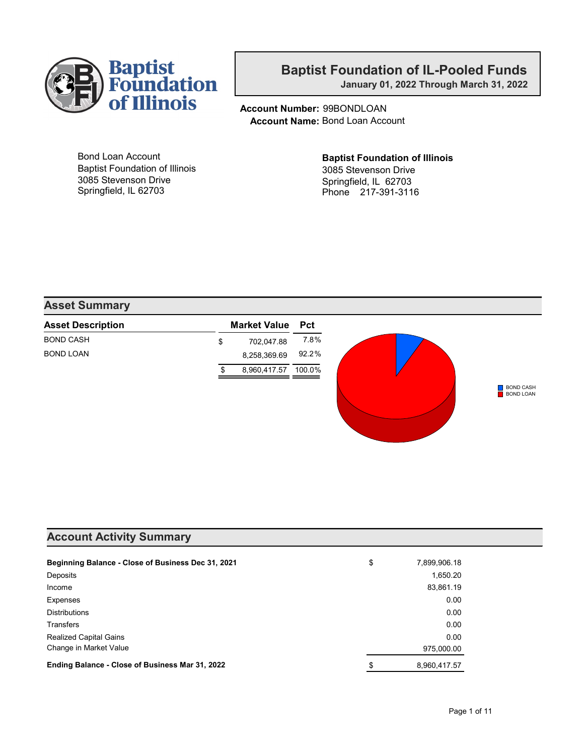

January 01, 2022 Through March 31, 2022

Account Number: 99BONDLOAN Account Name: Bond Loan Account

Bond Loan Account Baptist Foundation of Illinois 3085 Stevenson Drive Springfield, IL 62703

Baptist Foundation of Illinois 3085 Stevenson Drive Springfield, IL 62703 Phone 217-391-3116

#### Asset Summary

| <b>Asset Description</b> | <b>Market Value</b> | <b>Pct</b> |
|--------------------------|---------------------|------------|
| <b>BOND CASH</b>         | \$<br>702,047.88    | 7.8%       |
| <b>BOND LOAN</b>         | 8,258,369.69        | 92.2%      |
|                          | 8,960,417.57        | 100.0%     |
|                          |                     |            |

#### Account Activity Summary

| Beginning Balance - Close of Business Dec 31, 2021 | \$<br>7,899,906.18 |
|----------------------------------------------------|--------------------|
| Deposits                                           | 1,650.20           |
| Income                                             | 83,861.19          |
| Expenses                                           | 0.00               |
| <b>Distributions</b>                               | 0.00               |
| <b>Transfers</b>                                   | 0.00               |
| <b>Realized Capital Gains</b>                      | 0.00               |
| Change in Market Value                             | 975,000.00         |
| Ending Balance - Close of Business Mar 31, 2022    | \$<br>8,960,417.57 |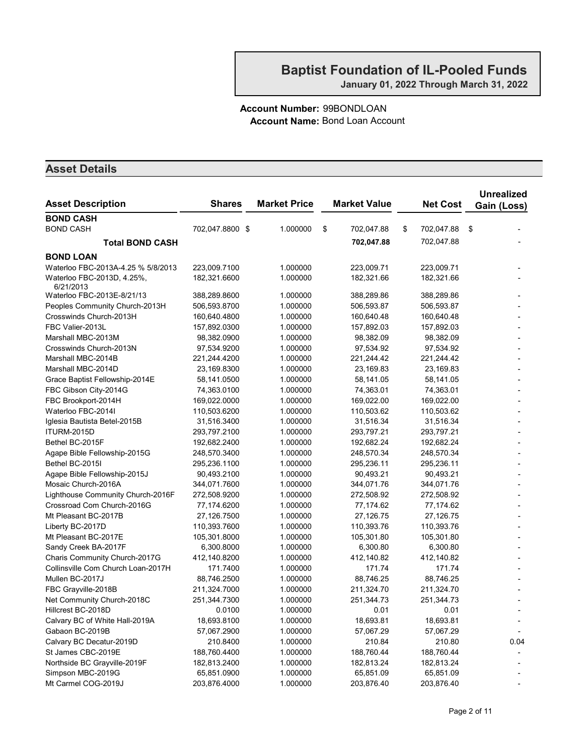#### Account Number: 99BONDLOAN Account Name: Bond Loan Account

| <b>BOND CASH</b><br><b>BOND CASH</b><br>702,047.8800 \$<br>1.000000<br>\$<br>\$<br>702,047.88<br>702,047.88<br>\$<br>702,047.88<br>702,047.88<br><b>Total BOND CASH</b><br><b>BOND LOAN</b><br>Waterloo FBC-2013A-4.25 % 5/8/2013<br>223,009.7100<br>1.000000<br>223,009.71<br>223,009.71<br>Waterloo FBC-2013D, 4.25%,<br>182,321.6600<br>1.000000<br>182,321.66<br>182,321.66<br>6/21/2013<br>Waterloo FBC-2013E-8/21/13<br>1.000000<br>388,289.86<br>388,289.8600<br>388,289.86<br>Peoples Community Church-2013H<br>506,593.8700<br>1.000000<br>506,593.87<br>506,593.87<br>Crosswinds Church-2013H<br>160,640.4800<br>1.000000<br>160,640.48<br>160,640.48<br>FBC Valier-2013L<br>157,892.0300<br>1.000000<br>157,892.03<br>157,892.03<br>Marshall MBC-2013M<br>1.000000<br>98,382.09<br>98,382.09<br>98,382.0900<br>Crosswinds Church-2013N<br>1.000000<br>97,534.92<br>97,534.9200<br>97,534.92<br>Marshall MBC-2014B<br>221,244.4200<br>1.000000<br>221,244.42<br>221,244.42<br>Marshall MBC-2014D<br>1.000000<br>23,169.83<br>23,169.8300<br>23,169.83<br>Grace Baptist Fellowship-2014E<br>58,141.0500<br>1.000000<br>58,141.05<br>58,141.05<br>FBC Gibson City-2014G<br>74,363.0100<br>1.000000<br>74,363.01<br>74,363.01<br>1.000000<br>FBC Brookport-2014H<br>169,022.0000<br>169,022.00<br>169,022.00<br>1.000000<br>110,503.62<br>110,503.62<br>Waterloo FBC-2014I<br>110,503.6200<br>1.000000<br>31,516.34<br>31,516.34<br>Iglesia Bautista Betel-2015B<br>31,516.3400<br>1.000000<br>293,797.21<br>293,797.21<br>ITURM-2015D<br>293,797.2100<br>Bethel BC-2015F<br>192,682.2400<br>1.000000<br>192,682.24<br>192,682.24<br>248,570.3400<br>1.000000<br>248,570.34<br>Agape Bible Fellowship-2015G<br>248,570.34<br>Bethel BC-2015I<br>1.000000<br>295,236.1100<br>295,236.11<br>295,236.11<br>Agape Bible Fellowship-2015J<br>1.000000<br>90,493.2100<br>90,493.21<br>90,493.21<br>Mosaic Church-2016A<br>344,071.7600<br>1.000000<br>344,071.76<br>344,071.76<br>Lighthouse Community Church-2016F<br>272,508.9200<br>1.000000<br>272,508.92<br>272,508.92<br>Crossroad Com Church-2016G<br>77, 174.62<br>77,174.62<br>77,174.6200<br>1.000000<br>Mt Pleasant BC-2017B<br>27,126.7500<br>1.000000<br>27,126.75<br>27,126.75<br>1.000000<br>Liberty BC-2017D<br>110,393.7600<br>110,393.76<br>110,393.76<br>1.000000<br>105,301.80<br>Mt Pleasant BC-2017E<br>105,301.8000<br>105,301.80<br>Sandy Creek BA-2017F<br>1.000000<br>6,300.80<br>6,300.80<br>6,300.8000<br>Charis Community Church-2017G<br>1.000000<br>412,140.8200<br>412,140.82<br>412,140.82<br>Collinsville Com Church Loan-2017H<br>171.7400<br>1.000000<br>171.74<br>171.74<br>Mullen BC-2017J<br>88,746.2500<br>1.000000<br>88,746.25<br>88,746.25<br>1.000000<br>211,324.70<br>FBC Grayville-2018B<br>211,324.7000<br>211,324.70<br>Net Community Church-2018C<br>1.000000<br>251,344.73<br>251,344.7300<br>251,344.73<br>1.000000<br>Hillcrest BC-2018D<br>0.0100<br>0.01<br>0.01<br>Calvary BC of White Hall-2019A<br>18,693.8100<br>1.000000<br>18,693.81<br>18,693.81<br>Gabaon BC-2019B<br>57,067.2900<br>1.000000<br>57,067.29<br>57,067.29<br>Calvary BC Decatur-2019D<br>210.8400<br>210.84<br>210.80<br>1.000000<br>0.04<br>St James CBC-2019E<br>1.000000<br>188,760.44<br>188,760.44<br>188,760.4400<br>Northside BC Grayville-2019F<br>1.000000<br>182,813.24<br>182,813.24<br>182,813.2400 | <b>Asset Description</b> | <b>Shares</b> | <b>Market Price</b> | <b>Market Value</b> | <b>Net Cost</b> | <b>Unrealized</b><br>Gain (Loss) |
|----------------------------------------------------------------------------------------------------------------------------------------------------------------------------------------------------------------------------------------------------------------------------------------------------------------------------------------------------------------------------------------------------------------------------------------------------------------------------------------------------------------------------------------------------------------------------------------------------------------------------------------------------------------------------------------------------------------------------------------------------------------------------------------------------------------------------------------------------------------------------------------------------------------------------------------------------------------------------------------------------------------------------------------------------------------------------------------------------------------------------------------------------------------------------------------------------------------------------------------------------------------------------------------------------------------------------------------------------------------------------------------------------------------------------------------------------------------------------------------------------------------------------------------------------------------------------------------------------------------------------------------------------------------------------------------------------------------------------------------------------------------------------------------------------------------------------------------------------------------------------------------------------------------------------------------------------------------------------------------------------------------------------------------------------------------------------------------------------------------------------------------------------------------------------------------------------------------------------------------------------------------------------------------------------------------------------------------------------------------------------------------------------------------------------------------------------------------------------------------------------------------------------------------------------------------------------------------------------------------------------------------------------------------------------------------------------------------------------------------------------------------------------------------------------------------------------------------------------------------------------------------------------------------------------------------------------------------------------------------------------------------------------------------------------------------------------------------------------------------------------------------------------------------------------------------------------------------------------------------------------------------------------------------------------------------------------------------------------------------------------------------------|--------------------------|---------------|---------------------|---------------------|-----------------|----------------------------------|
|                                                                                                                                                                                                                                                                                                                                                                                                                                                                                                                                                                                                                                                                                                                                                                                                                                                                                                                                                                                                                                                                                                                                                                                                                                                                                                                                                                                                                                                                                                                                                                                                                                                                                                                                                                                                                                                                                                                                                                                                                                                                                                                                                                                                                                                                                                                                                                                                                                                                                                                                                                                                                                                                                                                                                                                                                                                                                                                                                                                                                                                                                                                                                                                                                                                                                                                                                                                              |                          |               |                     |                     |                 |                                  |
|                                                                                                                                                                                                                                                                                                                                                                                                                                                                                                                                                                                                                                                                                                                                                                                                                                                                                                                                                                                                                                                                                                                                                                                                                                                                                                                                                                                                                                                                                                                                                                                                                                                                                                                                                                                                                                                                                                                                                                                                                                                                                                                                                                                                                                                                                                                                                                                                                                                                                                                                                                                                                                                                                                                                                                                                                                                                                                                                                                                                                                                                                                                                                                                                                                                                                                                                                                                              |                          |               |                     |                     |                 |                                  |
|                                                                                                                                                                                                                                                                                                                                                                                                                                                                                                                                                                                                                                                                                                                                                                                                                                                                                                                                                                                                                                                                                                                                                                                                                                                                                                                                                                                                                                                                                                                                                                                                                                                                                                                                                                                                                                                                                                                                                                                                                                                                                                                                                                                                                                                                                                                                                                                                                                                                                                                                                                                                                                                                                                                                                                                                                                                                                                                                                                                                                                                                                                                                                                                                                                                                                                                                                                                              |                          |               |                     |                     |                 |                                  |
|                                                                                                                                                                                                                                                                                                                                                                                                                                                                                                                                                                                                                                                                                                                                                                                                                                                                                                                                                                                                                                                                                                                                                                                                                                                                                                                                                                                                                                                                                                                                                                                                                                                                                                                                                                                                                                                                                                                                                                                                                                                                                                                                                                                                                                                                                                                                                                                                                                                                                                                                                                                                                                                                                                                                                                                                                                                                                                                                                                                                                                                                                                                                                                                                                                                                                                                                                                                              |                          |               |                     |                     |                 |                                  |
|                                                                                                                                                                                                                                                                                                                                                                                                                                                                                                                                                                                                                                                                                                                                                                                                                                                                                                                                                                                                                                                                                                                                                                                                                                                                                                                                                                                                                                                                                                                                                                                                                                                                                                                                                                                                                                                                                                                                                                                                                                                                                                                                                                                                                                                                                                                                                                                                                                                                                                                                                                                                                                                                                                                                                                                                                                                                                                                                                                                                                                                                                                                                                                                                                                                                                                                                                                                              |                          |               |                     |                     |                 |                                  |
|                                                                                                                                                                                                                                                                                                                                                                                                                                                                                                                                                                                                                                                                                                                                                                                                                                                                                                                                                                                                                                                                                                                                                                                                                                                                                                                                                                                                                                                                                                                                                                                                                                                                                                                                                                                                                                                                                                                                                                                                                                                                                                                                                                                                                                                                                                                                                                                                                                                                                                                                                                                                                                                                                                                                                                                                                                                                                                                                                                                                                                                                                                                                                                                                                                                                                                                                                                                              |                          |               |                     |                     |                 |                                  |
|                                                                                                                                                                                                                                                                                                                                                                                                                                                                                                                                                                                                                                                                                                                                                                                                                                                                                                                                                                                                                                                                                                                                                                                                                                                                                                                                                                                                                                                                                                                                                                                                                                                                                                                                                                                                                                                                                                                                                                                                                                                                                                                                                                                                                                                                                                                                                                                                                                                                                                                                                                                                                                                                                                                                                                                                                                                                                                                                                                                                                                                                                                                                                                                                                                                                                                                                                                                              |                          |               |                     |                     |                 |                                  |
|                                                                                                                                                                                                                                                                                                                                                                                                                                                                                                                                                                                                                                                                                                                                                                                                                                                                                                                                                                                                                                                                                                                                                                                                                                                                                                                                                                                                                                                                                                                                                                                                                                                                                                                                                                                                                                                                                                                                                                                                                                                                                                                                                                                                                                                                                                                                                                                                                                                                                                                                                                                                                                                                                                                                                                                                                                                                                                                                                                                                                                                                                                                                                                                                                                                                                                                                                                                              |                          |               |                     |                     |                 |                                  |
|                                                                                                                                                                                                                                                                                                                                                                                                                                                                                                                                                                                                                                                                                                                                                                                                                                                                                                                                                                                                                                                                                                                                                                                                                                                                                                                                                                                                                                                                                                                                                                                                                                                                                                                                                                                                                                                                                                                                                                                                                                                                                                                                                                                                                                                                                                                                                                                                                                                                                                                                                                                                                                                                                                                                                                                                                                                                                                                                                                                                                                                                                                                                                                                                                                                                                                                                                                                              |                          |               |                     |                     |                 |                                  |
|                                                                                                                                                                                                                                                                                                                                                                                                                                                                                                                                                                                                                                                                                                                                                                                                                                                                                                                                                                                                                                                                                                                                                                                                                                                                                                                                                                                                                                                                                                                                                                                                                                                                                                                                                                                                                                                                                                                                                                                                                                                                                                                                                                                                                                                                                                                                                                                                                                                                                                                                                                                                                                                                                                                                                                                                                                                                                                                                                                                                                                                                                                                                                                                                                                                                                                                                                                                              |                          |               |                     |                     |                 |                                  |
|                                                                                                                                                                                                                                                                                                                                                                                                                                                                                                                                                                                                                                                                                                                                                                                                                                                                                                                                                                                                                                                                                                                                                                                                                                                                                                                                                                                                                                                                                                                                                                                                                                                                                                                                                                                                                                                                                                                                                                                                                                                                                                                                                                                                                                                                                                                                                                                                                                                                                                                                                                                                                                                                                                                                                                                                                                                                                                                                                                                                                                                                                                                                                                                                                                                                                                                                                                                              |                          |               |                     |                     |                 |                                  |
|                                                                                                                                                                                                                                                                                                                                                                                                                                                                                                                                                                                                                                                                                                                                                                                                                                                                                                                                                                                                                                                                                                                                                                                                                                                                                                                                                                                                                                                                                                                                                                                                                                                                                                                                                                                                                                                                                                                                                                                                                                                                                                                                                                                                                                                                                                                                                                                                                                                                                                                                                                                                                                                                                                                                                                                                                                                                                                                                                                                                                                                                                                                                                                                                                                                                                                                                                                                              |                          |               |                     |                     |                 |                                  |
|                                                                                                                                                                                                                                                                                                                                                                                                                                                                                                                                                                                                                                                                                                                                                                                                                                                                                                                                                                                                                                                                                                                                                                                                                                                                                                                                                                                                                                                                                                                                                                                                                                                                                                                                                                                                                                                                                                                                                                                                                                                                                                                                                                                                                                                                                                                                                                                                                                                                                                                                                                                                                                                                                                                                                                                                                                                                                                                                                                                                                                                                                                                                                                                                                                                                                                                                                                                              |                          |               |                     |                     |                 |                                  |
|                                                                                                                                                                                                                                                                                                                                                                                                                                                                                                                                                                                                                                                                                                                                                                                                                                                                                                                                                                                                                                                                                                                                                                                                                                                                                                                                                                                                                                                                                                                                                                                                                                                                                                                                                                                                                                                                                                                                                                                                                                                                                                                                                                                                                                                                                                                                                                                                                                                                                                                                                                                                                                                                                                                                                                                                                                                                                                                                                                                                                                                                                                                                                                                                                                                                                                                                                                                              |                          |               |                     |                     |                 |                                  |
|                                                                                                                                                                                                                                                                                                                                                                                                                                                                                                                                                                                                                                                                                                                                                                                                                                                                                                                                                                                                                                                                                                                                                                                                                                                                                                                                                                                                                                                                                                                                                                                                                                                                                                                                                                                                                                                                                                                                                                                                                                                                                                                                                                                                                                                                                                                                                                                                                                                                                                                                                                                                                                                                                                                                                                                                                                                                                                                                                                                                                                                                                                                                                                                                                                                                                                                                                                                              |                          |               |                     |                     |                 |                                  |
|                                                                                                                                                                                                                                                                                                                                                                                                                                                                                                                                                                                                                                                                                                                                                                                                                                                                                                                                                                                                                                                                                                                                                                                                                                                                                                                                                                                                                                                                                                                                                                                                                                                                                                                                                                                                                                                                                                                                                                                                                                                                                                                                                                                                                                                                                                                                                                                                                                                                                                                                                                                                                                                                                                                                                                                                                                                                                                                                                                                                                                                                                                                                                                                                                                                                                                                                                                                              |                          |               |                     |                     |                 |                                  |
|                                                                                                                                                                                                                                                                                                                                                                                                                                                                                                                                                                                                                                                                                                                                                                                                                                                                                                                                                                                                                                                                                                                                                                                                                                                                                                                                                                                                                                                                                                                                                                                                                                                                                                                                                                                                                                                                                                                                                                                                                                                                                                                                                                                                                                                                                                                                                                                                                                                                                                                                                                                                                                                                                                                                                                                                                                                                                                                                                                                                                                                                                                                                                                                                                                                                                                                                                                                              |                          |               |                     |                     |                 |                                  |
|                                                                                                                                                                                                                                                                                                                                                                                                                                                                                                                                                                                                                                                                                                                                                                                                                                                                                                                                                                                                                                                                                                                                                                                                                                                                                                                                                                                                                                                                                                                                                                                                                                                                                                                                                                                                                                                                                                                                                                                                                                                                                                                                                                                                                                                                                                                                                                                                                                                                                                                                                                                                                                                                                                                                                                                                                                                                                                                                                                                                                                                                                                                                                                                                                                                                                                                                                                                              |                          |               |                     |                     |                 |                                  |
|                                                                                                                                                                                                                                                                                                                                                                                                                                                                                                                                                                                                                                                                                                                                                                                                                                                                                                                                                                                                                                                                                                                                                                                                                                                                                                                                                                                                                                                                                                                                                                                                                                                                                                                                                                                                                                                                                                                                                                                                                                                                                                                                                                                                                                                                                                                                                                                                                                                                                                                                                                                                                                                                                                                                                                                                                                                                                                                                                                                                                                                                                                                                                                                                                                                                                                                                                                                              |                          |               |                     |                     |                 |                                  |
|                                                                                                                                                                                                                                                                                                                                                                                                                                                                                                                                                                                                                                                                                                                                                                                                                                                                                                                                                                                                                                                                                                                                                                                                                                                                                                                                                                                                                                                                                                                                                                                                                                                                                                                                                                                                                                                                                                                                                                                                                                                                                                                                                                                                                                                                                                                                                                                                                                                                                                                                                                                                                                                                                                                                                                                                                                                                                                                                                                                                                                                                                                                                                                                                                                                                                                                                                                                              |                          |               |                     |                     |                 |                                  |
|                                                                                                                                                                                                                                                                                                                                                                                                                                                                                                                                                                                                                                                                                                                                                                                                                                                                                                                                                                                                                                                                                                                                                                                                                                                                                                                                                                                                                                                                                                                                                                                                                                                                                                                                                                                                                                                                                                                                                                                                                                                                                                                                                                                                                                                                                                                                                                                                                                                                                                                                                                                                                                                                                                                                                                                                                                                                                                                                                                                                                                                                                                                                                                                                                                                                                                                                                                                              |                          |               |                     |                     |                 |                                  |
|                                                                                                                                                                                                                                                                                                                                                                                                                                                                                                                                                                                                                                                                                                                                                                                                                                                                                                                                                                                                                                                                                                                                                                                                                                                                                                                                                                                                                                                                                                                                                                                                                                                                                                                                                                                                                                                                                                                                                                                                                                                                                                                                                                                                                                                                                                                                                                                                                                                                                                                                                                                                                                                                                                                                                                                                                                                                                                                                                                                                                                                                                                                                                                                                                                                                                                                                                                                              |                          |               |                     |                     |                 |                                  |
|                                                                                                                                                                                                                                                                                                                                                                                                                                                                                                                                                                                                                                                                                                                                                                                                                                                                                                                                                                                                                                                                                                                                                                                                                                                                                                                                                                                                                                                                                                                                                                                                                                                                                                                                                                                                                                                                                                                                                                                                                                                                                                                                                                                                                                                                                                                                                                                                                                                                                                                                                                                                                                                                                                                                                                                                                                                                                                                                                                                                                                                                                                                                                                                                                                                                                                                                                                                              |                          |               |                     |                     |                 |                                  |
|                                                                                                                                                                                                                                                                                                                                                                                                                                                                                                                                                                                                                                                                                                                                                                                                                                                                                                                                                                                                                                                                                                                                                                                                                                                                                                                                                                                                                                                                                                                                                                                                                                                                                                                                                                                                                                                                                                                                                                                                                                                                                                                                                                                                                                                                                                                                                                                                                                                                                                                                                                                                                                                                                                                                                                                                                                                                                                                                                                                                                                                                                                                                                                                                                                                                                                                                                                                              |                          |               |                     |                     |                 |                                  |
|                                                                                                                                                                                                                                                                                                                                                                                                                                                                                                                                                                                                                                                                                                                                                                                                                                                                                                                                                                                                                                                                                                                                                                                                                                                                                                                                                                                                                                                                                                                                                                                                                                                                                                                                                                                                                                                                                                                                                                                                                                                                                                                                                                                                                                                                                                                                                                                                                                                                                                                                                                                                                                                                                                                                                                                                                                                                                                                                                                                                                                                                                                                                                                                                                                                                                                                                                                                              |                          |               |                     |                     |                 |                                  |
|                                                                                                                                                                                                                                                                                                                                                                                                                                                                                                                                                                                                                                                                                                                                                                                                                                                                                                                                                                                                                                                                                                                                                                                                                                                                                                                                                                                                                                                                                                                                                                                                                                                                                                                                                                                                                                                                                                                                                                                                                                                                                                                                                                                                                                                                                                                                                                                                                                                                                                                                                                                                                                                                                                                                                                                                                                                                                                                                                                                                                                                                                                                                                                                                                                                                                                                                                                                              |                          |               |                     |                     |                 |                                  |
|                                                                                                                                                                                                                                                                                                                                                                                                                                                                                                                                                                                                                                                                                                                                                                                                                                                                                                                                                                                                                                                                                                                                                                                                                                                                                                                                                                                                                                                                                                                                                                                                                                                                                                                                                                                                                                                                                                                                                                                                                                                                                                                                                                                                                                                                                                                                                                                                                                                                                                                                                                                                                                                                                                                                                                                                                                                                                                                                                                                                                                                                                                                                                                                                                                                                                                                                                                                              |                          |               |                     |                     |                 |                                  |
|                                                                                                                                                                                                                                                                                                                                                                                                                                                                                                                                                                                                                                                                                                                                                                                                                                                                                                                                                                                                                                                                                                                                                                                                                                                                                                                                                                                                                                                                                                                                                                                                                                                                                                                                                                                                                                                                                                                                                                                                                                                                                                                                                                                                                                                                                                                                                                                                                                                                                                                                                                                                                                                                                                                                                                                                                                                                                                                                                                                                                                                                                                                                                                                                                                                                                                                                                                                              |                          |               |                     |                     |                 |                                  |
|                                                                                                                                                                                                                                                                                                                                                                                                                                                                                                                                                                                                                                                                                                                                                                                                                                                                                                                                                                                                                                                                                                                                                                                                                                                                                                                                                                                                                                                                                                                                                                                                                                                                                                                                                                                                                                                                                                                                                                                                                                                                                                                                                                                                                                                                                                                                                                                                                                                                                                                                                                                                                                                                                                                                                                                                                                                                                                                                                                                                                                                                                                                                                                                                                                                                                                                                                                                              |                          |               |                     |                     |                 |                                  |
|                                                                                                                                                                                                                                                                                                                                                                                                                                                                                                                                                                                                                                                                                                                                                                                                                                                                                                                                                                                                                                                                                                                                                                                                                                                                                                                                                                                                                                                                                                                                                                                                                                                                                                                                                                                                                                                                                                                                                                                                                                                                                                                                                                                                                                                                                                                                                                                                                                                                                                                                                                                                                                                                                                                                                                                                                                                                                                                                                                                                                                                                                                                                                                                                                                                                                                                                                                                              |                          |               |                     |                     |                 |                                  |
|                                                                                                                                                                                                                                                                                                                                                                                                                                                                                                                                                                                                                                                                                                                                                                                                                                                                                                                                                                                                                                                                                                                                                                                                                                                                                                                                                                                                                                                                                                                                                                                                                                                                                                                                                                                                                                                                                                                                                                                                                                                                                                                                                                                                                                                                                                                                                                                                                                                                                                                                                                                                                                                                                                                                                                                                                                                                                                                                                                                                                                                                                                                                                                                                                                                                                                                                                                                              |                          |               |                     |                     |                 |                                  |
|                                                                                                                                                                                                                                                                                                                                                                                                                                                                                                                                                                                                                                                                                                                                                                                                                                                                                                                                                                                                                                                                                                                                                                                                                                                                                                                                                                                                                                                                                                                                                                                                                                                                                                                                                                                                                                                                                                                                                                                                                                                                                                                                                                                                                                                                                                                                                                                                                                                                                                                                                                                                                                                                                                                                                                                                                                                                                                                                                                                                                                                                                                                                                                                                                                                                                                                                                                                              |                          |               |                     |                     |                 |                                  |
|                                                                                                                                                                                                                                                                                                                                                                                                                                                                                                                                                                                                                                                                                                                                                                                                                                                                                                                                                                                                                                                                                                                                                                                                                                                                                                                                                                                                                                                                                                                                                                                                                                                                                                                                                                                                                                                                                                                                                                                                                                                                                                                                                                                                                                                                                                                                                                                                                                                                                                                                                                                                                                                                                                                                                                                                                                                                                                                                                                                                                                                                                                                                                                                                                                                                                                                                                                                              |                          |               |                     |                     |                 |                                  |
|                                                                                                                                                                                                                                                                                                                                                                                                                                                                                                                                                                                                                                                                                                                                                                                                                                                                                                                                                                                                                                                                                                                                                                                                                                                                                                                                                                                                                                                                                                                                                                                                                                                                                                                                                                                                                                                                                                                                                                                                                                                                                                                                                                                                                                                                                                                                                                                                                                                                                                                                                                                                                                                                                                                                                                                                                                                                                                                                                                                                                                                                                                                                                                                                                                                                                                                                                                                              |                          |               |                     |                     |                 |                                  |
|                                                                                                                                                                                                                                                                                                                                                                                                                                                                                                                                                                                                                                                                                                                                                                                                                                                                                                                                                                                                                                                                                                                                                                                                                                                                                                                                                                                                                                                                                                                                                                                                                                                                                                                                                                                                                                                                                                                                                                                                                                                                                                                                                                                                                                                                                                                                                                                                                                                                                                                                                                                                                                                                                                                                                                                                                                                                                                                                                                                                                                                                                                                                                                                                                                                                                                                                                                                              |                          |               |                     |                     |                 |                                  |
|                                                                                                                                                                                                                                                                                                                                                                                                                                                                                                                                                                                                                                                                                                                                                                                                                                                                                                                                                                                                                                                                                                                                                                                                                                                                                                                                                                                                                                                                                                                                                                                                                                                                                                                                                                                                                                                                                                                                                                                                                                                                                                                                                                                                                                                                                                                                                                                                                                                                                                                                                                                                                                                                                                                                                                                                                                                                                                                                                                                                                                                                                                                                                                                                                                                                                                                                                                                              |                          |               |                     |                     |                 |                                  |
|                                                                                                                                                                                                                                                                                                                                                                                                                                                                                                                                                                                                                                                                                                                                                                                                                                                                                                                                                                                                                                                                                                                                                                                                                                                                                                                                                                                                                                                                                                                                                                                                                                                                                                                                                                                                                                                                                                                                                                                                                                                                                                                                                                                                                                                                                                                                                                                                                                                                                                                                                                                                                                                                                                                                                                                                                                                                                                                                                                                                                                                                                                                                                                                                                                                                                                                                                                                              |                          |               |                     |                     |                 |                                  |
|                                                                                                                                                                                                                                                                                                                                                                                                                                                                                                                                                                                                                                                                                                                                                                                                                                                                                                                                                                                                                                                                                                                                                                                                                                                                                                                                                                                                                                                                                                                                                                                                                                                                                                                                                                                                                                                                                                                                                                                                                                                                                                                                                                                                                                                                                                                                                                                                                                                                                                                                                                                                                                                                                                                                                                                                                                                                                                                                                                                                                                                                                                                                                                                                                                                                                                                                                                                              |                          |               |                     |                     |                 |                                  |
|                                                                                                                                                                                                                                                                                                                                                                                                                                                                                                                                                                                                                                                                                                                                                                                                                                                                                                                                                                                                                                                                                                                                                                                                                                                                                                                                                                                                                                                                                                                                                                                                                                                                                                                                                                                                                                                                                                                                                                                                                                                                                                                                                                                                                                                                                                                                                                                                                                                                                                                                                                                                                                                                                                                                                                                                                                                                                                                                                                                                                                                                                                                                                                                                                                                                                                                                                                                              |                          |               |                     |                     |                 |                                  |
|                                                                                                                                                                                                                                                                                                                                                                                                                                                                                                                                                                                                                                                                                                                                                                                                                                                                                                                                                                                                                                                                                                                                                                                                                                                                                                                                                                                                                                                                                                                                                                                                                                                                                                                                                                                                                                                                                                                                                                                                                                                                                                                                                                                                                                                                                                                                                                                                                                                                                                                                                                                                                                                                                                                                                                                                                                                                                                                                                                                                                                                                                                                                                                                                                                                                                                                                                                                              |                          |               |                     |                     |                 |                                  |
|                                                                                                                                                                                                                                                                                                                                                                                                                                                                                                                                                                                                                                                                                                                                                                                                                                                                                                                                                                                                                                                                                                                                                                                                                                                                                                                                                                                                                                                                                                                                                                                                                                                                                                                                                                                                                                                                                                                                                                                                                                                                                                                                                                                                                                                                                                                                                                                                                                                                                                                                                                                                                                                                                                                                                                                                                                                                                                                                                                                                                                                                                                                                                                                                                                                                                                                                                                                              |                          |               |                     |                     |                 |                                  |
|                                                                                                                                                                                                                                                                                                                                                                                                                                                                                                                                                                                                                                                                                                                                                                                                                                                                                                                                                                                                                                                                                                                                                                                                                                                                                                                                                                                                                                                                                                                                                                                                                                                                                                                                                                                                                                                                                                                                                                                                                                                                                                                                                                                                                                                                                                                                                                                                                                                                                                                                                                                                                                                                                                                                                                                                                                                                                                                                                                                                                                                                                                                                                                                                                                                                                                                                                                                              |                          |               |                     |                     |                 |                                  |
|                                                                                                                                                                                                                                                                                                                                                                                                                                                                                                                                                                                                                                                                                                                                                                                                                                                                                                                                                                                                                                                                                                                                                                                                                                                                                                                                                                                                                                                                                                                                                                                                                                                                                                                                                                                                                                                                                                                                                                                                                                                                                                                                                                                                                                                                                                                                                                                                                                                                                                                                                                                                                                                                                                                                                                                                                                                                                                                                                                                                                                                                                                                                                                                                                                                                                                                                                                                              |                          |               |                     |                     |                 |                                  |
| Simpson MBC-2019G<br>65,851.0900<br>1.000000<br>65,851.09<br>65,851.09                                                                                                                                                                                                                                                                                                                                                                                                                                                                                                                                                                                                                                                                                                                                                                                                                                                                                                                                                                                                                                                                                                                                                                                                                                                                                                                                                                                                                                                                                                                                                                                                                                                                                                                                                                                                                                                                                                                                                                                                                                                                                                                                                                                                                                                                                                                                                                                                                                                                                                                                                                                                                                                                                                                                                                                                                                                                                                                                                                                                                                                                                                                                                                                                                                                                                                                       |                          |               |                     |                     |                 |                                  |
| Mt Carmel COG-2019J<br>203,876.4000<br>1.000000<br>203,876.40<br>203,876.40                                                                                                                                                                                                                                                                                                                                                                                                                                                                                                                                                                                                                                                                                                                                                                                                                                                                                                                                                                                                                                                                                                                                                                                                                                                                                                                                                                                                                                                                                                                                                                                                                                                                                                                                                                                                                                                                                                                                                                                                                                                                                                                                                                                                                                                                                                                                                                                                                                                                                                                                                                                                                                                                                                                                                                                                                                                                                                                                                                                                                                                                                                                                                                                                                                                                                                                  |                          |               |                     |                     |                 |                                  |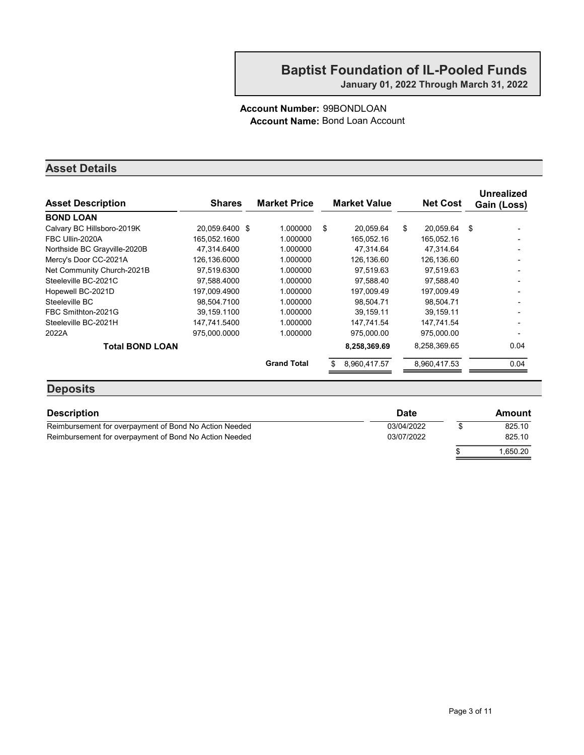#### Account Number: 99BONDLOAN Account Name: Bond Loan Account

#### Asset Details

| <b>Asset Description</b>     | <b>Shares</b>  | <b>Market Price</b> | <b>Market Value</b> | <b>Net Cost</b> | <b>Unrealized</b><br>Gain (Loss) |
|------------------------------|----------------|---------------------|---------------------|-----------------|----------------------------------|
| <b>BOND LOAN</b>             |                |                     |                     |                 |                                  |
| Calvary BC Hillsboro-2019K   | 20,059.6400 \$ | 1.000000            | \$<br>20,059.64     | \$<br>20.059.64 | \$                               |
| FBC Ullin-2020A              | 165.052.1600   | 1.000000            | 165,052.16          | 165.052.16      |                                  |
| Northside BC Grayville-2020B | 47,314.6400    | 1.000000            | 47,314.64           | 47,314.64       |                                  |
| Mercy's Door CC-2021A        | 126,136,6000   | 1.000000            | 126.136.60          | 126,136.60      |                                  |
| Net Community Church-2021B   | 97,519.6300    | 1.000000            | 97,519.63           | 97,519.63       |                                  |
| Steeleville BC-2021C         | 97,588.4000    | 1.000000            | 97,588.40           | 97,588.40       |                                  |
| Hopewell BC-2021D            | 197,009.4900   | 1.000000            | 197.009.49          | 197,009.49      |                                  |
| Steeleville BC               | 98.504.7100    | 1.000000            | 98.504.71           | 98.504.71       |                                  |
| FBC Smithton-2021G           | 39,159.1100    | 1.000000            | 39, 159. 11         | 39.159.11       |                                  |
| Steeleville BC-2021H         | 147.741.5400   | 1.000000            | 147.741.54          | 147,741.54      |                                  |
| 2022A                        | 975.000.0000   | 1.000000            | 975,000.00          | 975,000.00      |                                  |
| <b>Total BOND LOAN</b>       |                |                     | 8,258,369.69        | 8,258,369.65    | 0.04                             |
|                              |                | <b>Grand Total</b>  | 8,960,417.57        | 8,960,417.53    | 0.04                             |
|                              |                |                     |                     |                 |                                  |

#### **Deposits**

| <b>Description</b>                                     | <b>Date</b> | Amount   |
|--------------------------------------------------------|-------------|----------|
| Reimbursement for overpayment of Bond No Action Needed | 03/04/2022  | 825.10   |
| Reimbursement for overpayment of Bond No Action Needed | 03/07/2022  | 825.10   |
|                                                        |             | 1.650.20 |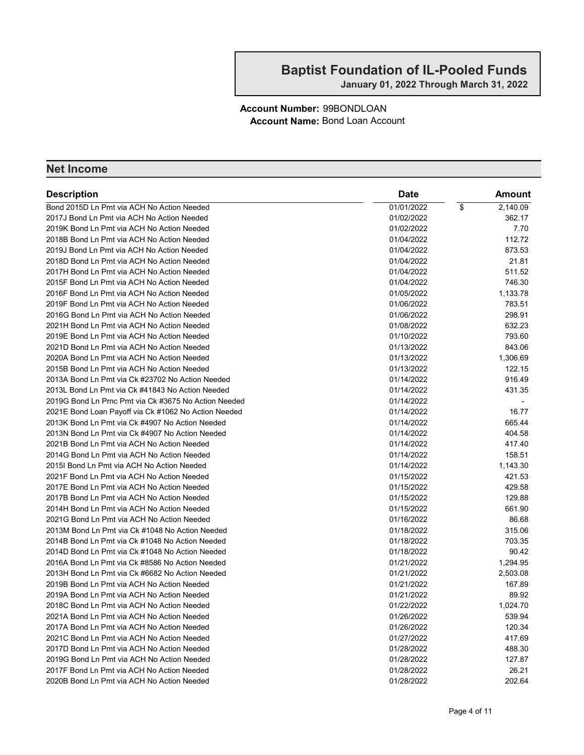Account Number: 99BONDLOAN Account Name: Bond Loan Account

| <b>Description</b>                                   | <b>Date</b> |            | Amount   |
|------------------------------------------------------|-------------|------------|----------|
| Bond 2015D Ln Pmt via ACH No Action Needed           | 01/01/2022  | $\sqrt{2}$ | 2,140.09 |
| 2017J Bond Ln Pmt via ACH No Action Needed           | 01/02/2022  |            | 362.17   |
| 2019K Bond Ln Pmt via ACH No Action Needed           | 01/02/2022  |            | 7.70     |
| 2018B Bond Ln Pmt via ACH No Action Needed           | 01/04/2022  |            | 112.72   |
| 2019J Bond Ln Pmt via ACH No Action Needed           | 01/04/2022  |            | 873.53   |
| 2018D Bond Ln Pmt via ACH No Action Needed           | 01/04/2022  |            | 21.81    |
| 2017H Bond Ln Pmt via ACH No Action Needed           | 01/04/2022  |            | 511.52   |
| 2015F Bond Ln Pmt via ACH No Action Needed           | 01/04/2022  |            | 746.30   |
| 2016F Bond Ln Pmt via ACH No Action Needed           | 01/05/2022  |            | 1,133.78 |
| 2019F Bond Ln Pmt via ACH No Action Needed           | 01/06/2022  |            | 783.51   |
| 2016G Bond Ln Pmt via ACH No Action Needed           | 01/06/2022  |            | 298.91   |
| 2021H Bond Ln Pmt via ACH No Action Needed           | 01/08/2022  |            | 632.23   |
| 2019E Bond Ln Pmt via ACH No Action Needed           | 01/10/2022  |            | 793.60   |
| 2021D Bond Ln Pmt via ACH No Action Needed           | 01/13/2022  |            | 843.06   |
| 2020A Bond Ln Pmt via ACH No Action Needed           | 01/13/2022  |            | 1,306.69 |
| 2015B Bond Ln Pmt via ACH No Action Needed           | 01/13/2022  |            | 122.15   |
| 2013A Bond Ln Pmt via Ck #23702 No Action Needed     | 01/14/2022  |            | 916.49   |
| 2013L Bond Ln Pmt via Ck #41843 No Action Needed     | 01/14/2022  |            | 431.35   |
| 2019G Bond Ln Prnc Pmt via Ck #3675 No Action Needed | 01/14/2022  |            |          |
| 2021E Bond Loan Payoff via Ck #1062 No Action Needed | 01/14/2022  |            | 16.77    |
| 2013K Bond Ln Pmt via Ck #4907 No Action Needed      | 01/14/2022  |            | 665.44   |
| 2013N Bond Ln Pmt via Ck #4907 No Action Needed      | 01/14/2022  |            | 404.58   |
| 2021B Bond Ln Pmt via ACH No Action Needed           | 01/14/2022  |            | 417.40   |
| 2014G Bond Ln Pmt via ACH No Action Needed           | 01/14/2022  |            | 158.51   |
| 2015I Bond Ln Pmt via ACH No Action Needed           | 01/14/2022  |            | 1,143.30 |
| 2021F Bond Ln Pmt via ACH No Action Needed           | 01/15/2022  |            | 421.53   |
| 2017E Bond Ln Pmt via ACH No Action Needed           | 01/15/2022  |            | 429.58   |
| 2017B Bond Ln Pmt via ACH No Action Needed           | 01/15/2022  |            | 129.88   |
| 2014H Bond Ln Pmt via ACH No Action Needed           | 01/15/2022  |            | 661.90   |
| 2021G Bond Ln Pmt via ACH No Action Needed           | 01/16/2022  |            | 86.68    |
| 2013M Bond Ln Pmt via Ck #1048 No Action Needed      | 01/18/2022  |            | 315.06   |
| 2014B Bond Ln Pmt via Ck #1048 No Action Needed      | 01/18/2022  |            | 703.35   |
| 2014D Bond Ln Pmt via Ck #1048 No Action Needed      | 01/18/2022  |            | 90.42    |
| 2016A Bond Ln Pmt via Ck #8586 No Action Needed      | 01/21/2022  |            | 1,294.95 |
| 2013H Bond Ln Pmt via Ck #6682 No Action Needed      | 01/21/2022  |            | 2,503.08 |
| 2019B Bond Ln Pmt via ACH No Action Needed           | 01/21/2022  |            | 167.89   |
| 2019A Bond Ln Pmt via ACH No Action Needed           | 01/21/2022  |            | 89.92    |
| 2018C Bond Ln Pmt via ACH No Action Needed           | 01/22/2022  |            | 1,024.70 |
| 2021A Bond Ln Pmt via ACH No Action Needed           | 01/26/2022  |            | 539.94   |
| 2017A Bond Ln Pmt via ACH No Action Needed           | 01/26/2022  |            | 120.34   |
| 2021C Bond Ln Pmt via ACH No Action Needed           | 01/27/2022  |            | 417.69   |
| 2017D Bond Ln Pmt via ACH No Action Needed           | 01/28/2022  |            | 488.30   |
| 2019G Bond Ln Pmt via ACH No Action Needed           | 01/28/2022  |            | 127.87   |
| 2017F Bond Ln Pmt via ACH No Action Needed           | 01/28/2022  |            | 26.21    |
| 2020B Bond Ln Pmt via ACH No Action Needed           | 01/28/2022  |            | 202.64   |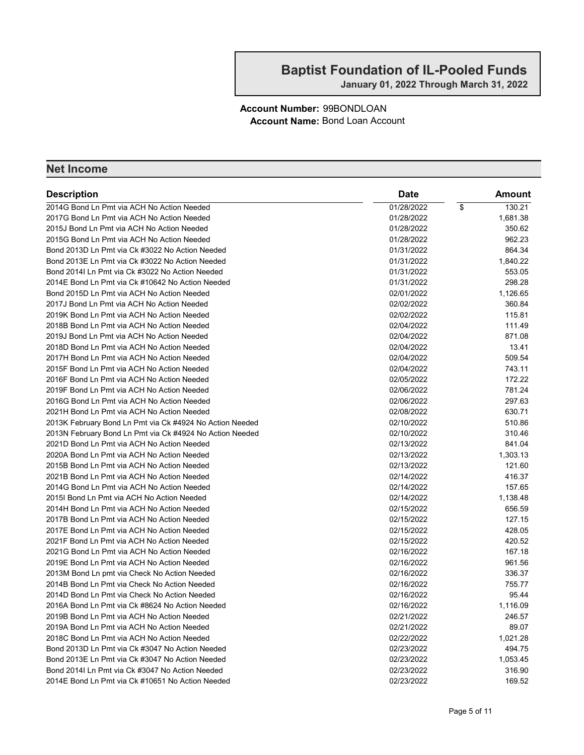Account Number: 99BONDLOAN Account Name: Bond Loan Account

| <b>Description</b>                                       | Date       | Amount       |
|----------------------------------------------------------|------------|--------------|
| 2014G Bond Ln Pmt via ACH No Action Needed               | 01/28/2022 | 130.21<br>\$ |
| 2017G Bond Ln Pmt via ACH No Action Needed               | 01/28/2022 | 1,681.38     |
| 2015J Bond Ln Pmt via ACH No Action Needed               | 01/28/2022 | 350.62       |
| 2015G Bond Ln Pmt via ACH No Action Needed               | 01/28/2022 | 962.23       |
| Bond 2013D Ln Pmt via Ck #3022 No Action Needed          | 01/31/2022 | 864.34       |
| Bond 2013E Ln Pmt via Ck #3022 No Action Needed          | 01/31/2022 | 1,840.22     |
| Bond 2014I Ln Pmt via Ck #3022 No Action Needed          | 01/31/2022 | 553.05       |
| 2014E Bond Ln Pmt via Ck #10642 No Action Needed         | 01/31/2022 | 298.28       |
| Bond 2015D Ln Pmt via ACH No Action Needed               | 02/01/2022 | 1,126.65     |
| 2017J Bond Ln Pmt via ACH No Action Needed               | 02/02/2022 | 360.84       |
| 2019K Bond Ln Pmt via ACH No Action Needed               | 02/02/2022 | 115.81       |
| 2018B Bond Ln Pmt via ACH No Action Needed               | 02/04/2022 | 111.49       |
| 2019J Bond Ln Pmt via ACH No Action Needed               | 02/04/2022 | 871.08       |
| 2018D Bond Ln Pmt via ACH No Action Needed               | 02/04/2022 | 13.41        |
| 2017H Bond Ln Pmt via ACH No Action Needed               | 02/04/2022 | 509.54       |
| 2015F Bond Ln Pmt via ACH No Action Needed               | 02/04/2022 | 743.11       |
| 2016F Bond Ln Pmt via ACH No Action Needed               | 02/05/2022 | 172.22       |
| 2019F Bond Ln Pmt via ACH No Action Needed               | 02/06/2022 | 781.24       |
| 2016G Bond Ln Pmt via ACH No Action Needed               | 02/06/2022 | 297.63       |
| 2021H Bond Ln Pmt via ACH No Action Needed               | 02/08/2022 | 630.71       |
| 2013K February Bond Ln Pmt via Ck #4924 No Action Needed | 02/10/2022 | 510.86       |
| 2013N February Bond Ln Pmt via Ck #4924 No Action Needed | 02/10/2022 | 310.46       |
| 2021D Bond Ln Pmt via ACH No Action Needed               | 02/13/2022 | 841.04       |
| 2020A Bond Ln Pmt via ACH No Action Needed               | 02/13/2022 | 1,303.13     |
| 2015B Bond Ln Pmt via ACH No Action Needed               | 02/13/2022 | 121.60       |
| 2021B Bond Ln Pmt via ACH No Action Needed               | 02/14/2022 | 416.37       |
| 2014G Bond Ln Pmt via ACH No Action Needed               | 02/14/2022 | 157.65       |
| 2015I Bond Ln Pmt via ACH No Action Needed               | 02/14/2022 | 1,138.48     |
| 2014H Bond Ln Pmt via ACH No Action Needed               | 02/15/2022 | 656.59       |
| 2017B Bond Ln Pmt via ACH No Action Needed               | 02/15/2022 | 127.15       |
| 2017E Bond Ln Pmt via ACH No Action Needed               | 02/15/2022 | 428.05       |
| 2021F Bond Ln Pmt via ACH No Action Needed               | 02/15/2022 | 420.52       |
| 2021G Bond Ln Pmt via ACH No Action Needed               | 02/16/2022 | 167.18       |
| 2019E Bond Ln Pmt via ACH No Action Needed               | 02/16/2022 | 961.56       |
| 2013M Bond Ln pmt via Check No Action Needed             | 02/16/2022 | 336.37       |
| 2014B Bond Ln Pmt via Check No Action Needed             | 02/16/2022 | 755.77       |
| 2014D Bond Ln Pmt via Check No Action Needed             | 02/16/2022 | 95.44        |
| 2016A Bond Ln Pmt via Ck #8624 No Action Needed          | 02/16/2022 | 1,116.09     |
| 2019B Bond Ln Pmt via ACH No Action Needed               | 02/21/2022 | 246.57       |
| 2019A Bond Ln Pmt via ACH No Action Needed               | 02/21/2022 | 89.07        |
| 2018C Bond Ln Pmt via ACH No Action Needed               | 02/22/2022 | 1,021.28     |
| Bond 2013D Ln Pmt via Ck #3047 No Action Needed          | 02/23/2022 | 494.75       |
| Bond 2013E Ln Pmt via Ck #3047 No Action Needed          | 02/23/2022 | 1,053.45     |
| Bond 2014I Ln Pmt via Ck #3047 No Action Needed          | 02/23/2022 | 316.90       |
| 2014E Bond Ln Pmt via Ck #10651 No Action Needed         | 02/23/2022 | 169.52       |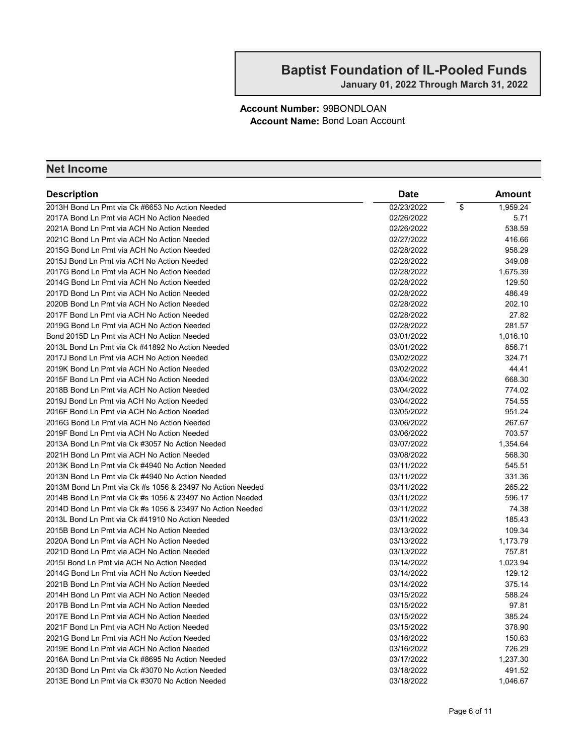Account Number: 99BONDLOAN Account Name: Bond Loan Account

| <b>Description</b>                                        | Date       | Amount         |
|-----------------------------------------------------------|------------|----------------|
| 2013H Bond Ln Pmt via Ck #6653 No Action Needed           | 02/23/2022 | \$<br>1,959.24 |
| 2017A Bond Ln Pmt via ACH No Action Needed                | 02/26/2022 | 5.71           |
| 2021A Bond Ln Pmt via ACH No Action Needed                | 02/26/2022 | 538.59         |
| 2021C Bond Ln Pmt via ACH No Action Needed                | 02/27/2022 | 416.66         |
| 2015G Bond Ln Pmt via ACH No Action Needed                | 02/28/2022 | 958.29         |
| 2015J Bond Ln Pmt via ACH No Action Needed                | 02/28/2022 | 349.08         |
| 2017G Bond Ln Pmt via ACH No Action Needed                | 02/28/2022 | 1,675.39       |
| 2014G Bond Ln Pmt via ACH No Action Needed                | 02/28/2022 | 129.50         |
| 2017D Bond Ln Pmt via ACH No Action Needed                | 02/28/2022 | 486.49         |
| 2020B Bond Ln Pmt via ACH No Action Needed                | 02/28/2022 | 202.10         |
| 2017F Bond Ln Pmt via ACH No Action Needed                | 02/28/2022 | 27.82          |
| 2019G Bond Ln Pmt via ACH No Action Needed                | 02/28/2022 | 281.57         |
| Bond 2015D Ln Pmt via ACH No Action Needed                | 03/01/2022 | 1,016.10       |
| 2013L Bond Ln Pmt via Ck #41892 No Action Needed          | 03/01/2022 | 856.71         |
| 2017J Bond Ln Pmt via ACH No Action Needed                | 03/02/2022 | 324.71         |
| 2019K Bond Ln Pmt via ACH No Action Needed                | 03/02/2022 | 44.41          |
| 2015F Bond Ln Pmt via ACH No Action Needed                | 03/04/2022 | 668.30         |
| 2018B Bond Ln Pmt via ACH No Action Needed                | 03/04/2022 | 774.02         |
| 2019J Bond Ln Pmt via ACH No Action Needed                | 03/04/2022 | 754.55         |
| 2016F Bond Ln Pmt via ACH No Action Needed                | 03/05/2022 | 951.24         |
| 2016G Bond Ln Pmt via ACH No Action Needed                | 03/06/2022 | 267.67         |
| 2019F Bond Ln Pmt via ACH No Action Needed                | 03/06/2022 | 703.57         |
| 2013A Bond Ln Pmt via Ck #3057 No Action Needed           | 03/07/2022 | 1,354.64       |
| 2021H Bond Ln Pmt via ACH No Action Needed                | 03/08/2022 | 568.30         |
| 2013K Bond Ln Pmt via Ck #4940 No Action Needed           | 03/11/2022 | 545.51         |
| 2013N Bond Ln Pmt via Ck #4940 No Action Needed           | 03/11/2022 | 331.36         |
| 2013M Bond Ln Pmt via Ck #s 1056 & 23497 No Action Needed | 03/11/2022 | 265.22         |
| 2014B Bond Ln Pmt via Ck #s 1056 & 23497 No Action Needed | 03/11/2022 | 596.17         |
| 2014D Bond Ln Pmt via Ck #s 1056 & 23497 No Action Needed | 03/11/2022 | 74.38          |
| 2013L Bond Ln Pmt via Ck #41910 No Action Needed          | 03/11/2022 | 185.43         |
| 2015B Bond Ln Pmt via ACH No Action Needed                | 03/13/2022 | 109.34         |
| 2020A Bond Ln Pmt via ACH No Action Needed                | 03/13/2022 | 1,173.79       |
| 2021D Bond Ln Pmt via ACH No Action Needed                | 03/13/2022 | 757.81         |
| 2015I Bond Ln Pmt via ACH No Action Needed                | 03/14/2022 | 1,023.94       |
| 2014G Bond Ln Pmt via ACH No Action Needed                | 03/14/2022 | 129.12         |
| 2021B Bond Ln Pmt via ACH No Action Needed                | 03/14/2022 | 375.14         |
| 2014H Bond Ln Pmt via ACH No Action Needed                | 03/15/2022 | 588.24         |
| 2017B Bond Ln Pmt via ACH No Action Needed                | 03/15/2022 | 97.81          |
| 2017E Bond Ln Pmt via ACH No Action Needed                | 03/15/2022 | 385.24         |
| 2021F Bond Ln Pmt via ACH No Action Needed                | 03/15/2022 | 378.90         |
| 2021G Bond Ln Pmt via ACH No Action Needed                | 03/16/2022 | 150.63         |
| 2019E Bond Ln Pmt via ACH No Action Needed                | 03/16/2022 | 726.29         |
| 2016A Bond Ln Pmt via Ck #8695 No Action Needed           | 03/17/2022 | 1,237.30       |
| 2013D Bond Ln Pmt via Ck #3070 No Action Needed           | 03/18/2022 | 491.52         |
| 2013E Bond Ln Pmt via Ck #3070 No Action Needed           | 03/18/2022 | 1,046.67       |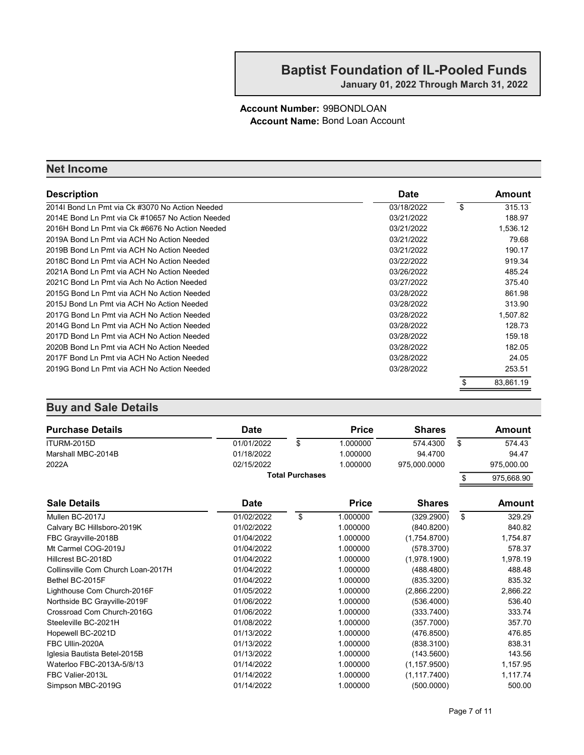#### Account Number: 99BONDLOAN Account Name: Bond Loan Account

#### Net Income

| <b>Description</b>                               | <b>Date</b> | Amount          |
|--------------------------------------------------|-------------|-----------------|
| 2014I Bond Ln Pmt via Ck #3070 No Action Needed  | 03/18/2022  | \$<br>315.13    |
| 2014E Bond Ln Pmt via Ck #10657 No Action Needed | 03/21/2022  | 188.97          |
| 2016H Bond Ln Pmt via Ck #6676 No Action Needed  | 03/21/2022  | 1,536.12        |
| 2019A Bond Ln Pmt via ACH No Action Needed       | 03/21/2022  | 79.68           |
| 2019B Bond Ln Pmt via ACH No Action Needed       | 03/21/2022  | 190.17          |
| 2018C Bond Ln Pmt via ACH No Action Needed       | 03/22/2022  | 919.34          |
| 2021A Bond Ln Pmt via ACH No Action Needed       | 03/26/2022  | 485.24          |
| 2021C Bond Ln Pmt via Ach No Action Needed       | 03/27/2022  | 375.40          |
| 2015G Bond Ln Pmt via ACH No Action Needed       | 03/28/2022  | 861.98          |
| 2015J Bond Ln Pmt via ACH No Action Needed       | 03/28/2022  | 313.90          |
| 2017G Bond Ln Pmt via ACH No Action Needed       | 03/28/2022  | 1.507.82        |
| 2014G Bond Ln Pmt via ACH No Action Needed       | 03/28/2022  | 128.73          |
| 2017D Bond Ln Pmt via ACH No Action Needed       | 03/28/2022  | 159.18          |
| 2020B Bond Ln Pmt via ACH No Action Needed       | 03/28/2022  | 182.05          |
| 2017F Bond Ln Pmt via ACH No Action Needed       | 03/28/2022  | 24.05           |
| 2019G Bond Ln Pmt via ACH No Action Needed       | 03/28/2022  | 253.51          |
|                                                  |             | \$<br>83,861.19 |

| <b>Purchase Details</b>            | <b>Date</b> |                        | <b>Price</b> | <b>Shares</b> | <b>Amount</b>    |
|------------------------------------|-------------|------------------------|--------------|---------------|------------------|
| ITURM-2015D                        | 01/01/2022  | \$                     | 1.000000     | 574.4300      | \$<br>574.43     |
| Marshall MBC-2014B                 | 01/18/2022  |                        | 1.000000     | 94.4700       | 94.47            |
| 2022A                              | 02/15/2022  |                        | 1.000000     | 975,000.0000  | 975,000.00       |
|                                    |             | <b>Total Purchases</b> |              |               | \$<br>975,668.90 |
| <b>Sale Details</b>                | <b>Date</b> |                        | <b>Price</b> | <b>Shares</b> | <b>Amount</b>    |
| Mullen BC-2017J                    | 01/02/2022  | \$                     | 1.000000     | (329.2900)    | \$<br>329.29     |
| Calvary BC Hillsboro-2019K         | 01/02/2022  |                        | 1.000000     | (840.8200)    | 840.82           |
| FBC Grayville-2018B                | 01/04/2022  |                        | 1.000000     | (1.754.8700)  | 1,754.87         |
| Mt Carmel COG-2019J                | 01/04/2022  |                        | 1.000000     | (578.3700)    | 578.37           |
| Hillcrest BC-2018D                 | 01/04/2022  |                        | 1.000000     | (1,978.1900)  | 1,978.19         |
| Collinsville Com Church Loan-2017H | 01/04/2022  |                        | 1.000000     | (488.4800)    | 488.48           |
| Bethel BC-2015F                    | 01/04/2022  |                        | 1.000000     | (835.3200)    | 835.32           |
| Lighthouse Com Church-2016F        | 01/05/2022  |                        | 1.000000     | (2,866.2200)  | 2,866.22         |
| Northside BC Grayville-2019F       | 01/06/2022  |                        | 1.000000     | (536.4000)    | 536.40           |
| Crossroad Com Church-2016G         | 01/06/2022  |                        | 1.000000     | (333.7400)    | 333.74           |
| Steeleville BC-2021H               | 01/08/2022  |                        | 1.000000     | (357.7000)    | 357.70           |
| Hopewell BC-2021D                  | 01/13/2022  |                        | 1.000000     | (476.8500)    | 476.85           |
| FBC Ullin-2020A                    | 01/13/2022  |                        | 1.000000     | (838.3100)    | 838.31           |
| Iglesia Bautista Betel-2015B       | 01/13/2022  |                        | 1.000000     | (143.5600)    | 143.56           |
| Waterloo FBC-2013A-5/8/13          | 01/14/2022  |                        | 1.000000     | (1, 157.9500) | 1,157.95         |
| FBC Valier-2013L                   | 01/14/2022  |                        | 1.000000     | (1, 117.7400) | 1,117.74         |
| Simpson MBC-2019G                  | 01/14/2022  |                        | 1.000000     | (500.0000)    | 500.00           |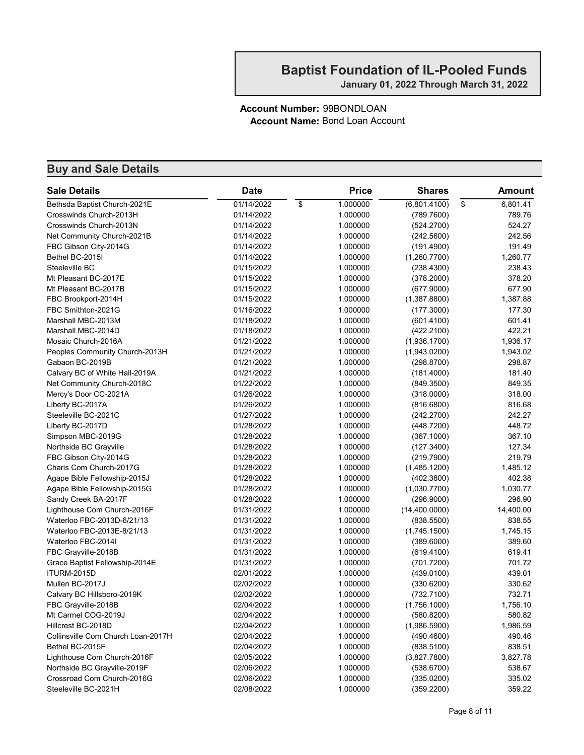#### Account Number: 99BONDLOAN Account Name: Bond Loan Account

| <b>Sale Details</b>                | <b>Date</b> | <b>Price</b>   | <b>Shares</b>  | <b>Amount</b>  |
|------------------------------------|-------------|----------------|----------------|----------------|
| Bethsda Baptist Church-2021E       | 01/14/2022  | \$<br>1.000000 | (6,801.4100)   | \$<br>6,801.41 |
| Crosswinds Church-2013H            | 01/14/2022  | 1.000000       | (789.7600)     | 789.76         |
| Crosswinds Church-2013N            | 01/14/2022  | 1.000000       | (524.2700)     | 524.27         |
| Net Community Church-2021B         | 01/14/2022  | 1.000000       | (242.5600)     | 242.56         |
| FBC Gibson City-2014G              | 01/14/2022  | 1.000000       | (191.4900)     | 191.49         |
| Bethel BC-2015I                    | 01/14/2022  | 1.000000       | (1,260.7700)   | 1,260.77       |
| Steeleville BC                     | 01/15/2022  | 1.000000       | (238.4300)     | 238.43         |
| Mt Pleasant BC-2017E               | 01/15/2022  | 1.000000       | (378.2000)     | 378.20         |
| Mt Pleasant BC-2017B               | 01/15/2022  | 1.000000       | (677.9000)     | 677.90         |
| FBC Brookport-2014H                | 01/15/2022  | 1.000000       | (1,387.8800)   | 1,387.88       |
| FBC Smithton-2021G                 | 01/16/2022  | 1.000000       | (177.3000)     | 177.30         |
| Marshall MBC-2013M                 | 01/18/2022  | 1.000000       | (601.4100)     | 601.41         |
| Marshall MBC-2014D                 | 01/18/2022  | 1.000000       | (422.2100)     | 422.21         |
| Mosaic Church-2016A                | 01/21/2022  | 1.000000       | (1,936.1700)   | 1,936.17       |
| Peoples Community Church-2013H     | 01/21/2022  | 1.000000       | (1,943.0200)   | 1,943.02       |
| Gabaon BC-2019B                    | 01/21/2022  | 1.000000       | (298.8700)     | 298.87         |
| Calvary BC of White Hall-2019A     | 01/21/2022  | 1.000000       | (181.4000)     | 181.40         |
| Net Community Church-2018C         | 01/22/2022  | 1.000000       | (849.3500)     | 849.35         |
| Mercy's Door CC-2021A              | 01/26/2022  | 1.000000       | (318.0000)     | 318.00         |
| Liberty BC-2017A                   | 01/26/2022  | 1.000000       | (816.6800)     | 816.68         |
| Steeleville BC-2021C               | 01/27/2022  | 1.000000       | (242.2700)     | 242.27         |
| Liberty BC-2017D                   | 01/28/2022  | 1.000000       | (448.7200)     | 448.72         |
| Simpson MBC-2019G                  | 01/28/2022  | 1.000000       | (367.1000)     | 367.10         |
| Northside BC Grayville             | 01/28/2022  | 1.000000       | (127.3400)     | 127.34         |
| FBC Gibson City-2014G              | 01/28/2022  | 1.000000       | (219.7900)     | 219.79         |
| Charis Com Church-2017G            | 01/28/2022  | 1.000000       | (1,485.1200)   | 1,485.12       |
| Agape Bible Fellowship-2015J       | 01/28/2022  | 1.000000       | (402.3800)     | 402.38         |
| Agape Bible Fellowship-2015G       | 01/28/2022  | 1.000000       | (1,030.7700)   | 1,030.77       |
| Sandy Creek BA-2017F               | 01/28/2022  | 1.000000       | (296.9000)     | 296.90         |
| Lighthouse Com Church-2016F        | 01/31/2022  | 1.000000       | (14, 400.0000) | 14,400.00      |
| Waterloo FBC-2013D-6/21/13         | 01/31/2022  | 1.000000       | (838.5500)     | 838.55         |
| Waterloo FBC-2013E-8/21/13         | 01/31/2022  | 1.000000       | (1,745.1500)   | 1,745.15       |
| Waterloo FBC-2014I                 | 01/31/2022  | 1.000000       | (389.6000)     | 389.60         |
| FBC Grayville-2018B                | 01/31/2022  | 1.000000       | (619.4100)     | 619.41         |
| Grace Baptist Fellowship-2014E     | 01/31/2022  | 1.000000       | (701.7200)     | 701.72         |
| <b>ITURM-2015D</b>                 | 02/01/2022  | 1.000000       | (439.0100)     | 439.01         |
| Mullen BC-2017J                    | 02/02/2022  | 1.000000       | (330.6200)     | 330.62         |
| Calvary BC Hillsboro-2019K         | 02/02/2022  | 1.000000       | (732.7100)     | 732.71         |
| FBC Grayville-2018B                | 02/04/2022  | 1.000000       | (1,756.1000)   | 1,756.10       |
| Mt Carmel COG-2019J                | 02/04/2022  | 1.000000       | (580.8200)     | 580.82         |
| Hillcrest BC-2018D                 | 02/04/2022  | 1.000000       | (1,986.5900)   | 1,986.59       |
| Collinsville Com Church Loan-2017H | 02/04/2022  | 1.000000       | (490.4600)     | 490.46         |
| Bethel BC-2015F                    | 02/04/2022  | 1.000000       | (838.5100)     | 838.51         |
| Lighthouse Com Church-2016F        | 02/05/2022  | 1.000000       | (3,827.7800)   | 3,827.78       |
| Northside BC Grayville-2019F       | 02/06/2022  | 1.000000       | (538.6700)     | 538.67         |
| Crossroad Com Church-2016G         | 02/06/2022  | 1.000000       | (335.0200)     | 335.02         |
| Steeleville BC-2021H               | 02/08/2022  | 1.000000       | (359.2200)     | 359.22         |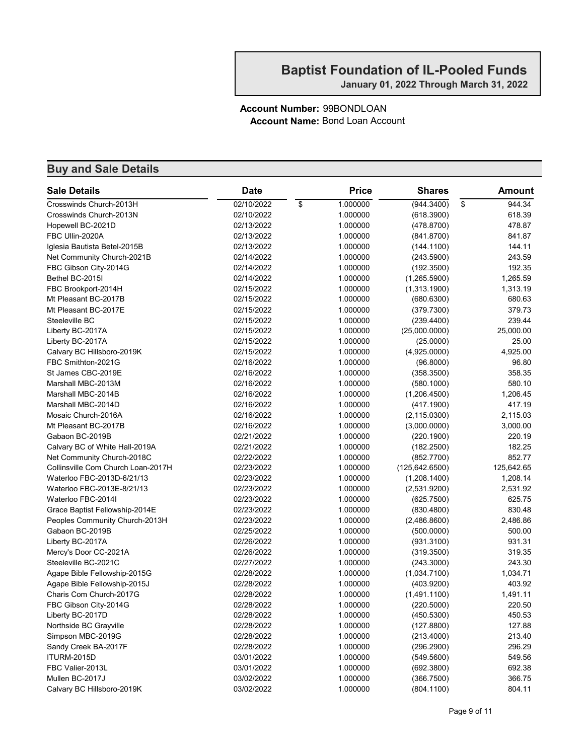#### Account Number: 99BONDLOAN Account Name: Bond Loan Account

| <b>Sale Details</b>                | <b>Date</b> | <b>Price</b>   | <b>Shares</b>   | <b>Amount</b> |
|------------------------------------|-------------|----------------|-----------------|---------------|
| Crosswinds Church-2013H            | 02/10/2022  | \$<br>1.000000 | (944.3400)      | \$<br>944.34  |
| Crosswinds Church-2013N            | 02/10/2022  | 1.000000       | (618.3900)      | 618.39        |
| Hopewell BC-2021D                  | 02/13/2022  | 1.000000       | (478.8700)      | 478.87        |
| FBC Ullin-2020A                    | 02/13/2022  | 1.000000       | (841.8700)      | 841.87        |
| Iglesia Bautista Betel-2015B       | 02/13/2022  | 1.000000       | (144.1100)      | 144.11        |
| Net Community Church-2021B         | 02/14/2022  | 1.000000       | (243.5900)      | 243.59        |
| FBC Gibson City-2014G              | 02/14/2022  | 1.000000       | (192.3500)      | 192.35        |
| Bethel BC-2015I                    | 02/14/2022  | 1.000000       | (1,265.5900)    | 1,265.59      |
| FBC Brookport-2014H                | 02/15/2022  | 1.000000       | (1,313.1900)    | 1,313.19      |
| Mt Pleasant BC-2017B               | 02/15/2022  | 1.000000       | (680.6300)      | 680.63        |
| Mt Pleasant BC-2017E               | 02/15/2022  | 1.000000       | (379.7300)      | 379.73        |
| Steeleville BC                     | 02/15/2022  | 1.000000       | (239.4400)      | 239.44        |
| Liberty BC-2017A                   | 02/15/2022  | 1.000000       | (25,000.0000)   | 25,000.00     |
| Liberty BC-2017A                   | 02/15/2022  | 1.000000       | (25.0000)       | 25.00         |
| Calvary BC Hillsboro-2019K         | 02/15/2022  | 1.000000       | (4,925.0000)    | 4,925.00      |
| FBC Smithton-2021G                 | 02/16/2022  | 1.000000       | (96.8000)       | 96.80         |
| St James CBC-2019E                 | 02/16/2022  | 1.000000       | (358.3500)      | 358.35        |
| Marshall MBC-2013M                 | 02/16/2022  | 1.000000       | (580.1000)      | 580.10        |
| Marshall MBC-2014B                 | 02/16/2022  | 1.000000       | (1,206.4500)    | 1,206.45      |
| Marshall MBC-2014D                 | 02/16/2022  | 1.000000       | (417.1900)      | 417.19        |
| Mosaic Church-2016A                | 02/16/2022  | 1.000000       | (2, 115.0300)   | 2,115.03      |
| Mt Pleasant BC-2017B               | 02/16/2022  | 1.000000       | (3,000.0000)    | 3,000.00      |
| Gabaon BC-2019B                    | 02/21/2022  | 1.000000       | (220.1900)      | 220.19        |
| Calvary BC of White Hall-2019A     | 02/21/2022  | 1.000000       | (182.2500)      | 182.25        |
| Net Community Church-2018C         | 02/22/2022  | 1.000000       | (852.7700)      | 852.77        |
| Collinsville Com Church Loan-2017H | 02/23/2022  | 1.000000       | (125, 642.6500) | 125,642.65    |
| Waterloo FBC-2013D-6/21/13         | 02/23/2022  | 1.000000       | (1,208.1400)    | 1,208.14      |
| Waterloo FBC-2013E-8/21/13         | 02/23/2022  | 1.000000       | (2,531.9200)    | 2,531.92      |
| Waterloo FBC-2014I                 | 02/23/2022  | 1.000000       | (625.7500)      | 625.75        |
| Grace Baptist Fellowship-2014E     | 02/23/2022  | 1.000000       | (830.4800)      | 830.48        |
| Peoples Community Church-2013H     | 02/23/2022  | 1.000000       | (2,486.8600)    | 2,486.86      |
| Gabaon BC-2019B                    | 02/25/2022  | 1.000000       | (500.0000)      | 500.00        |
| Liberty BC-2017A                   | 02/26/2022  | 1.000000       | (931.3100)      | 931.31        |
| Mercy's Door CC-2021A              | 02/26/2022  | 1.000000       | (319.3500)      | 319.35        |
| Steeleville BC-2021C               | 02/27/2022  | 1.000000       | (243.3000)      | 243.30        |
| Agape Bible Fellowship-2015G       | 02/28/2022  | 1.000000       | (1,034.7100)    | 1,034.71      |
| Agape Bible Fellowship-2015J       | 02/28/2022  | 1.000000       | (403.9200)      | 403.92        |
| Charis Com Church-2017G            | 02/28/2022  | 1.000000       | (1,491.1100)    | 1,491.11      |
| FBC Gibson City-2014G              | 02/28/2022  | 1.000000       | (220.5000)      | 220.50        |
| Liberty BC-2017D                   | 02/28/2022  | 1.000000       | (450.5300)      | 450.53        |
| Northside BC Grayville             | 02/28/2022  | 1.000000       | (127.8800)      | 127.88        |
| Simpson MBC-2019G                  | 02/28/2022  | 1.000000       | (213.4000)      | 213.40        |
| Sandy Creek BA-2017F               | 02/28/2022  | 1.000000       | (296.2900)      | 296.29        |
| ITURM-2015D                        | 03/01/2022  | 1.000000       | (549.5600)      | 549.56        |
| FBC Valier-2013L                   | 03/01/2022  | 1.000000       | (692.3800)      | 692.38        |
| Mullen BC-2017J                    | 03/02/2022  | 1.000000       | (366.7500)      | 366.75        |
| Calvary BC Hillsboro-2019K         | 03/02/2022  | 1.000000       | (804.1100)      | 804.11        |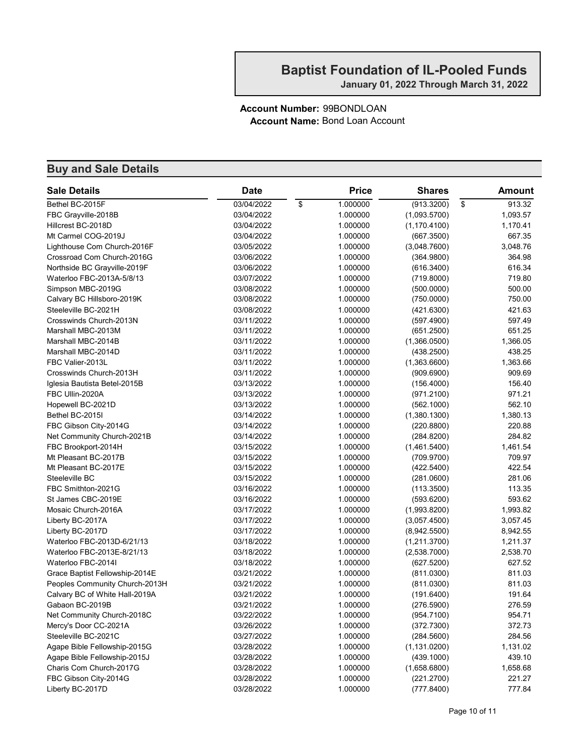#### Account Number: 99BONDLOAN Account Name: Bond Loan Account

| <b>Sale Details</b>            | <b>Date</b> | <b>Price</b>   | <b>Shares</b> | <b>Amount</b> |
|--------------------------------|-------------|----------------|---------------|---------------|
| Bethel BC-2015F                | 03/04/2022  | \$<br>1.000000 | (913.3200)    | \$<br>913.32  |
| FBC Grayville-2018B            | 03/04/2022  | 1.000000       | (1,093.5700)  | 1,093.57      |
| Hillcrest BC-2018D             | 03/04/2022  | 1.000000       | (1, 170.4100) | 1,170.41      |
| Mt Carmel COG-2019J            | 03/04/2022  | 1.000000       | (667.3500)    | 667.35        |
| Lighthouse Com Church-2016F    | 03/05/2022  | 1.000000       | (3,048.7600)  | 3,048.76      |
| Crossroad Com Church-2016G     | 03/06/2022  | 1.000000       | (364.9800)    | 364.98        |
| Northside BC Grayville-2019F   | 03/06/2022  | 1.000000       | (616.3400)    | 616.34        |
| Waterloo FBC-2013A-5/8/13      | 03/07/2022  | 1.000000       | (719.8000)    | 719.80        |
| Simpson MBC-2019G              | 03/08/2022  | 1.000000       | (500.0000)    | 500.00        |
| Calvary BC Hillsboro-2019K     | 03/08/2022  | 1.000000       | (750.0000)    | 750.00        |
| Steeleville BC-2021H           | 03/08/2022  | 1.000000       | (421.6300)    | 421.63        |
| Crosswinds Church-2013N        | 03/11/2022  | 1.000000       | (597.4900)    | 597.49        |
| Marshall MBC-2013M             | 03/11/2022  | 1.000000       | (651.2500)    | 651.25        |
| Marshall MBC-2014B             | 03/11/2022  | 1.000000       | (1,366.0500)  | 1,366.05      |
| Marshall MBC-2014D             | 03/11/2022  | 1.000000       | (438.2500)    | 438.25        |
| FBC Valier-2013L               | 03/11/2022  | 1.000000       | (1,363.6600)  | 1,363.66      |
| Crosswinds Church-2013H        | 03/11/2022  | 1.000000       | (909.6900)    | 909.69        |
| Iglesia Bautista Betel-2015B   | 03/13/2022  | 1.000000       | (156.4000)    | 156.40        |
| FBC Ullin-2020A                | 03/13/2022  | 1.000000       | (971.2100)    | 971.21        |
| Hopewell BC-2021D              | 03/13/2022  | 1.000000       | (562.1000)    | 562.10        |
| Bethel BC-2015I                | 03/14/2022  | 1.000000       | (1,380.1300)  | 1,380.13      |
| FBC Gibson City-2014G          | 03/14/2022  | 1.000000       | (220.8800)    | 220.88        |
| Net Community Church-2021B     | 03/14/2022  | 1.000000       | (284.8200)    | 284.82        |
| FBC Brookport-2014H            | 03/15/2022  | 1.000000       | (1,461.5400)  | 1,461.54      |
| Mt Pleasant BC-2017B           | 03/15/2022  | 1.000000       | (709.9700)    | 709.97        |
| Mt Pleasant BC-2017E           | 03/15/2022  | 1.000000       | (422.5400)    | 422.54        |
| Steeleville BC                 | 03/15/2022  | 1.000000       | (281.0600)    | 281.06        |
| FBC Smithton-2021G             | 03/16/2022  | 1.000000       | (113.3500)    | 113.35        |
| St James CBC-2019E             | 03/16/2022  | 1.000000       | (593.6200)    | 593.62        |
| Mosaic Church-2016A            | 03/17/2022  | 1.000000       | (1,993.8200)  | 1,993.82      |
| Liberty BC-2017A               | 03/17/2022  | 1.000000       | (3,057.4500)  | 3,057.45      |
| Liberty BC-2017D               | 03/17/2022  | 1.000000       | (8,942.5500)  | 8,942.55      |
| Waterloo FBC-2013D-6/21/13     | 03/18/2022  | 1.000000       | (1,211.3700)  | 1,211.37      |
| Waterloo FBC-2013E-8/21/13     | 03/18/2022  | 1.000000       | (2,538.7000)  | 2,538.70      |
| Waterloo FBC-2014I             | 03/18/2022  | 1.000000       | (627.5200)    | 627.52        |
| Grace Baptist Fellowship-2014E | 03/21/2022  | 1.000000       | (811.0300)    | 811.03        |
| Peoples Community Church-2013H | 03/21/2022  | 1.000000       | (811.0300)    | 811.03        |
| Calvary BC of White Hall-2019A | 03/21/2022  | 1.000000       | (191.6400)    | 191.64        |
| Gabaon BC-2019B                | 03/21/2022  | 1.000000       | (276.5900)    | 276.59        |
| Net Community Church-2018C     | 03/22/2022  | 1.000000       | (954.7100)    | 954.71        |
| Mercy's Door CC-2021A          | 03/26/2022  | 1.000000       | (372.7300)    | 372.73        |
| Steeleville BC-2021C           | 03/27/2022  | 1.000000       | (284.5600)    | 284.56        |
| Agape Bible Fellowship-2015G   | 03/28/2022  | 1.000000       | (1, 131.0200) | 1,131.02      |
| Agape Bible Fellowship-2015J   | 03/28/2022  | 1.000000       | (439.1000)    | 439.10        |
| Charis Com Church-2017G        | 03/28/2022  | 1.000000       | (1,658.6800)  | 1,658.68      |
| FBC Gibson City-2014G          | 03/28/2022  | 1.000000       | (221.2700)    | 221.27        |
| Liberty BC-2017D               | 03/28/2022  | 1.000000       | (777.8400)    | 777.84        |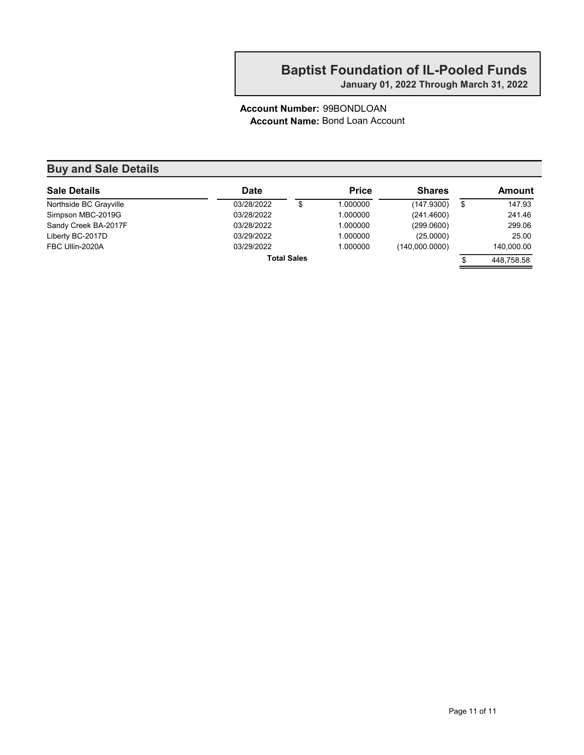January 01, 2022 Through March 31, 2022

#### Account Number: 99BONDLOAN Account Name: Bond Loan Account

| <b>Sale Details</b>    | <b>Date</b> |                    | <b>Price</b> | <b>Shares</b>  | Amount           |
|------------------------|-------------|--------------------|--------------|----------------|------------------|
| Northside BC Grayville | 03/28/2022  | \$                 | 1.000000     | (147.9300)     | \$<br>147.93     |
| Simpson MBC-2019G      | 03/28/2022  |                    | 1.000000     | (241.4600)     | 241.46           |
| Sandy Creek BA-2017F   | 03/28/2022  |                    | 1.000000     | (299.0600)     | 299.06           |
| Liberty BC-2017D       | 03/29/2022  |                    | 1.000000     | (25.0000)      | 25.00            |
| FBC Ullin-2020A        | 03/29/2022  |                    | 1.000000     | (140,000.0000) | 140,000.00       |
|                        |             | <b>Total Sales</b> |              |                | \$<br>448.758.58 |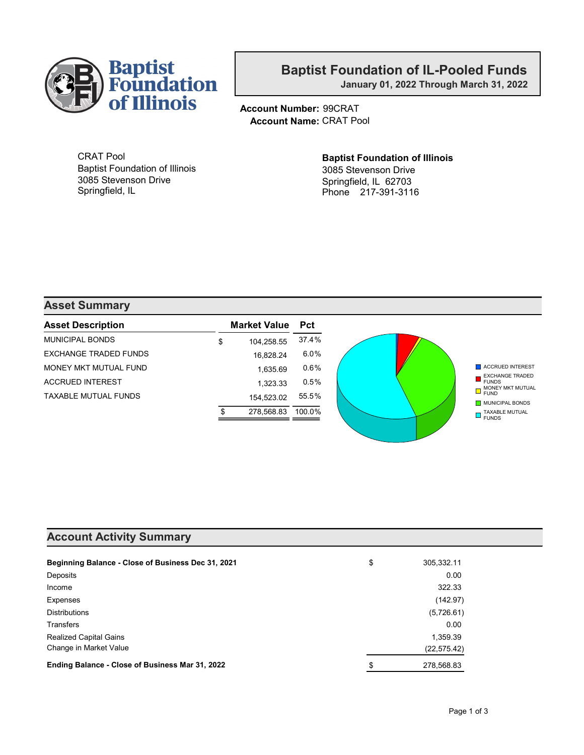

January 01, 2022 Through March 31, 2022

Account Number: 99CRAT Account Name: CRAT Pool

CRAT Pool Baptist Foundation of Illinois 3085 Stevenson Drive Springfield, IL

#### Baptist Foundation of Illinois 3085 Stevenson Drive Springfield, IL 62703 Phone 217-391-3116

#### Asset Summary

| <b>Asset Description</b>     | <b>Market Value</b> Pct |         |
|------------------------------|-------------------------|---------|
| MUNICIPAL BONDS              | \$<br>104,258.55        | 37.4%   |
| <b>EXCHANGE TRADED FUNDS</b> | 16,828.24               | 6.0%    |
| MONEY MKT MUTUAL FUND        | 1,635.69                | $0.6\%$ |
| <b>ACCRUED INTEREST</b>      | 1,323.33                | 0.5%    |
| <b>TAXABLE MUTUAL FUNDS</b>  | 154.523.02              | 55.5%   |
|                              | 278,568.83              | 100.0%  |

#### Account Activity Summary

| Beginning Balance - Close of Business Dec 31, 2021 | \$<br>305,332.11 |
|----------------------------------------------------|------------------|
| Deposits                                           | 0.00             |
| Income                                             | 322.33           |
| Expenses                                           | (142.97)         |
| <b>Distributions</b>                               | (5,726.61)       |
| <b>Transfers</b>                                   | 0.00             |
| <b>Realized Capital Gains</b>                      | 1,359.39         |
| Change in Market Value                             | (22, 575.42)     |
| Ending Balance - Close of Business Mar 31, 2022    | \$<br>278,568.83 |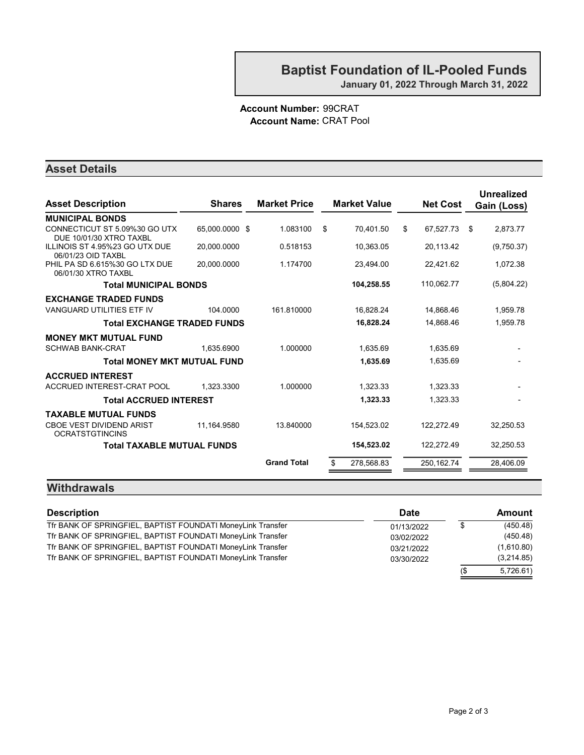#### Account Number: 99CRAT Account Name: CRAT Pool

#### Asset Details

| <b>Asset Description</b>                                  | <b>Shares</b>  | <b>Market Price</b> | <b>Market Value</b> | <b>Net Cost</b> | <b>Unrealized</b><br>Gain (Loss) |
|-----------------------------------------------------------|----------------|---------------------|---------------------|-----------------|----------------------------------|
| <b>MUNICIPAL BONDS</b>                                    |                |                     |                     |                 |                                  |
| CONNECTICUT ST 5.09%30 GO UTX<br>DUE 10/01/30 XTRO TAXBL  | 65,000.0000 \$ | 1.083100            | \$<br>70.401.50     | \$<br>67,527.73 | \$<br>2.873.77                   |
| ILLINOIS ST 4.95%23 GO UTX DUE<br>06/01/23 OID TAXBL      | 20,000.0000    | 0.518153            | 10,363.05           | 20,113.42       | (9,750.37)                       |
| PHIL PA SD 6.615%30 GO LTX DUE<br>06/01/30 XTRO TAXBL     | 20.000.0000    | 1.174700            | 23,494.00           | 22,421.62       | 1,072.38                         |
| <b>Total MUNICIPAL BONDS</b>                              |                |                     | 104,258.55          | 110,062.77      | (5,804.22)                       |
| <b>EXCHANGE TRADED FUNDS</b>                              |                |                     |                     |                 |                                  |
| <b>VANGUARD UTILITIES ETF IV</b>                          | 104.0000       | 161.810000          | 16,828.24           | 14,868.46       | 1,959.78                         |
| <b>Total EXCHANGE TRADED FUNDS</b>                        |                |                     | 16,828.24           | 14,868.46       | 1,959.78                         |
| <b>MONEY MKT MUTUAL FUND</b>                              |                |                     |                     |                 |                                  |
| <b>SCHWAB BANK-CRAT</b>                                   | 1.635.6900     | 1.000000            | 1,635.69            | 1,635.69        |                                  |
| <b>Total MONEY MKT MUTUAL FUND</b>                        |                |                     | 1,635.69            | 1,635.69        |                                  |
| <b>ACCRUED INTEREST</b>                                   |                |                     |                     |                 |                                  |
| ACCRUED INTEREST-CRAT POOL                                | 1.323.3300     | 1.000000            | 1,323.33            | 1,323.33        |                                  |
| <b>Total ACCRUED INTEREST</b>                             |                |                     | 1,323.33            | 1,323.33        |                                  |
| <b>TAXABLE MUTUAL FUNDS</b>                               |                |                     |                     |                 |                                  |
| <b>CBOE VEST DIVIDEND ARIST</b><br><b>OCRATSTGTINCINS</b> | 11,164.9580    | 13.840000           | 154,523.02          | 122,272.49      | 32,250.53                        |
| <b>Total TAXABLE MUTUAL FUNDS</b>                         |                |                     | 154,523.02          | 122,272.49      | 32,250.53                        |
|                                                           |                | <b>Grand Total</b>  | 278,568.83<br>\$    | 250,162.74      | 28,406.09                        |
|                                                           |                |                     |                     |                 |                                  |

#### **Withdrawals**

| <b>Description</b>                                          | <b>Date</b> |     | Amount     |
|-------------------------------------------------------------|-------------|-----|------------|
| Tfr BANK OF SPRINGFIEL, BAPTIST FOUNDATI MoneyLink Transfer | 01/13/2022  |     | (450.48)   |
| Tfr BANK OF SPRINGFIEL, BAPTIST FOUNDATI MoneyLink Transfer | 03/02/2022  |     | (450.48)   |
| Tfr BANK OF SPRINGFIEL, BAPTIST FOUNDATI MoneyLink Transfer | 03/21/2022  |     | (1,610.80) |
| Tfr BANK OF SPRINGFIEL, BAPTIST FOUNDATI MoneyLink Transfer | 03/30/2022  |     | (3,214.85) |
|                                                             |             | (\$ | 5,726.61   |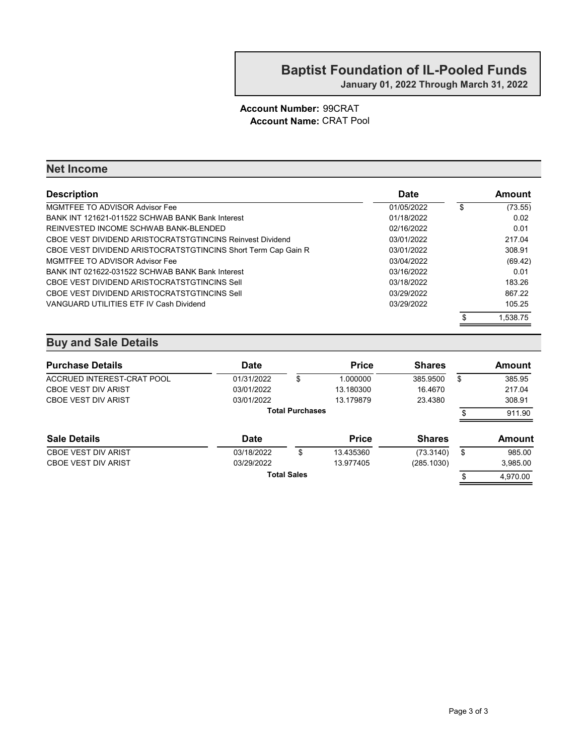#### Account Number: 99CRAT Account Name: CRAT Pool

#### Net Income

| <b>Description</b>                                            | <b>Date</b> | Amount        |
|---------------------------------------------------------------|-------------|---------------|
| MGMTFEE TO ADVISOR Advisor Fee                                | 01/05/2022  | \$<br>(73.55) |
| BANK INT 121621-011522 SCHWAB BANK Bank Interest              | 01/18/2022  | 0.02          |
| REINVESTED INCOME SCHWAB BANK-BLENDED                         | 02/16/2022  | 0.01          |
| CBOE VEST DIVIDEND ARISTOCRATSTGTINCINS Reinvest Dividend     | 03/01/2022  | 217.04        |
| CBOE VEST DIVIDEND ARISTOCRATSTGTINCINS Short Term Cap Gain R | 03/01/2022  | 308.91        |
| MGMTFEE TO ADVISOR Advisor Fee                                | 03/04/2022  | (69.42)       |
| BANK INT 021622-031522 SCHWAB BANK Bank Interest              | 03/16/2022  | 0.01          |
| CBOE VEST DIVIDEND ARISTOCRATSTGTINCINS Sell                  | 03/18/2022  | 183.26        |
| CBOE VEST DIVIDEND ARISTOCRATSTGTINCINS Sell                  | 03/29/2022  | 867.22        |
| VANGUARD UTILITIES ETF IV Cash Dividend                       | 03/29/2022  | 105.25        |
|                                                               |             | 1.538.75      |

| <b>Purchase Details</b>    | <b>Date</b> |                        | <b>Price</b> | <b>Shares</b> |    | Amount   |  |
|----------------------------|-------------|------------------------|--------------|---------------|----|----------|--|
| ACCRUED INTEREST-CRAT POOL | 01/31/2022  | \$                     | 1.000000     | 385.9500      | S  | 385.95   |  |
| <b>CBOE VEST DIV ARIST</b> | 03/01/2022  |                        | 13.180300    | 16.4670       |    | 217.04   |  |
| <b>CBOE VEST DIV ARIST</b> | 03/01/2022  |                        | 13.179879    | 23.4380       |    | 308.91   |  |
|                            |             | <b>Total Purchases</b> |              |               |    | 911.90   |  |
| <b>Sale Details</b>        | <b>Date</b> |                        | <b>Price</b> | <b>Shares</b> |    | Amount   |  |
| <b>CBOE VEST DIV ARIST</b> | 03/18/2022  | \$                     | 13.435360    | (73.3140)     | \$ | 985.00   |  |
| <b>CBOE VEST DIV ARIST</b> | 03/29/2022  |                        | 13.977405    | (285.1030)    |    | 3,985.00 |  |
| <b>Total Sales</b>         |             |                        |              |               |    |          |  |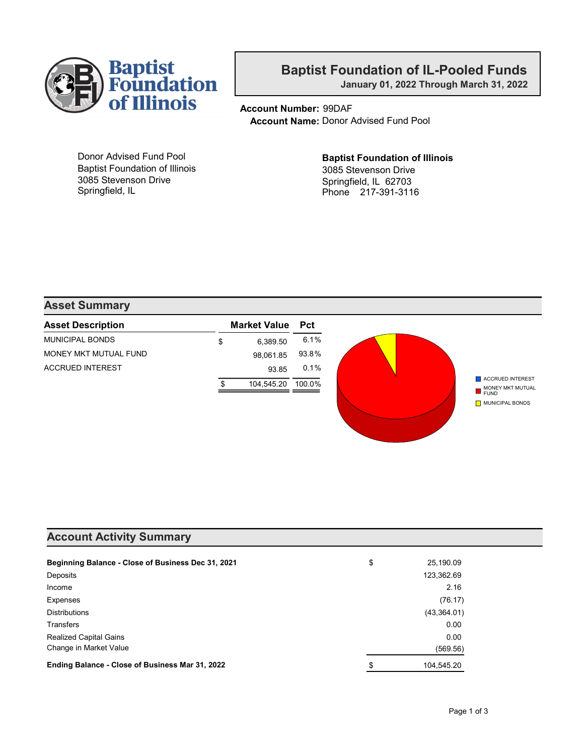

January 01, 2022 Through March 31, 2022

Account Number: 99DAF Account Name: Donor Advised Fund Pool

Donor Advised Fund Pool Baptist Foundation of Illinois 3085 Stevenson Drive Springfield, IL

Baptist Foundation of Illinois 3085 Stevenson Drive Springfield, IL 62703 Phone 217-391-3116

#### Asset Summary

| <b>Asset Description</b> | <b>Market Value</b> | <b>Pct</b> |
|--------------------------|---------------------|------------|
| MUNICIPAL BONDS          | \$<br>6.389.50      | 6.1%       |
| MONEY MKT MUTUAL FUND    | 98,061.85           | 93.8%      |
| <b>ACCRUED INTEREST</b>  | 93.85               | 0.1%       |
|                          | 104.545.20          | 100.0%     |
|                          |                     |            |
|                          |                     |            |

#### Account Activity Summary

| Beginning Balance - Close of Business Dec 31, 2021 | \$<br>25,190.09  |
|----------------------------------------------------|------------------|
| Deposits                                           | 123,362.69       |
| Income                                             | 2.16             |
| Expenses                                           | (76.17)          |
| <b>Distributions</b>                               | (43,364.01)      |
| <b>Transfers</b>                                   | 0.00             |
| <b>Realized Capital Gains</b>                      | 0.00             |
| Change in Market Value                             | (569.56)         |
| Ending Balance - Close of Business Mar 31, 2022    | \$<br>104,545.20 |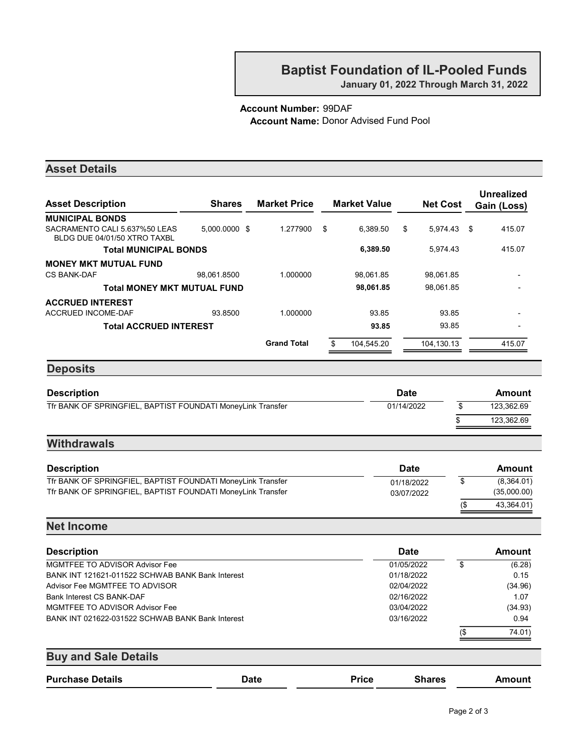January 01, 2022 Through March 31, 2022

#### Account Number: 99DAF Account Name: Donor Advised Fund Pool

| <b>Asset Details</b>                                          |               |                     |                  |                     |             |                 |            |                                  |
|---------------------------------------------------------------|---------------|---------------------|------------------|---------------------|-------------|-----------------|------------|----------------------------------|
| <b>Asset Description</b>                                      | <b>Shares</b> | <b>Market Price</b> |                  | <b>Market Value</b> |             | <b>Net Cost</b> |            | <b>Unrealized</b><br>Gain (Loss) |
| <b>MUNICIPAL BONDS</b>                                        |               |                     |                  |                     |             |                 |            |                                  |
| SACRAMENTO CALI 5.637%50 LEAS<br>BLDG DUE 04/01/50 XTRO TAXBL | 5,000.0000 \$ | 1.277900            | \$               | 6,389.50            | \$          | 5,974.43        | -\$        | 415.07                           |
| <b>Total MUNICIPAL BONDS</b>                                  |               |                     |                  | 6,389.50            |             | 5,974.43        |            | 415.07                           |
| <b>MONEY MKT MUTUAL FUND</b>                                  |               |                     |                  |                     |             |                 |            |                                  |
| <b>CS BANK-DAF</b>                                            | 98,061.8500   | 1.000000            |                  | 98,061.85           |             | 98,061.85       |            |                                  |
| <b>Total MONEY MKT MUTUAL FUND</b>                            |               |                     |                  | 98,061.85           |             | 98,061.85       |            |                                  |
| <b>ACCRUED INTEREST</b>                                       |               |                     |                  |                     |             |                 |            |                                  |
| ACCRUED INCOME-DAF                                            | 93.8500       | 1.000000            |                  | 93.85               |             | 93.85           |            |                                  |
| <b>Total ACCRUED INTEREST</b>                                 |               |                     |                  | 93.85               |             | 93.85           |            |                                  |
|                                                               |               | <b>Grand Total</b>  | \$               | 104,545.20          |             | 104,130.13      |            | 415.07                           |
| <b>Deposits</b>                                               |               |                     |                  |                     |             |                 |            |                                  |
| <b>Description</b>                                            |               |                     |                  |                     | <b>Date</b> |                 |            | <b>Amount</b>                    |
| Tfr BANK OF SPRINGFIEL, BAPTIST FOUNDATI MoneyLink Transfer   |               |                     |                  |                     | 01/14/2022  | \$              |            | 123,362.69                       |
|                                                               |               |                     |                  |                     |             |                 |            |                                  |
|                                                               |               |                     |                  |                     |             | \$              |            | 123,362.69                       |
| <b>Withdrawals</b>                                            |               |                     |                  |                     |             |                 |            |                                  |
| <b>Description</b>                                            |               |                     |                  |                     | <b>Date</b> |                 |            | <b>Amount</b>                    |
| Tfr BANK OF SPRINGFIEL, BAPTIST FOUNDATI MoneyLink Transfer   |               |                     | \$<br>01/18/2022 |                     |             |                 | (8,364.01) |                                  |
| Tfr BANK OF SPRINGFIEL, BAPTIST FOUNDATI MoneyLink Transfer   |               |                     |                  |                     | 03/07/2022  |                 |            | (35,000.00)                      |
|                                                               |               |                     |                  |                     |             | $($ \$          |            | 43,364.01)                       |
| <b>Net Income</b>                                             |               |                     |                  |                     |             |                 |            |                                  |
| <b>Description</b>                                            |               |                     |                  |                     | <b>Date</b> |                 |            | <b>Amount</b>                    |
| <b>MGMTFEE TO ADVISOR Advisor Fee</b>                         |               |                     |                  |                     | 01/05/2022  | \$              |            | (6.28)                           |
| BANK INT 121621-011522 SCHWAB BANK Bank Interest              |               |                     |                  |                     | 01/18/2022  |                 |            | 0.15                             |
| Advisor Fee MGMTFEE TO ADVISOR                                |               |                     |                  |                     | 02/04/2022  |                 |            | (34.96)                          |
| Bank Interest CS BANK-DAF                                     |               |                     |                  |                     | 02/16/2022  |                 |            | 1.07                             |
| <b>MGMTFEE TO ADVISOR Advisor Fee</b>                         |               |                     |                  |                     | 03/04/2022  |                 |            | (34.93)                          |
| BANK INT 021622-031522 SCHWAB BANK Bank Interest              |               |                     |                  |                     | 03/16/2022  |                 |            | 0.94                             |
|                                                               |               |                     |                  |                     |             | (\$             |            | 74.01)                           |
| <b>Buy and Sale Details</b>                                   |               |                     |                  |                     |             |                 |            |                                  |
| <b>Purchase Details</b>                                       | <b>Date</b>   |                     |                  | <b>Price</b>        |             | <b>Shares</b>   |            | <b>Amount</b>                    |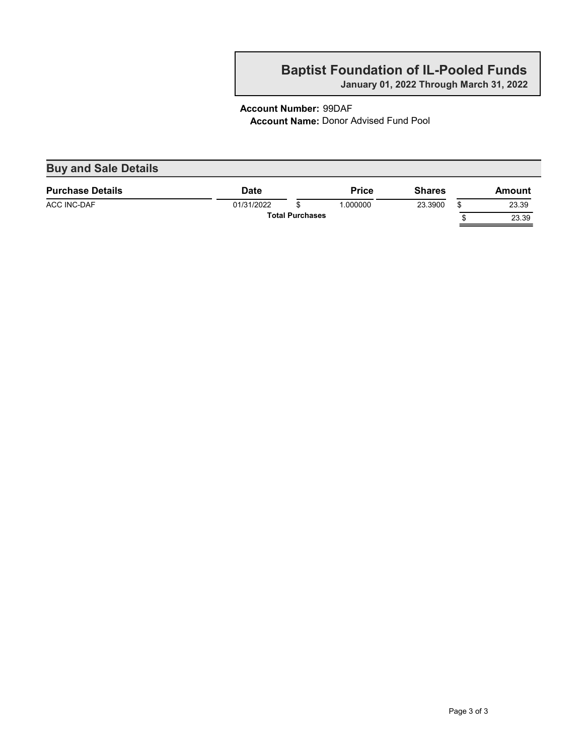January 01, 2022 Through March 31, 2022

#### Account Number: 99DAF Account Name: Donor Advised Fund Pool

| <b>Buy and Sale Details</b> |             |                        |              |               |        |
|-----------------------------|-------------|------------------------|--------------|---------------|--------|
| <b>Purchase Details</b>     | <b>Date</b> |                        | <b>Price</b> | <b>Shares</b> | Amount |
| ACC INC-DAF                 | 01/31/2022  |                        | 1.000000     | 23.3900       | 23.39  |
|                             |             | <b>Total Purchases</b> |              |               | 23.39  |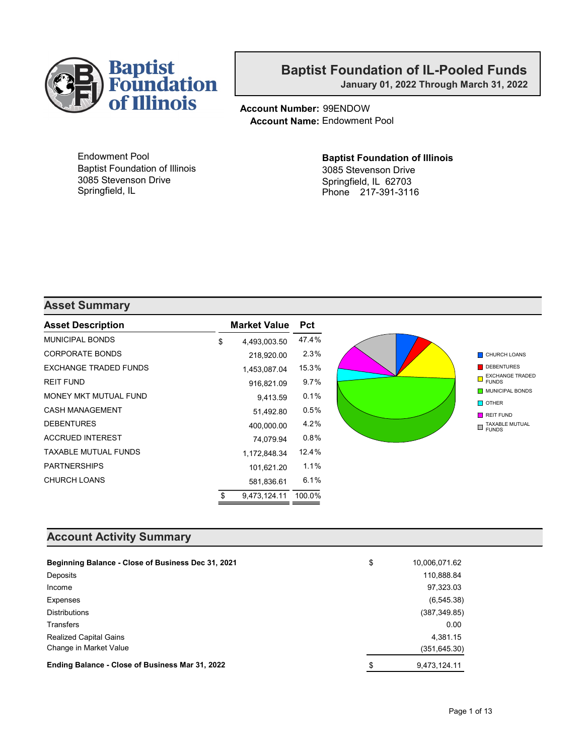

January 01, 2022 Through March 31, 2022

Account Number: 99ENDOW Account Name: Endowment Pool

Endowment Pool Baptist Foundation of Illinois 3085 Stevenson Drive Springfield, IL

#### Baptist Foundation of Illinois 3085 Stevenson Drive Springfield, IL 62703 Phone 217-391-3116

#### Asset Summary

| <b>Asset Description</b>    | <b>Market Value</b> | <b>Pct</b> |
|-----------------------------|---------------------|------------|
| <b>MUNICIPAL BONDS</b>      | \$<br>4,493,003.50  | 47.4%      |
| <b>CORPORATE BONDS</b>      | 218,920.00          | 2.3%       |
| EXCHANGE TRADED FUNDS       | 1,453,087.04        | 15.3%      |
| <b>REIT FUND</b>            | 916,821.09          | 9.7%       |
| MONEY MKT MUTUAL FUND       | 9,413.59            | 0.1%       |
| <b>CASH MANAGEMENT</b>      | 51,492.80           | 0.5%       |
| <b>DEBENTURES</b>           | 400,000.00          | 4.2%       |
| <b>ACCRUED INTEREST</b>     | 74,079.94           | 0.8%       |
| <b>TAXABLE MUTUAL FUNDS</b> | 1,172,848.34        | 12.4%      |
| <b>PARTNERSHIPS</b>         | 101,621.20          | 1.1%       |
| <b>CHURCH LOANS</b>         | 581,836.61          | 6.1%       |
|                             | \$<br>9.473.124.11  | 100.0%     |

#### Account Activity Summary

| Beginning Balance - Close of Business Dec 31, 2021 | \$<br>10,006,071.62 |
|----------------------------------------------------|---------------------|
| Deposits                                           | 110,888.84          |
| Income                                             | 97,323.03           |
| Expenses                                           | (6, 545.38)         |
| <b>Distributions</b>                               | (387, 349.85)       |
| <b>Transfers</b>                                   | 0.00                |
| <b>Realized Capital Gains</b>                      | 4.381.15            |
| Change in Market Value                             | (351, 645.30)       |
| Ending Balance - Close of Business Mar 31, 2022    | \$<br>9.473.124.11  |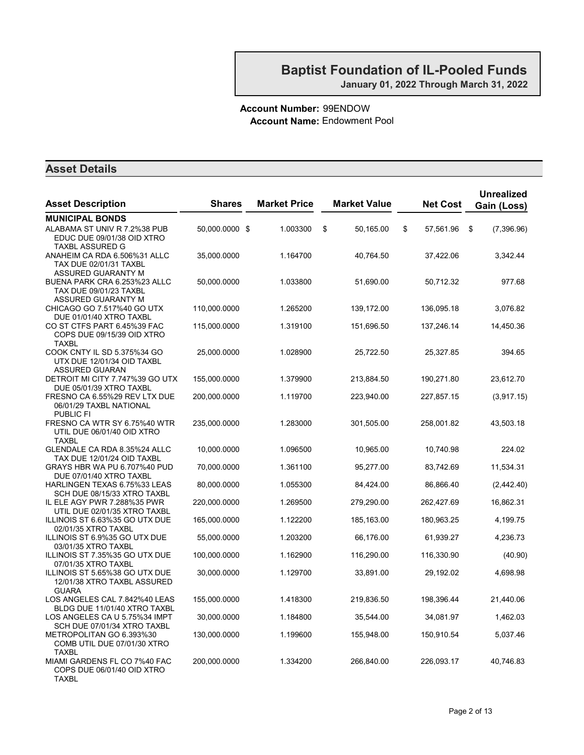#### Account Number: 99ENDOW Account Name: Endowment Pool

| <b>Asset Description</b>                                                                       | <b>Shares</b>  | <b>Market Price</b> | <b>Market Value</b> | <b>Net Cost</b> | <b>Unrealized</b><br>Gain (Loss) |
|------------------------------------------------------------------------------------------------|----------------|---------------------|---------------------|-----------------|----------------------------------|
| <b>MUNICIPAL BONDS</b>                                                                         |                |                     |                     |                 |                                  |
| ALABAMA ST UNIV R 7.2%38 PUB<br>EDUC DUE 09/01/38 OID XTRO<br><b>TAXBL ASSURED G</b>           | 50,000.0000 \$ | 1.003300            | \$<br>50,165.00     | \$<br>57,561.96 | \$<br>(7,396.96)                 |
| ANAHEIM CA RDA 6.506%31 ALLC<br>TAX DUE 02/01/31 TAXBL                                         | 35,000.0000    | 1.164700            | 40,764.50           | 37,422.06       | 3,342.44                         |
| ASSURED GUARANTY M<br>BUENA PARK CRA 6.253%23 ALLC<br>TAX DUE 09/01/23 TAXBL                   | 50,000.0000    | 1.033800            | 51,690.00           | 50,712.32       | 977.68                           |
| <b>ASSURED GUARANTY M</b><br>CHICAGO GO 7.517%40 GO UTX<br>DUE 01/01/40 XTRO TAXBL             | 110,000.0000   | 1.265200            | 139,172.00          | 136,095.18      | 3,076.82                         |
| CO ST CTFS PART 6.45%39 FAC<br>COPS DUE 09/15/39 OID XTRO<br>TAXBL                             | 115,000.0000   | 1.319100            | 151,696.50          | 137,246.14      | 14,450.36                        |
| COOK CNTY IL SD 5.375%34 GO<br>UTX DUE 12/01/34 OID TAXBL<br><b>ASSURED GUARAN</b>             | 25,000.0000    | 1.028900            | 25,722.50           | 25,327.85       | 394.65                           |
| DETROIT MI CITY 7.747%39 GO UTX<br>DUE 05/01/39 XTRO TAXBL                                     | 155,000.0000   | 1.379900            | 213,884.50          | 190,271.80      | 23,612.70                        |
| FRESNO CA 6.55%29 REV LTX DUE<br>06/01/29 TAXBL NATIONAL                                       | 200,000.0000   | 1.119700            | 223,940.00          | 227,857.15      | (3,917.15)                       |
| <b>PUBLIC FI</b><br>FRESNO CA WTR SY 6.75%40 WTR<br>UTIL DUE 06/01/40 OID XTRO<br><b>TAXBL</b> | 235,000.0000   | 1.283000            | 301,505.00          | 258,001.82      | 43,503.18                        |
| GLENDALE CA RDA 8.35%24 ALLC<br>TAX DUE 12/01/24 OID TAXBL                                     | 10,000.0000    | 1.096500            | 10,965.00           | 10,740.98       | 224.02                           |
| GRAYS HBR WA PU 6.707%40 PUD<br>DUE 07/01/40 XTRO TAXBL                                        | 70,000.0000    | 1.361100            | 95,277.00           | 83,742.69       | 11,534.31                        |
| HARLINGEN TEXAS 6.75%33 LEAS<br>SCH DUE 08/15/33 XTRO TAXBL                                    | 80,000.0000    | 1.055300            | 84,424.00           | 86,866.40       | (2,442.40)                       |
| IL ELE AGY PWR 7.288%35 PWR<br>UTIL DUE 02/01/35 XTRO TAXBL                                    | 220,000.0000   | 1.269500            | 279,290.00          | 262,427.69      | 16,862.31                        |
| ILLINOIS ST 6.63%35 GO UTX DUE<br>02/01/35 XTRO TAXBL                                          | 165,000.0000   | 1.122200            | 185,163.00          | 180,963.25      | 4,199.75                         |
| ILLINOIS ST 6.9%35 GO UTX DUE<br>03/01/35 XTRO TAXBL                                           | 55,000.0000    | 1.203200            | 66,176.00           | 61,939.27       | 4,236.73                         |
| ILLINOIS ST 7.35%35 GO UTX DUE<br>07/01/35 XTRO TAXBL                                          | 100,000.0000   | 1.162900            | 116,290.00          | 116,330.90      | (40.90)                          |
| ILLINOIS ST 5.65%38 GO UTX DUE<br>12/01/38 XTRO TAXBL ASSURED<br><b>GUARA</b>                  | 30,000.0000    | 1.129700            | 33,891.00           | 29,192.02       | 4,698.98                         |
| LOS ANGELES CAL 7.842%40 LEAS<br>BLDG DUE 11/01/40 XTRO TAXBL                                  | 155,000.0000   | 1.418300            | 219,836.50          | 198,396.44      | 21,440.06                        |
| LOS ANGELES CA U 5.75%34 IMPT<br>SCH DUE 07/01/34 XTRO TAXBL                                   | 30,000.0000    | 1.184800            | 35,544.00           | 34,081.97       | 1,462.03                         |
| METROPOLITAN GO 6.393%30<br>COMB UTIL DUE 07/01/30 XTRO<br><b>TAXBL</b>                        | 130,000.0000   | 1.199600            | 155,948.00          | 150,910.54      | 5,037.46                         |
| MIAMI GARDENS FL CO 7%40 FAC<br>COPS DUE 06/01/40 OID XTRO<br>TAXBL                            | 200,000.0000   | 1.334200            | 266,840.00          | 226,093.17      | 40,746.83                        |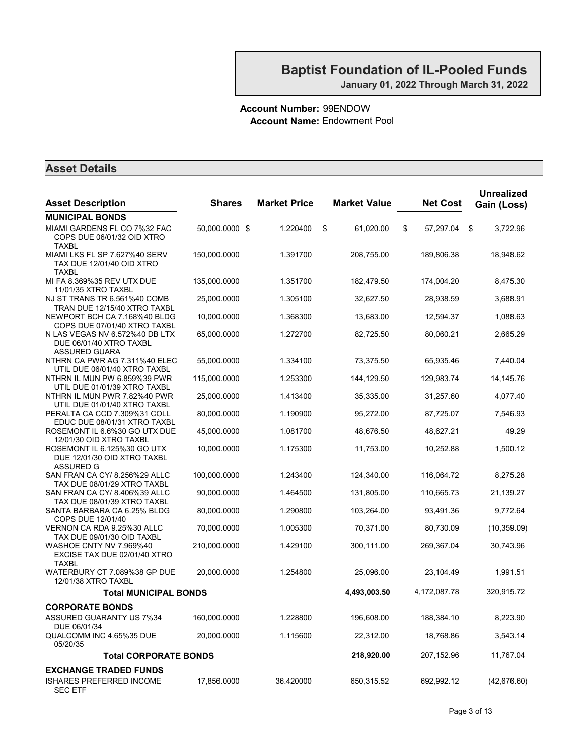#### Account Number: 99ENDOW Account Name: Endowment Pool

| <b>Asset Description</b>                                                   | <b>Shares</b>  | <b>Market Price</b> | <b>Market Value</b> | <b>Net Cost</b> | <b>Unrealized</b><br>Gain (Loss) |
|----------------------------------------------------------------------------|----------------|---------------------|---------------------|-----------------|----------------------------------|
| <b>MUNICIPAL BONDS</b>                                                     |                |                     |                     |                 |                                  |
| MIAMI GARDENS FL CO 7%32 FAC<br>COPS DUE 06/01/32 OID XTRO<br><b>TAXBL</b> | 50,000.0000 \$ | 1.220400            | 61,020.00<br>\$     | \$<br>57,297.04 | 3,722.96<br>\$                   |
| MIAMI LKS FL SP 7.627%40 SERV<br>TAX DUE 12/01/40 OID XTRO<br><b>TAXBL</b> | 150,000.0000   | 1.391700            | 208,755.00          | 189,806.38      | 18,948.62                        |
| MI FA 8.369%35 REV UTX DUE<br>11/01/35 XTRO TAXBL                          | 135,000.0000   | 1.351700            | 182,479.50          | 174,004.20      | 8,475.30                         |
| NJ ST TRANS TR 6.561%40 COMB<br>TRAN DUE 12/15/40 XTRO TAXBL               | 25,000.0000    | 1.305100            | 32,627.50           | 28,938.59       | 3,688.91                         |
| NEWPORT BCH CA 7.168%40 BLDG<br>COPS DUE 07/01/40 XTRO TAXBL               | 10,000.0000    | 1.368300            | 13,683.00           | 12,594.37       | 1,088.63                         |
| N LAS VEGAS NV 6.572%40 DB LTX<br>DUE 06/01/40 XTRO TAXBL<br>ASSURED GUARA | 65,000.0000    | 1.272700            | 82,725.50           | 80,060.21       | 2,665.29                         |
| NTHRN CA PWR AG 7.311%40 ELEC<br>UTIL DUE 06/01/40 XTRO TAXBL              | 55,000.0000    | 1.334100            | 73,375.50           | 65,935.46       | 7,440.04                         |
| NTHRN IL MUN PW 6.859%39 PWR<br>UTIL DUE 01/01/39 XTRO TAXBL               | 115,000.0000   | 1.253300            | 144, 129.50         | 129,983.74      | 14,145.76                        |
| NTHRN IL MUN PWR 7.82%40 PWR<br>UTIL DUE 01/01/40 XTRO TAXBL               | 25,000.0000    | 1.413400            | 35,335.00           | 31,257.60       | 4,077.40                         |
| PERALTA CA CCD 7.309%31 COLL<br>EDUC DUE 08/01/31 XTRO TAXBL               | 80,000.0000    | 1.190900            | 95,272.00           | 87,725.07       | 7,546.93                         |
| ROSEMONT IL 6.6%30 GO UTX DUE<br>12/01/30 OID XTRO TAXBL                   | 45,000.0000    | 1.081700            | 48,676.50           | 48,627.21       | 49.29                            |
| ROSEMONT IL 6.125%30 GO UTX<br>DUE 12/01/30 OID XTRO TAXBL<br>ASSURED G    | 10,000.0000    | 1.175300            | 11,753.00           | 10,252.88       | 1,500.12                         |
| SAN FRAN CA CY/ 8.256%29 ALLC<br>TAX DUE 08/01/29 XTRO TAXBL               | 100,000.0000   | 1.243400            | 124,340.00          | 116,064.72      | 8,275.28                         |
| SAN FRAN CA CY/ 8.406%39 ALLC<br>TAX DUE 08/01/39 XTRO TAXBL               | 90,000.0000    | 1.464500            | 131,805.00          | 110,665.73      | 21,139.27                        |
| SANTA BARBARA CA 6.25% BLDG<br>COPS DUE 12/01/40                           | 80,000.0000    | 1.290800            | 103,264.00          | 93,491.36       | 9,772.64                         |
| VERNON CA RDA 9.25%30 ALLC<br>TAX DUE 09/01/30 OID TAXBL                   | 70,000.0000    | 1.005300            | 70,371.00           | 80,730.09       | (10, 359.09)                     |
| WASHOE CNTY NV 7.969%40<br>EXCISE TAX DUE 02/01/40 XTRO<br><b>TAXBL</b>    | 210,000.0000   | 1.429100            | 300,111.00          | 269,367.04      | 30,743.96                        |
| WATERBURY CT 7.089%38 GP DUE<br>12/01/38 XTRO TAXBL                        | 20,000.0000    | 1.254800            | 25,096.00           | 23,104.49       | 1,991.51                         |
| <b>Total MUNICIPAL BONDS</b>                                               |                |                     | 4,493,003.50        | 4,172,087.78    | 320,915.72                       |
| <b>CORPORATE BONDS</b>                                                     |                |                     |                     |                 |                                  |
| ASSURED GUARANTY US 7%34<br>DUE 06/01/34                                   | 160,000.0000   | 1.228800            | 196,608.00          | 188,384.10      | 8,223.90                         |
| QUALCOMM INC 4.65%35 DUE<br>05/20/35                                       | 20.000.0000    | 1.115600            | 22,312.00           | 18,768.86       | 3,543.14                         |
| <b>Total CORPORATE BONDS</b>                                               |                |                     | 218,920.00          | 207,152.96      | 11,767.04                        |
| <b>EXCHANGE TRADED FUNDS</b>                                               |                |                     |                     |                 |                                  |
| <b>ISHARES PREFERRED INCOME</b><br><b>SEC ETF</b>                          | 17,856.0000    | 36.420000           | 650,315.52          | 692,992.12      | (42, 676.60)                     |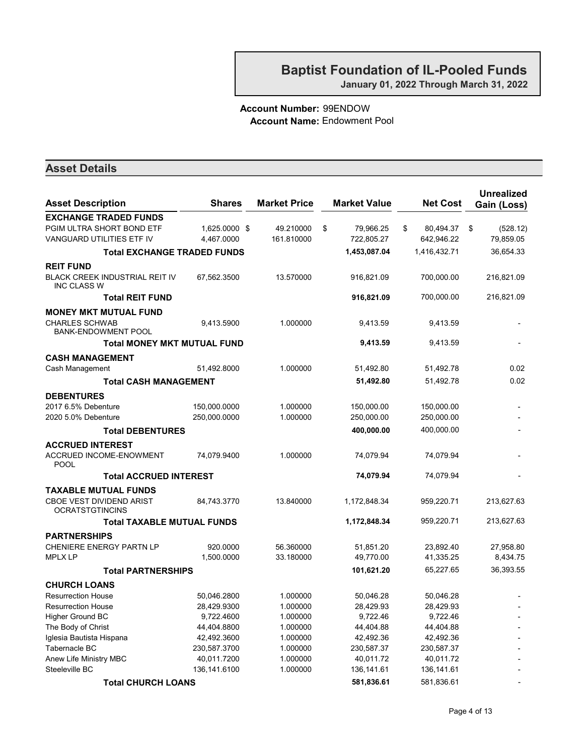#### Account Number: 99ENDOW Account Name: Endowment Pool

| <b>Asset Description</b>                                    | <b>Shares</b> | <b>Market Price</b> | <b>Market Value</b> | <b>Net Cost</b> | <b>Unrealized</b><br>Gain (Loss) |
|-------------------------------------------------------------|---------------|---------------------|---------------------|-----------------|----------------------------------|
| <b>EXCHANGE TRADED FUNDS</b>                                |               |                     |                     |                 |                                  |
| PGIM ULTRA SHORT BOND ETF                                   | 1,625.0000 \$ | 49.210000           | \$<br>79,966.25     | \$<br>80,494.37 | \$<br>(528.12)                   |
| VANGUARD UTILITIES ETF IV                                   | 4,467.0000    | 161.810000          | 722,805.27          | 642,946.22      | 79,859.05                        |
| <b>Total EXCHANGE TRADED FUNDS</b>                          |               |                     | 1,453,087.04        | 1,416,432.71    | 36,654.33                        |
| <b>REIT FUND</b>                                            |               |                     |                     |                 |                                  |
| <b>BLACK CREEK INDUSTRIAL REIT IV</b><br><b>INC CLASS W</b> | 67,562.3500   | 13.570000           | 916,821.09          | 700,000.00      | 216,821.09                       |
| <b>Total REIT FUND</b>                                      |               |                     | 916,821.09          | 700,000.00      | 216,821.09                       |
| <b>MONEY MKT MUTUAL FUND</b>                                |               |                     |                     |                 |                                  |
| <b>CHARLES SCHWAB</b><br><b>BANK-ENDOWMENT POOL</b>         | 9,413.5900    | 1.000000            | 9,413.59            | 9,413.59        |                                  |
| <b>Total MONEY MKT MUTUAL FUND</b>                          |               |                     | 9,413.59            | 9,413.59        |                                  |
| <b>CASH MANAGEMENT</b>                                      |               |                     |                     |                 |                                  |
| Cash Management                                             | 51,492.8000   | 1.000000            | 51,492.80           | 51,492.78       | 0.02                             |
| <b>Total CASH MANAGEMENT</b>                                |               |                     | 51,492.80           | 51,492.78       | 0.02                             |
| <b>DEBENTURES</b>                                           |               |                     |                     |                 |                                  |
| 2017 6.5% Debenture                                         | 150,000.0000  | 1.000000            | 150,000.00          | 150,000.00      |                                  |
| 2020 5.0% Debenture                                         | 250,000.0000  | 1.000000            | 250,000.00          | 250,000.00      |                                  |
| <b>Total DEBENTURES</b>                                     |               |                     | 400,000.00          | 400,000.00      |                                  |
| <b>ACCRUED INTEREST</b>                                     |               |                     |                     |                 |                                  |
| <b>ACCRUED INCOME-ENOWMENT</b><br><b>POOL</b>               | 74,079.9400   | 1.000000            | 74,079.94           | 74,079.94       |                                  |
| <b>Total ACCRUED INTEREST</b>                               |               |                     | 74,079.94           | 74,079.94       |                                  |
| <b>TAXABLE MUTUAL FUNDS</b>                                 |               |                     |                     |                 |                                  |
| <b>CBOE VEST DIVIDEND ARIST</b><br><b>OCRATSTGTINCINS</b>   | 84,743.3770   | 13.840000           | 1,172,848.34        | 959,220.71      | 213,627.63                       |
| <b>Total TAXABLE MUTUAL FUNDS</b>                           |               |                     | 1,172,848.34        | 959,220.71      | 213,627.63                       |
| <b>PARTNERSHIPS</b>                                         |               |                     |                     |                 |                                  |
| <b>CHENIERE ENERGY PARTN LP</b>                             | 920.0000      | 56.360000           | 51,851.20           | 23,892.40       | 27,958.80                        |
| <b>MPLX LP</b>                                              | 1,500.0000    | 33.180000           | 49,770.00           | 41,335.25       | 8,434.75                         |
| <b>Total PARTNERSHIPS</b>                                   |               |                     | 101,621.20          | 65,227.65       | 36,393.55                        |
| <b>CHURCH LOANS</b>                                         |               |                     |                     |                 |                                  |
| <b>Resurrection House</b>                                   | 50,046.2800   | 1.000000            | 50,046.28           | 50,046.28       |                                  |
| <b>Resurrection House</b>                                   | 28,429.9300   | 1.000000            | 28,429.93           | 28,429.93       |                                  |
| <b>Higher Ground BC</b>                                     | 9,722.4600    | 1.000000            | 9,722.46            | 9,722.46        |                                  |
| The Body of Christ                                          | 44,404.8800   | 1.000000            | 44,404.88           | 44,404.88       |                                  |
| Iglesia Bautista Hispana                                    | 42,492.3600   | 1.000000            | 42,492.36           | 42,492.36       |                                  |
| Tabernacle BC                                               | 230,587.3700  | 1.000000            | 230,587.37          | 230,587.37      |                                  |
| Anew Life Ministry MBC                                      | 40,011.7200   | 1.000000            | 40,011.72           | 40,011.72       |                                  |
| Steeleville BC                                              | 136,141.6100  | 1.000000            | 136, 141.61         | 136,141.61      |                                  |
| <b>Total CHURCH LOANS</b>                                   |               |                     | 581,836.61          | 581,836.61      |                                  |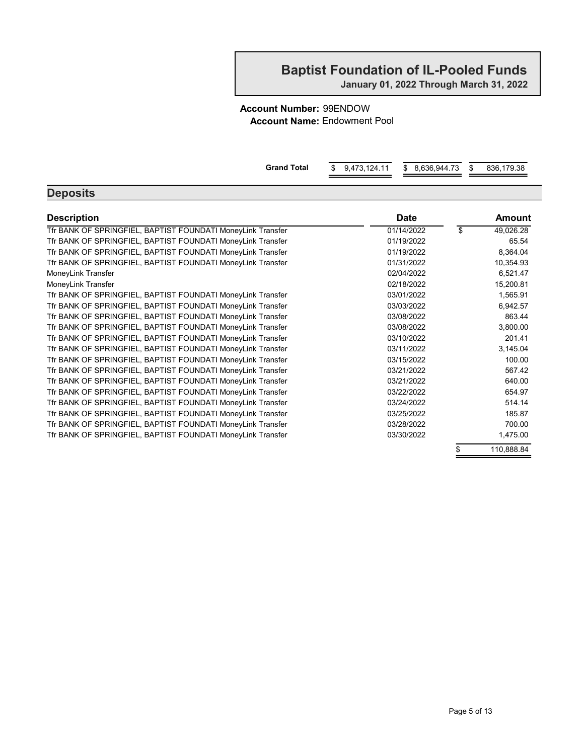January 01, 2022 Through March 31, 2022

#### Account Number: 99ENDOW Account Name: Endowment Pool

| <b>Grand Total</b>                                          | \$<br>9,473,124.11<br>\$<br>8,636,944.73 | \$<br>836,179.38 |
|-------------------------------------------------------------|------------------------------------------|------------------|
| <b>Deposits</b>                                             |                                          |                  |
| <b>Description</b>                                          | <b>Date</b>                              | Amount           |
| Tfr BANK OF SPRINGFIEL, BAPTIST FOUNDATI MoneyLink Transfer | 01/14/2022                               | \$<br>49,026.28  |
| Tfr BANK OF SPRINGFIEL, BAPTIST FOUNDATI MoneyLink Transfer | 01/19/2022                               | 65.54            |
| Tfr BANK OF SPRINGFIEL, BAPTIST FOUNDATI MoneyLink Transfer | 01/19/2022                               | 8,364.04         |
| Tfr BANK OF SPRINGFIEL, BAPTIST FOUNDATI MoneyLink Transfer | 01/31/2022                               | 10,354.93        |
| MoneyLink Transfer                                          | 02/04/2022                               | 6,521.47         |
| MoneyLink Transfer                                          | 02/18/2022                               | 15,200.81        |
| Tfr BANK OF SPRINGFIEL, BAPTIST FOUNDATI MoneyLink Transfer | 03/01/2022                               | 1,565.91         |
| Tfr BANK OF SPRINGFIEL, BAPTIST FOUNDATI MoneyLink Transfer | 03/03/2022                               | 6,942.57         |
| Tfr BANK OF SPRINGFIEL, BAPTIST FOUNDATI MoneyLink Transfer | 03/08/2022                               | 863.44           |
| Tfr BANK OF SPRINGFIEL, BAPTIST FOUNDATI MoneyLink Transfer | 03/08/2022                               | 3,800.00         |
| Tfr BANK OF SPRINGFIEL, BAPTIST FOUNDATI MoneyLink Transfer | 03/10/2022                               | 201.41           |
| Tfr BANK OF SPRINGFIEL, BAPTIST FOUNDATI MoneyLink Transfer | 03/11/2022                               | 3,145.04         |
| Tfr BANK OF SPRINGFIEL, BAPTIST FOUNDATI MoneyLink Transfer | 03/15/2022                               | 100.00           |
| Tfr BANK OF SPRINGFIEL, BAPTIST FOUNDATI MoneyLink Transfer | 03/21/2022                               | 567.42           |
| Tfr BANK OF SPRINGFIEL, BAPTIST FOUNDATI MoneyLink Transfer | 03/21/2022                               | 640.00           |
| Tfr BANK OF SPRINGFIEL, BAPTIST FOUNDATI MoneyLink Transfer | 03/22/2022                               | 654.97           |
| Tfr BANK OF SPRINGFIEL, BAPTIST FOUNDATI MoneyLink Transfer | 03/24/2022                               | 514.14           |
| Tfr BANK OF SPRINGFIEL, BAPTIST FOUNDATI MoneyLink Transfer | 03/25/2022                               | 185.87           |
| Tfr BANK OF SPRINGFIEL, BAPTIST FOUNDATI MoneyLink Transfer | 03/28/2022                               | 700.00           |
| Tfr BANK OF SPRINGFIEL, BAPTIST FOUNDATI MoneyLink Transfer | 03/30/2022                               | 1,475.00         |
|                                                             |                                          | \$<br>110,888.84 |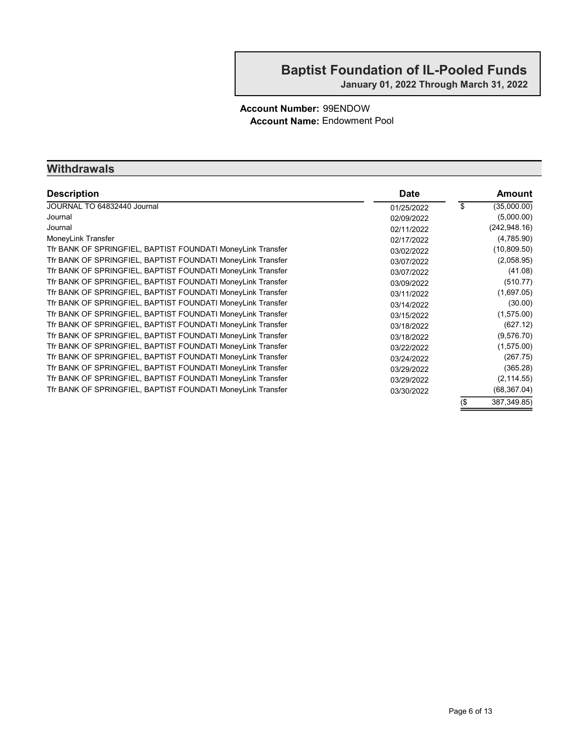#### Account Number: 99ENDOW Account Name: Endowment Pool

#### **Withdrawals**

| <b>Description</b>                                          | <b>Date</b> |     | <b>Amount</b> |
|-------------------------------------------------------------|-------------|-----|---------------|
| JOURNAL TO 64832440 Journal                                 | 01/25/2022  | \$  | (35,000.00)   |
| Journal                                                     | 02/09/2022  |     | (5,000.00)    |
| Journal                                                     | 02/11/2022  |     | (242, 948.16) |
| MoneyLink Transfer                                          | 02/17/2022  |     | (4,785.90)    |
| Tfr BANK OF SPRINGFIEL, BAPTIST FOUNDATI MoneyLink Transfer | 03/02/2022  |     | (10, 809.50)  |
| Tfr BANK OF SPRINGFIEL, BAPTIST FOUNDATI MoneyLink Transfer | 03/07/2022  |     | (2,058.95)    |
| Tfr BANK OF SPRINGFIEL, BAPTIST FOUNDATI MoneyLink Transfer | 03/07/2022  |     | (41.08)       |
| Tfr BANK OF SPRINGFIEL, BAPTIST FOUNDATI MoneyLink Transfer | 03/09/2022  |     | (510.77)      |
| Tfr BANK OF SPRINGFIEL, BAPTIST FOUNDATI MoneyLink Transfer | 03/11/2022  |     | (1,697.05)    |
| Tfr BANK OF SPRINGFIEL, BAPTIST FOUNDATI MoneyLink Transfer | 03/14/2022  |     | (30.00)       |
| Tfr BANK OF SPRINGFIEL, BAPTIST FOUNDATI MoneyLink Transfer | 03/15/2022  |     | (1,575.00)    |
| Tfr BANK OF SPRINGFIEL, BAPTIST FOUNDATI MoneyLink Transfer | 03/18/2022  |     | (627.12)      |
| Tfr BANK OF SPRINGFIEL, BAPTIST FOUNDATI MoneyLink Transfer | 03/18/2022  |     | (9,576.70)    |
| Tfr BANK OF SPRINGFIEL, BAPTIST FOUNDATI MoneyLink Transfer | 03/22/2022  |     | (1,575.00)    |
| Tfr BANK OF SPRINGFIEL, BAPTIST FOUNDATI MoneyLink Transfer | 03/24/2022  |     | (267.75)      |
| Tfr BANK OF SPRINGFIEL, BAPTIST FOUNDATI MoneyLink Transfer | 03/29/2022  |     | (365.28)      |
| Tfr BANK OF SPRINGFIEL, BAPTIST FOUNDATI MoneyLink Transfer | 03/29/2022  |     | (2, 114.55)   |
| Tfr BANK OF SPRINGFIEL, BAPTIST FOUNDATI MoneyLink Transfer | 03/30/2022  |     | (68, 367.04)  |
|                                                             |             | (\$ | 387, 349.85)  |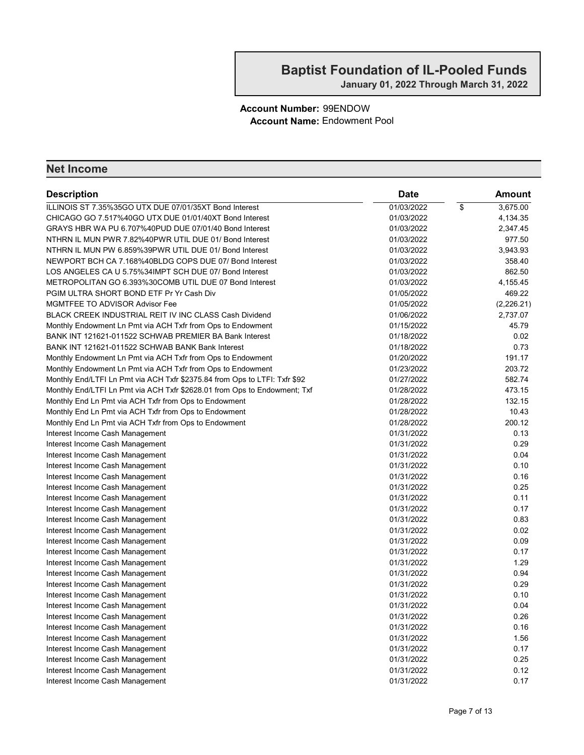#### Account Number: 99ENDOW Account Name: Endowment Pool

| <b>Description</b>                                                         | <b>Date</b> |                          | Amount     |
|----------------------------------------------------------------------------|-------------|--------------------------|------------|
| ILLINOIS ST 7.35%35GO UTX DUE 07/01/35XT Bond Interest                     | 01/03/2022  | $\overline{\mathcal{E}}$ | 3,675.00   |
| CHICAGO GO 7.517%40GO UTX DUE 01/01/40XT Bond Interest                     | 01/03/2022  |                          | 4,134.35   |
| GRAYS HBR WA PU 6.707%40PUD DUE 07/01/40 Bond Interest                     | 01/03/2022  |                          | 2,347.45   |
| NTHRN IL MUN PWR 7.82%40PWR UTIL DUE 01/ Bond Interest                     | 01/03/2022  |                          | 977.50     |
| NTHRN IL MUN PW 6.859%39PWR UTIL DUE 01/ Bond Interest                     | 01/03/2022  |                          | 3,943.93   |
| NEWPORT BCH CA 7.168%40BLDG COPS DUE 07/ Bond Interest                     | 01/03/2022  |                          | 358.40     |
| LOS ANGELES CA U 5.75%34IMPT SCH DUE 07/ Bond Interest                     | 01/03/2022  |                          | 862.50     |
| METROPOLITAN GO 6.393%30COMB UTIL DUE 07 Bond Interest                     | 01/03/2022  |                          | 4,155.45   |
| PGIM ULTRA SHORT BOND ETF Pr Yr Cash Div                                   | 01/05/2022  |                          | 469.22     |
| <b>MGMTFEE TO ADVISOR Advisor Fee</b>                                      | 01/05/2022  |                          | (2,226.21) |
| BLACK CREEK INDUSTRIAL REIT IV INC CLASS Cash Dividend                     | 01/06/2022  |                          | 2,737.07   |
| Monthly Endowment Ln Pmt via ACH Txfr from Ops to Endowment                | 01/15/2022  |                          | 45.79      |
| BANK INT 121621-011522 SCHWAB PREMIER BA Bank Interest                     | 01/18/2022  |                          | 0.02       |
| BANK INT 121621-011522 SCHWAB BANK Bank Interest                           | 01/18/2022  |                          | 0.73       |
| Monthly Endowment Ln Pmt via ACH Txfr from Ops to Endowment                | 01/20/2022  |                          | 191.17     |
| Monthly Endowment Ln Pmt via ACH Txfr from Ops to Endowment                | 01/23/2022  |                          | 203.72     |
| Monthly End/LTFI Ln Pmt via ACH Txfr \$2375.84 from Ops to LTFI: Txfr \$92 | 01/27/2022  |                          | 582.74     |
| Monthly End/LTFI Ln Pmt via ACH Txfr \$2628.01 from Ops to Endowment; Txf  | 01/28/2022  |                          | 473.15     |
| Monthly End Ln Pmt via ACH Txfr from Ops to Endowment                      | 01/28/2022  |                          | 132.15     |
| Monthly End Ln Pmt via ACH Txfr from Ops to Endowment                      | 01/28/2022  |                          | 10.43      |
| Monthly End Ln Pmt via ACH Txfr from Ops to Endowment                      | 01/28/2022  |                          | 200.12     |
| Interest Income Cash Management                                            | 01/31/2022  |                          | 0.13       |
| Interest Income Cash Management                                            | 01/31/2022  |                          | 0.29       |
| Interest Income Cash Management                                            | 01/31/2022  |                          | 0.04       |
| Interest Income Cash Management                                            | 01/31/2022  |                          | 0.10       |
| Interest Income Cash Management                                            | 01/31/2022  |                          | 0.16       |
| Interest Income Cash Management                                            | 01/31/2022  |                          | 0.25       |
| Interest Income Cash Management                                            | 01/31/2022  |                          | 0.11       |
| Interest Income Cash Management                                            | 01/31/2022  |                          | 0.17       |
| Interest Income Cash Management                                            | 01/31/2022  |                          | 0.83       |
| Interest Income Cash Management                                            | 01/31/2022  |                          | 0.02       |
| Interest Income Cash Management                                            | 01/31/2022  |                          | 0.09       |
| Interest Income Cash Management                                            | 01/31/2022  |                          | 0.17       |
| Interest Income Cash Management                                            | 01/31/2022  |                          | 1.29       |
| Interest Income Cash Management                                            | 01/31/2022  |                          | 0.94       |
| Interest Income Cash Management                                            | 01/31/2022  |                          | 0.29       |
| Interest Income Cash Management                                            | 01/31/2022  |                          | 0.10       |
| Interest Income Cash Management                                            | 01/31/2022  |                          | 0.04       |
| Interest Income Cash Management                                            | 01/31/2022  |                          | 0.26       |
| Interest Income Cash Management                                            | 01/31/2022  |                          | 0.16       |
| Interest Income Cash Management                                            | 01/31/2022  |                          | 1.56       |
| Interest Income Cash Management                                            | 01/31/2022  |                          | 0.17       |
| Interest Income Cash Management                                            | 01/31/2022  |                          | 0.25       |
| Interest Income Cash Management                                            | 01/31/2022  |                          | 0.12       |
| Interest Income Cash Management                                            | 01/31/2022  |                          | 0.17       |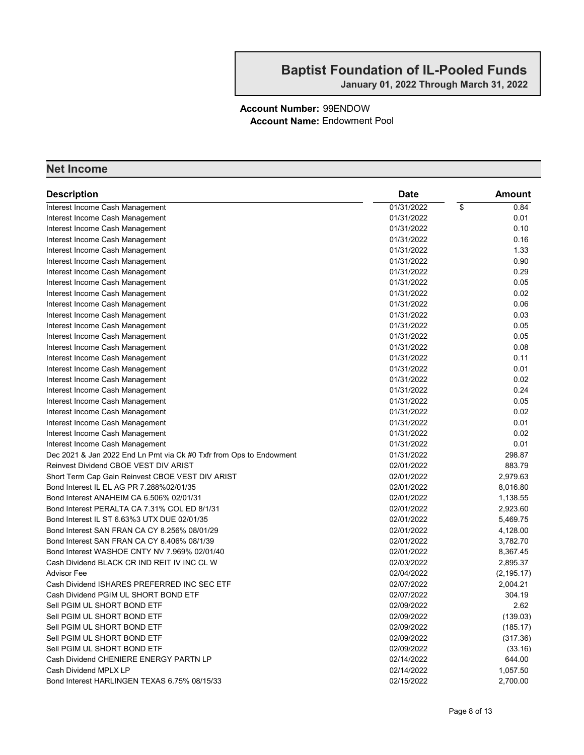#### Account Number: 99ENDOW Account Name: Endowment Pool

| <b>Description</b>                                                    | <b>Date</b> | Amount      |
|-----------------------------------------------------------------------|-------------|-------------|
| Interest Income Cash Management                                       | 01/31/2022  | 0.84<br>\$  |
| Interest Income Cash Management                                       | 01/31/2022  | 0.01        |
| Interest Income Cash Management                                       | 01/31/2022  | 0.10        |
| Interest Income Cash Management                                       | 01/31/2022  | 0.16        |
| Interest Income Cash Management                                       | 01/31/2022  | 1.33        |
| Interest Income Cash Management                                       | 01/31/2022  | 0.90        |
| Interest Income Cash Management                                       | 01/31/2022  | 0.29        |
| Interest Income Cash Management                                       | 01/31/2022  | 0.05        |
| Interest Income Cash Management                                       | 01/31/2022  | 0.02        |
| Interest Income Cash Management                                       | 01/31/2022  | 0.06        |
| Interest Income Cash Management                                       | 01/31/2022  | 0.03        |
| Interest Income Cash Management                                       | 01/31/2022  | 0.05        |
| Interest Income Cash Management                                       | 01/31/2022  | 0.05        |
| Interest Income Cash Management                                       | 01/31/2022  | 0.08        |
| Interest Income Cash Management                                       | 01/31/2022  | 0.11        |
| Interest Income Cash Management                                       | 01/31/2022  | 0.01        |
| Interest Income Cash Management                                       | 01/31/2022  | 0.02        |
|                                                                       | 01/31/2022  | 0.24        |
| Interest Income Cash Management                                       | 01/31/2022  | 0.05        |
| Interest Income Cash Management                                       | 01/31/2022  | 0.02        |
| Interest Income Cash Management<br>Interest Income Cash Management    | 01/31/2022  | 0.01        |
|                                                                       | 01/31/2022  | 0.02        |
| Interest Income Cash Management<br>Interest Income Cash Management    | 01/31/2022  | 0.01        |
| Dec 2021 & Jan 2022 End Ln Pmt via Ck #0 Txfr from Ops to Endowment   | 01/31/2022  | 298.87      |
| Reinvest Dividend CBOE VEST DIV ARIST                                 | 02/01/2022  | 883.79      |
| Short Term Cap Gain Reinvest CBOE VEST DIV ARIST                      | 02/01/2022  | 2,979.63    |
| Bond Interest IL EL AG PR 7.288%02/01/35                              | 02/01/2022  | 8,016.80    |
| Bond Interest ANAHEIM CA 6.506% 02/01/31                              | 02/01/2022  | 1,138.55    |
| Bond Interest PERALTA CA 7.31% COL ED 8/1/31                          | 02/01/2022  | 2,923.60    |
| Bond Interest IL ST 6.63%3 UTX DUE 02/01/35                           | 02/01/2022  | 5,469.75    |
| Bond Interest SAN FRAN CA CY 8.256% 08/01/29                          | 02/01/2022  | 4,128.00    |
| Bond Interest SAN FRAN CA CY 8.406% 08/1/39                           | 02/01/2022  | 3,782.70    |
| Bond Interest WASHOE CNTY NV 7.969% 02/01/40                          | 02/01/2022  | 8,367.45    |
| Cash Dividend BLACK CR IND REIT IV INC CL W                           | 02/03/2022  | 2,895.37    |
| <b>Advisor Fee</b>                                                    | 02/04/2022  | (2, 195.17) |
| Cash Dividend ISHARES PREFERRED INC SEC ETF                           | 02/07/2022  | 2,004.21    |
| Cash Dividend PGIM UL SHORT BOND ETF                                  | 02/07/2022  | 304.19      |
| Sell PGIM UL SHORT BOND ETF                                           | 02/09/2022  | 2.62        |
| Sell PGIM UL SHORT BOND ETF                                           | 02/09/2022  | (139.03)    |
| Sell PGIM UL SHORT BOND ETF                                           | 02/09/2022  |             |
|                                                                       |             | (185.17)    |
| Sell PGIM UL SHORT BOND ETF<br>Sell PGIM UL SHORT BOND ETF            | 02/09/2022  | (317.36)    |
|                                                                       | 02/09/2022  | (33.16)     |
| Cash Dividend CHENIERE ENERGY PARTN LP                                | 02/14/2022  | 644.00      |
| Cash Dividend MPLX LP<br>Bond Interest HARLINGEN TEXAS 6.75% 08/15/33 | 02/14/2022  | 1,057.50    |
|                                                                       | 02/15/2022  | 2,700.00    |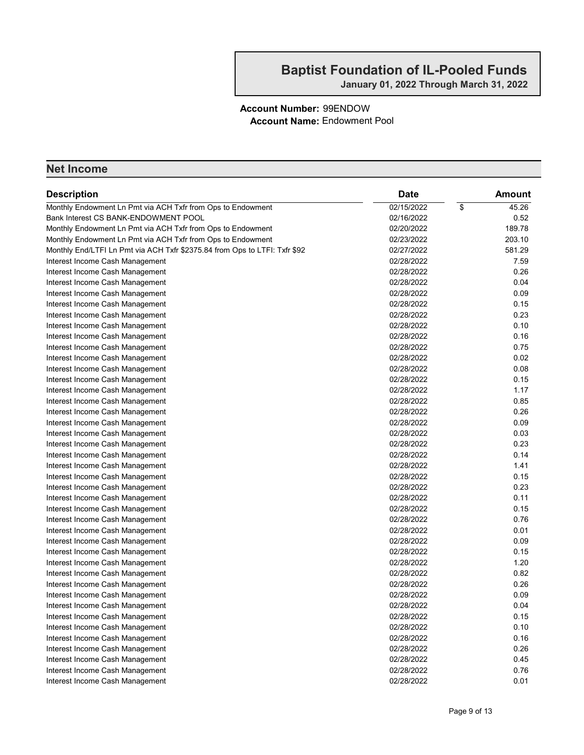#### Account Number: 99ENDOW Account Name: Endowment Pool

| <b>Description</b>                                                         | <b>Date</b> | Amount      |
|----------------------------------------------------------------------------|-------------|-------------|
| Monthly Endowment Ln Pmt via ACH Txfr from Ops to Endowment                | 02/15/2022  | \$<br>45.26 |
| Bank Interest CS BANK-ENDOWMENT POOL                                       | 02/16/2022  | 0.52        |
| Monthly Endowment Ln Pmt via ACH Txfr from Ops to Endowment                | 02/20/2022  | 189.78      |
| Monthly Endowment Ln Pmt via ACH Txfr from Ops to Endowment                | 02/23/2022  | 203.10      |
| Monthly End/LTFI Ln Pmt via ACH Txfr \$2375.84 from Ops to LTFI: Txfr \$92 | 02/27/2022  | 581.29      |
| Interest Income Cash Management                                            | 02/28/2022  | 7.59        |
| Interest Income Cash Management                                            | 02/28/2022  | 0.26        |
| Interest Income Cash Management                                            | 02/28/2022  | 0.04        |
| Interest Income Cash Management                                            | 02/28/2022  | 0.09        |
| Interest Income Cash Management                                            | 02/28/2022  | 0.15        |
| Interest Income Cash Management                                            | 02/28/2022  | 0.23        |
| Interest Income Cash Management                                            | 02/28/2022  | 0.10        |
| Interest Income Cash Management                                            | 02/28/2022  | 0.16        |
| Interest Income Cash Management                                            | 02/28/2022  | 0.75        |
| Interest Income Cash Management                                            | 02/28/2022  | 0.02        |
| Interest Income Cash Management                                            | 02/28/2022  | 0.08        |
| Interest Income Cash Management                                            | 02/28/2022  | 0.15        |
| Interest Income Cash Management                                            | 02/28/2022  | 1.17        |
| Interest Income Cash Management                                            | 02/28/2022  | 0.85        |
| Interest Income Cash Management                                            | 02/28/2022  | 0.26        |
| Interest Income Cash Management                                            | 02/28/2022  | 0.09        |
| Interest Income Cash Management                                            | 02/28/2022  | 0.03        |
| Interest Income Cash Management                                            | 02/28/2022  | 0.23        |
| Interest Income Cash Management                                            | 02/28/2022  | 0.14        |
| Interest Income Cash Management                                            | 02/28/2022  | 1.41        |
| Interest Income Cash Management                                            | 02/28/2022  | 0.15        |
| Interest Income Cash Management                                            | 02/28/2022  | 0.23        |
| Interest Income Cash Management                                            | 02/28/2022  | 0.11        |
| Interest Income Cash Management                                            | 02/28/2022  | 0.15        |
| Interest Income Cash Management                                            | 02/28/2022  | 0.76        |
| Interest Income Cash Management                                            | 02/28/2022  | 0.01        |
| Interest Income Cash Management                                            | 02/28/2022  | 0.09        |
| Interest Income Cash Management                                            | 02/28/2022  | 0.15        |
| Interest Income Cash Management                                            | 02/28/2022  | 1.20        |
| Interest Income Cash Management                                            | 02/28/2022  | 0.82        |
| Interest Income Cash Management                                            | 02/28/2022  | 0.26        |
| Interest Income Cash Management                                            | 02/28/2022  | 0.09        |
| Interest Income Cash Management                                            | 02/28/2022  | 0.04        |
| Interest Income Cash Management                                            | 02/28/2022  | 0.15        |
| Interest Income Cash Management                                            | 02/28/2022  | 0.10        |
| Interest Income Cash Management                                            | 02/28/2022  | 0.16        |
| Interest Income Cash Management                                            | 02/28/2022  | 0.26        |
| Interest Income Cash Management                                            | 02/28/2022  | 0.45        |
| Interest Income Cash Management                                            | 02/28/2022  | 0.76        |
| Interest Income Cash Management                                            | 02/28/2022  | 0.01        |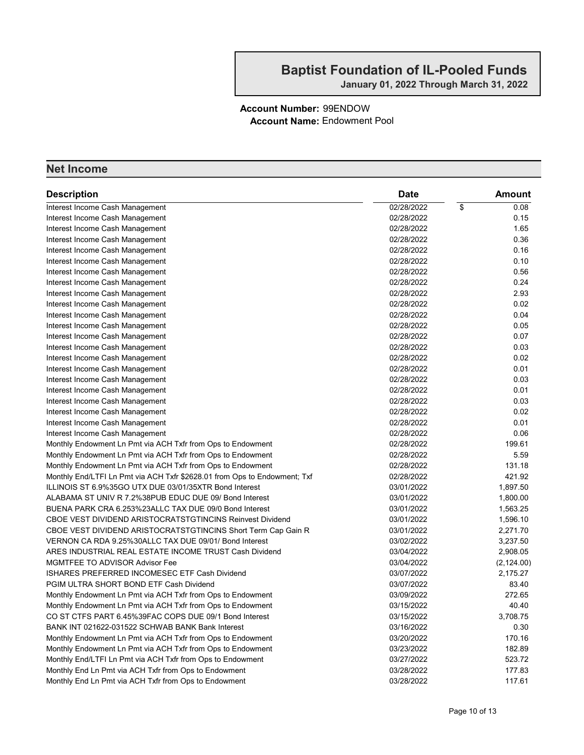#### Account Number: 99ENDOW Account Name: Endowment Pool

| <b>Description</b>                                                        | <b>Date</b> | <b>Amount</b> |
|---------------------------------------------------------------------------|-------------|---------------|
| Interest Income Cash Management                                           | 02/28/2022  | \$<br>0.08    |
| Interest Income Cash Management                                           | 02/28/2022  | 0.15          |
| Interest Income Cash Management                                           | 02/28/2022  | 1.65          |
| Interest Income Cash Management                                           | 02/28/2022  | 0.36          |
| Interest Income Cash Management                                           | 02/28/2022  | 0.16          |
| Interest Income Cash Management                                           | 02/28/2022  | 0.10          |
| Interest Income Cash Management                                           | 02/28/2022  | 0.56          |
| Interest Income Cash Management                                           | 02/28/2022  | 0.24          |
| Interest Income Cash Management                                           | 02/28/2022  | 2.93          |
| Interest Income Cash Management                                           | 02/28/2022  | 0.02          |
| Interest Income Cash Management                                           | 02/28/2022  | 0.04          |
| Interest Income Cash Management                                           | 02/28/2022  | 0.05          |
| Interest Income Cash Management                                           | 02/28/2022  | 0.07          |
| Interest Income Cash Management                                           | 02/28/2022  | 0.03          |
| Interest Income Cash Management                                           | 02/28/2022  | 0.02          |
| Interest Income Cash Management                                           | 02/28/2022  | 0.01          |
| Interest Income Cash Management                                           | 02/28/2022  | 0.03          |
| Interest Income Cash Management                                           | 02/28/2022  | 0.01          |
| Interest Income Cash Management                                           | 02/28/2022  | 0.03          |
| Interest Income Cash Management                                           | 02/28/2022  | 0.02          |
| Interest Income Cash Management                                           | 02/28/2022  | 0.01          |
| Interest Income Cash Management                                           | 02/28/2022  | 0.06          |
| Monthly Endowment Ln Pmt via ACH Txfr from Ops to Endowment               | 02/28/2022  | 199.61        |
| Monthly Endowment Ln Pmt via ACH Txfr from Ops to Endowment               | 02/28/2022  | 5.59          |
| Monthly Endowment Ln Pmt via ACH Txfr from Ops to Endowment               | 02/28/2022  | 131.18        |
| Monthly End/LTFI Ln Pmt via ACH Txfr \$2628.01 from Ops to Endowment; Txf | 02/28/2022  | 421.92        |
| ILLINOIS ST 6.9%35GO UTX DUE 03/01/35XTR Bond Interest                    | 03/01/2022  | 1,897.50      |
| ALABAMA ST UNIV R 7.2%38PUB EDUC DUE 09/ Bond Interest                    | 03/01/2022  | 1,800.00      |
| BUENA PARK CRA 6.253%23ALLC TAX DUE 09/0 Bond Interest                    | 03/01/2022  | 1,563.25      |
| <b>CBOE VEST DIVIDEND ARISTOCRATSTGTINCINS Reinvest Dividend</b>          | 03/01/2022  | 1,596.10      |
| CBOE VEST DIVIDEND ARISTOCRATSTGTINCINS Short Term Cap Gain R             | 03/01/2022  | 2,271.70      |
| VERNON CA RDA 9.25%30ALLC TAX DUE 09/01/ Bond Interest                    | 03/02/2022  | 3,237.50      |
| ARES INDUSTRIAL REAL ESTATE INCOME TRUST Cash Dividend                    | 03/04/2022  | 2,908.05      |
| <b>MGMTFEE TO ADVISOR Advisor Fee</b>                                     | 03/04/2022  | (2, 124.00)   |
| ISHARES PREFERRED INCOMESEC ETF Cash Dividend                             | 03/07/2022  | 2.175.27      |
| PGIM ULTRA SHORT BOND ETF Cash Dividend                                   | 03/07/2022  | 83.40         |
| Monthly Endowment Ln Pmt via ACH Txfr from Ops to Endowment               | 03/09/2022  | 272.65        |
| Monthly Endowment Ln Pmt via ACH Txfr from Ops to Endowment               | 03/15/2022  | 40.40         |
| CO ST CTFS PART 6.45%39FAC COPS DUE 09/1 Bond Interest                    | 03/15/2022  | 3,708.75      |
| BANK INT 021622-031522 SCHWAB BANK Bank Interest                          | 03/16/2022  | 0.30          |
| Monthly Endowment Ln Pmt via ACH Txfr from Ops to Endowment               | 03/20/2022  | 170.16        |
| Monthly Endowment Ln Pmt via ACH Txfr from Ops to Endowment               | 03/23/2022  | 182.89        |
| Monthly End/LTFI Ln Pmt via ACH Txfr from Ops to Endowment                | 03/27/2022  | 523.72        |
| Monthly End Ln Pmt via ACH Txfr from Ops to Endowment                     | 03/28/2022  | 177.83        |
| Monthly End Ln Pmt via ACH Txfr from Ops to Endowment                     | 03/28/2022  | 117.61        |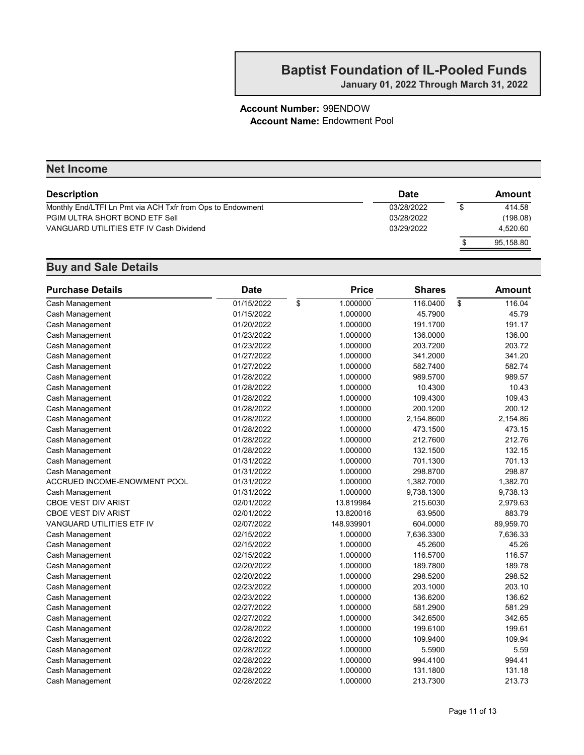#### Account Number: 99ENDOW Account Name: Endowment Pool

| <b>Net Income</b> |  |           |  |  |  |  |
|-------------------|--|-----------|--|--|--|--|
| Date              |  | Amount    |  |  |  |  |
| 03/28/2022        |  | 414.58    |  |  |  |  |
| 03/28/2022        |  | (198.08)  |  |  |  |  |
| 03/29/2022        |  | 4.520.60  |  |  |  |  |
|                   |  | 95,158.80 |  |  |  |  |
|                   |  |           |  |  |  |  |

| <b>Purchase Details</b>      | <b>Date</b> | <b>Price</b>   | <b>Shares</b> | <b>Amount</b> |
|------------------------------|-------------|----------------|---------------|---------------|
| Cash Management              | 01/15/2022  | \$<br>1.000000 | 116.0400      | \$<br>116.04  |
| Cash Management              | 01/15/2022  | 1.000000       | 45.7900       | 45.79         |
| Cash Management              | 01/20/2022  | 1.000000       | 191.1700      | 191.17        |
| Cash Management              | 01/23/2022  | 1.000000       | 136.0000      | 136.00        |
| Cash Management              | 01/23/2022  | 1.000000       | 203.7200      | 203.72        |
| Cash Management              | 01/27/2022  | 1.000000       | 341.2000      | 341.20        |
| Cash Management              | 01/27/2022  | 1.000000       | 582.7400      | 582.74        |
| Cash Management              | 01/28/2022  | 1.000000       | 989.5700      | 989.57        |
| Cash Management              | 01/28/2022  | 1.000000       | 10.4300       | 10.43         |
| Cash Management              | 01/28/2022  | 1.000000       | 109.4300      | 109.43        |
| Cash Management              | 01/28/2022  | 1.000000       | 200.1200      | 200.12        |
| Cash Management              | 01/28/2022  | 1.000000       | 2,154.8600    | 2,154.86      |
| Cash Management              | 01/28/2022  | 1.000000       | 473.1500      | 473.15        |
| Cash Management              | 01/28/2022  | 1.000000       | 212.7600      | 212.76        |
| Cash Management              | 01/28/2022  | 1.000000       | 132.1500      | 132.15        |
| Cash Management              | 01/31/2022  | 1.000000       | 701.1300      | 701.13        |
| Cash Management              | 01/31/2022  | 1.000000       | 298.8700      | 298.87        |
| ACCRUED INCOME-ENOWMENT POOL | 01/31/2022  | 1.000000       | 1,382.7000    | 1,382.70      |
| Cash Management              | 01/31/2022  | 1.000000       | 9,738.1300    | 9,738.13      |
| <b>CBOE VEST DIV ARIST</b>   | 02/01/2022  | 13.819984      | 215.6030      | 2,979.63      |
| <b>CBOE VEST DIV ARIST</b>   | 02/01/2022  | 13.820016      | 63.9500       | 883.79        |
| VANGUARD UTILITIES ETF IV    | 02/07/2022  | 148.939901     | 604.0000      | 89,959.70     |
| Cash Management              | 02/15/2022  | 1.000000       | 7,636.3300    | 7,636.33      |
| Cash Management              | 02/15/2022  | 1.000000       | 45.2600       | 45.26         |
| Cash Management              | 02/15/2022  | 1.000000       | 116.5700      | 116.57        |
| Cash Management              | 02/20/2022  | 1.000000       | 189.7800      | 189.78        |
| Cash Management              | 02/20/2022  | 1.000000       | 298.5200      | 298.52        |
| Cash Management              | 02/23/2022  | 1.000000       | 203.1000      | 203.10        |
| Cash Management              | 02/23/2022  | 1.000000       | 136.6200      | 136.62        |
| Cash Management              | 02/27/2022  | 1.000000       | 581.2900      | 581.29        |
| Cash Management              | 02/27/2022  | 1.000000       | 342.6500      | 342.65        |
| Cash Management              | 02/28/2022  | 1.000000       | 199.6100      | 199.61        |
| Cash Management              | 02/28/2022  | 1.000000       | 109.9400      | 109.94        |
| Cash Management              | 02/28/2022  | 1.000000       | 5.5900        | 5.59          |
| Cash Management              | 02/28/2022  | 1.000000       | 994.4100      | 994.41        |
| Cash Management              | 02/28/2022  | 1.000000       | 131.1800      | 131.18        |
| Cash Management              | 02/28/2022  | 1.000000       | 213.7300      | 213.73        |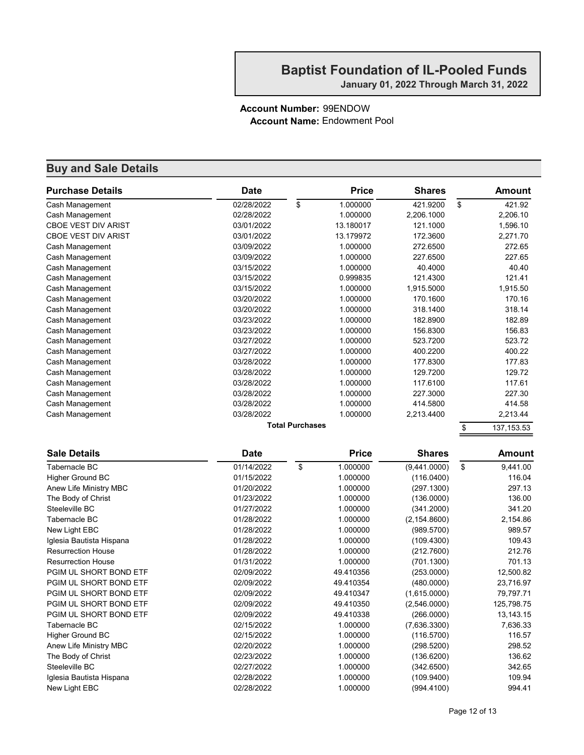#### Account Number: 99ENDOW Account Name: Endowment Pool

| <b>Purchase Details</b>    | <b>Date</b> |                        | <b>Price</b> | <b>Shares</b> | <b>Amount</b>     |
|----------------------------|-------------|------------------------|--------------|---------------|-------------------|
| Cash Management            | 02/28/2022  | \$                     | 1.000000     | 421.9200      | \$<br>421.92      |
| Cash Management            | 02/28/2022  |                        | 1.000000     | 2,206.1000    | 2,206.10          |
| <b>CBOE VEST DIV ARIST</b> | 03/01/2022  |                        | 13.180017    | 121.1000      | 1,596.10          |
| <b>CBOE VEST DIV ARIST</b> | 03/01/2022  |                        | 13.179972    | 172.3600      | 2,271.70          |
| Cash Management            | 03/09/2022  |                        | 1.000000     | 272.6500      | 272.65            |
| Cash Management            | 03/09/2022  |                        | 1.000000     | 227.6500      | 227.65            |
| Cash Management            | 03/15/2022  |                        | 1.000000     | 40.4000       | 40.40             |
| Cash Management            | 03/15/2022  |                        | 0.999835     | 121.4300      | 121.41            |
| Cash Management            | 03/15/2022  |                        | 1.000000     | 1,915.5000    | 1,915.50          |
| Cash Management            | 03/20/2022  |                        | 1.000000     | 170.1600      | 170.16            |
| Cash Management            | 03/20/2022  |                        | 1.000000     | 318.1400      | 318.14            |
| Cash Management            | 03/23/2022  |                        | 1.000000     | 182.8900      | 182.89            |
| Cash Management            | 03/23/2022  |                        | 1.000000     | 156.8300      | 156.83            |
| Cash Management            | 03/27/2022  |                        | 1.000000     | 523.7200      | 523.72            |
| Cash Management            | 03/27/2022  |                        | 1.000000     | 400.2200      | 400.22            |
| Cash Management            | 03/28/2022  |                        | 1.000000     | 177.8300      | 177.83            |
| Cash Management            | 03/28/2022  |                        | 1.000000     | 129.7200      | 129.72            |
| Cash Management            | 03/28/2022  |                        | 1.000000     | 117.6100      | 117.61            |
| Cash Management            | 03/28/2022  |                        | 1.000000     | 227.3000      | 227.30            |
| Cash Management            | 03/28/2022  |                        | 1.000000     | 414.5800      | 414.58            |
| Cash Management            | 03/28/2022  |                        | 1.000000     | 2,213.4400    | 2,213.44          |
|                            |             | <b>Total Purchases</b> |              |               | \$<br>137, 153.53 |
|                            |             |                        |              |               |                   |
| <b>Sale Details</b>        | <b>Date</b> |                        | <b>Price</b> | <b>Shares</b> | <b>Amount</b>     |
| <b>Tabernacle BC</b>       | 01/14/2022  | \$                     | 1.000000     | (9,441.0000)  | \$<br>9,441.00    |
| Higher Ground BC           | 01/15/2022  |                        | 1.000000     | (116.0400)    | 116.04            |
| Anew Life Ministry MBC     | 01/20/2022  |                        | 1.000000     | (297.1300)    | 297.13            |
| The Body of Christ         | 01/23/2022  |                        | 1.000000     | (136.0000)    | 136.00            |
| Steeleville BC             | 01/27/2022  |                        | 1.000000     | (341.2000)    | 341.20            |
| Tabernacle BC              | 01/28/2022  |                        | 1.000000     | (2, 154.8600) | 2,154.86          |
| New Light EBC              | 01/28/2022  |                        | 1.000000     | (989.5700)    | 989.57            |
| Iglesia Bautista Hispana   | 01/28/2022  |                        | 1.000000     | (109.4300)    | 109.43            |
| <b>Resurrection House</b>  | 01/28/2022  |                        | 1.000000     | (212.7600)    | 212.76            |
| <b>Resurrection House</b>  | 01/31/2022  |                        | 1.000000     | (701.1300)    | 701.13            |
| PGIM UL SHORT BOND ETF     | 02/09/2022  |                        | 49.410356    | (253.0000)    | 12,500.82         |
| PGIM UL SHORT BOND ETF     | 02/09/2022  |                        | 49.410354    | (480.0000)    | 23,716.97         |
| PGIM UL SHORT BOND ETF     | 02/09/2022  |                        | 49.410347    | (1,615.0000)  | 79,797.71         |
| PGIM UL SHORT BOND ETF     | 02/09/2022  |                        | 49.410350    | (2,546.0000)  | 125,798.75        |
| PGIM UL SHORT BOND ETF     | 02/09/2022  |                        | 49.410338    | (266.0000)    | 13, 143. 15       |
| Tabernacle BC              | 02/15/2022  |                        | 1.000000     | (7,636.3300)  | 7,636.33          |
| <b>Higher Ground BC</b>    | 02/15/2022  |                        | 1.000000     | (116.5700)    | 116.57            |
| Anew Life Ministry MBC     | 02/20/2022  |                        | 1.000000     | (298.5200)    | 298.52            |
| The Body of Christ         | 02/23/2022  |                        | 1.000000     | (136.6200)    | 136.62            |
| Steeleville BC             | 02/27/2022  |                        | 1.000000     | (342.6500)    | 342.65            |
| Iglesia Bautista Hispana   | 02/28/2022  |                        | 1.000000     | (109.9400)    | 109.94            |
| New Light EBC              | 02/28/2022  |                        | 1.000000     | (994.4100)    | 994.41            |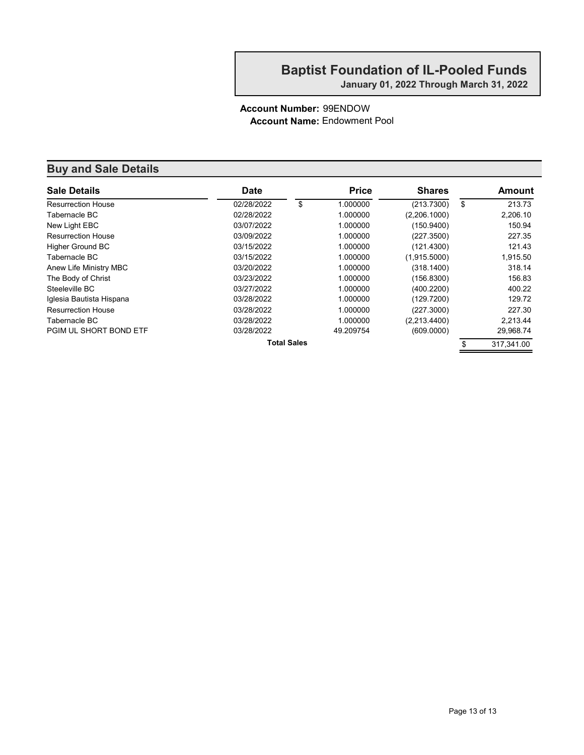#### Account Number: 99ENDOW Account Name: Endowment Pool

| <b>Sale Details</b>       | <b>Date</b> |                    | <b>Price</b> | <b>Shares</b> | Amount       |
|---------------------------|-------------|--------------------|--------------|---------------|--------------|
| <b>Resurrection House</b> | 02/28/2022  | \$                 | 1.000000     | (213.7300)    | \$<br>213.73 |
| Tabernacle BC             | 02/28/2022  |                    | 1.000000     | (2,206.1000)  | 2,206.10     |
| New Light EBC             | 03/07/2022  |                    | 1.000000     | (150.9400)    | 150.94       |
| <b>Resurrection House</b> | 03/09/2022  |                    | 1.000000     | (227.3500)    | 227.35       |
| <b>Higher Ground BC</b>   | 03/15/2022  |                    | 1.000000     | (121.4300)    | 121.43       |
| Tabernacle BC             | 03/15/2022  |                    | 1.000000     | (1,915.5000)  | 1,915.50     |
| Anew Life Ministry MBC    | 03/20/2022  |                    | 1.000000     | (318.1400)    | 318.14       |
| The Body of Christ        | 03/23/2022  |                    | 1.000000     | (156.8300)    | 156.83       |
| Steeleville BC            | 03/27/2022  |                    | 1.000000     | (400.2200)    | 400.22       |
| Iglesia Bautista Hispana  | 03/28/2022  |                    | 1.000000     | (129.7200)    | 129.72       |
| <b>Resurrection House</b> | 03/28/2022  |                    | 1.000000     | (227.3000)    | 227.30       |
| Tabernacle BC             | 03/28/2022  |                    | 1.000000     | (2,213.4400)  | 2.213.44     |
| PGIM UL SHORT BOND ETF    | 03/28/2022  |                    | 49.209754    | (609.0000)    | 29,968.74    |
|                           |             | <b>Total Sales</b> |              |               | 317.341.00   |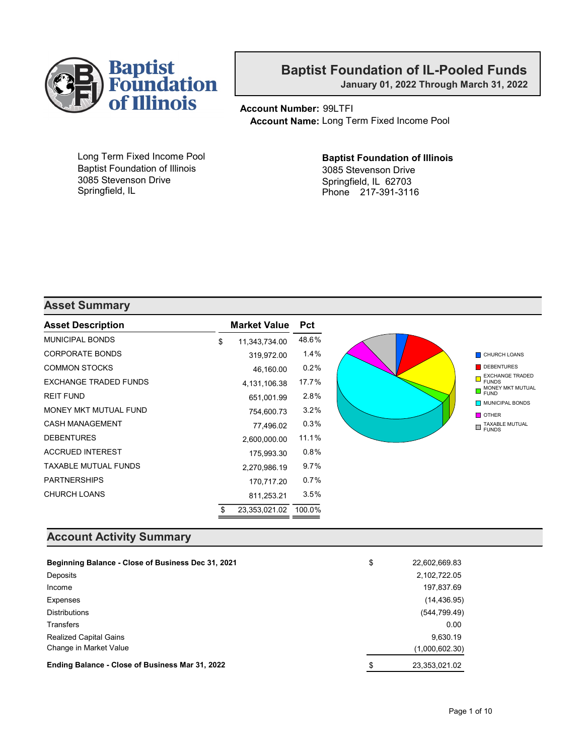

January 01, 2022 Through March 31, 2022

Account Number: 99LTFI Account Name: Long Term Fixed Income Pool

Long Term Fixed Income Pool Baptist Foundation of Illinois 3085 Stevenson Drive Springfield, IL

#### Baptist Foundation of Illinois 3085 Stevenson Drive Springfield, IL 62703 Phone 217-391-3116

#### Asset Summary

| <b>Asset Description</b>    | <b>Market Value</b> | <b>Pct</b> |  |
|-----------------------------|---------------------|------------|--|
| <b>MUNICIPAL BONDS</b>      | \$<br>11,343,734.00 | 48.6%      |  |
| <b>CORPORATE BONDS</b>      | 319,972.00          | 1.4%       |  |
| <b>COMMON STOCKS</b>        | 46,160.00           | 0.2%       |  |
| EXCHANGE TRADED FUNDS       | 4,131,106.38        | 17.7%      |  |
| <b>REIT FUND</b>            | 651,001.99          | 2.8%       |  |
| MONEY MKT MUTUAL FUND       | 754,600.73          | 3.2%       |  |
| <b>CASH MANAGEMENT</b>      | 77,496.02           | 0.3%       |  |
| <b>DEBENTURES</b>           | 2,600,000.00        | 11.1%      |  |
| <b>ACCRUED INTEREST</b>     | 175,993.30          | 0.8%       |  |
| <b>TAXABLE MUTUAL FUNDS</b> | 2,270,986.19        | 9.7%       |  |
| <b>PARTNERSHIPS</b>         | 170,717.20          | 0.7%       |  |
| <b>CHURCH LOANS</b>         | 811,253.21          | 3.5%       |  |
|                             | \$<br>23,353,021.02 | 100.0%     |  |

#### Account Activity Summary

| Beginning Balance - Close of Business Dec 31, 2021 | \$<br>22,602,669.83 |
|----------------------------------------------------|---------------------|
| Deposits                                           | 2,102,722.05        |
| Income                                             | 197,837.69          |
| Expenses                                           | (14, 436.95)        |
| <b>Distributions</b>                               | (544, 799.49)       |
| <b>Transfers</b>                                   | 0.00                |
| <b>Realized Capital Gains</b>                      | 9.630.19            |
| Change in Market Value                             | (1,000,602.30)      |
| Ending Balance - Close of Business Mar 31, 2022    | \$<br>23,353,021.02 |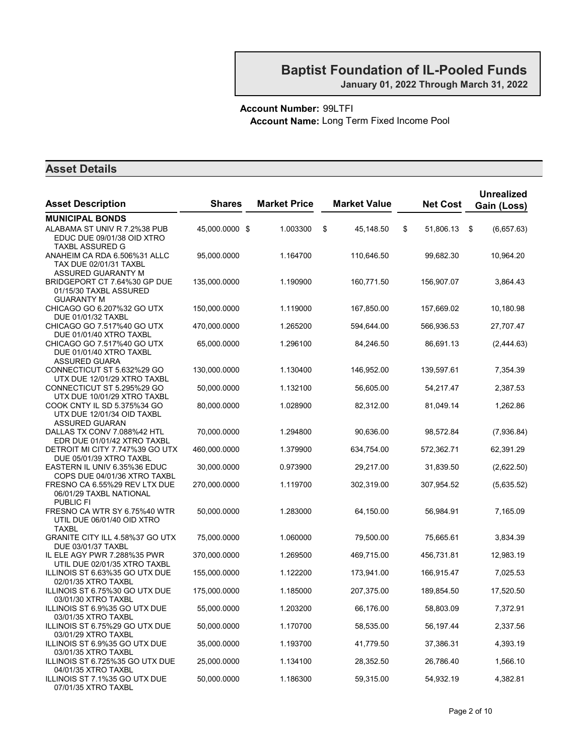#### Account Number: 99LTFI Account Name: Long Term Fixed Income Pool

| <b>Asset Description</b>                                                           | <b>Shares</b>  | <b>Market Price</b> | <b>Market Value</b> | <b>Net Cost</b> | <b>Unrealized</b><br>Gain (Loss) |
|------------------------------------------------------------------------------------|----------------|---------------------|---------------------|-----------------|----------------------------------|
| <b>MUNICIPAL BONDS</b>                                                             |                |                     |                     |                 |                                  |
| ALABAMA ST UNIV R 7.2%38 PUB<br>EDUC DUE 09/01/38 OID XTRO<br>TAXBL ASSURED G      | 45,000.0000 \$ | 1.003300            | \$<br>45,148.50     | \$<br>51,806.13 | \$<br>(6,657.63)                 |
| ANAHEIM CA RDA 6.506%31 ALLC<br>TAX DUE 02/01/31 TAXBL<br>ASSURED GUARANTY M       | 95,000.0000    | 1.164700            | 110,646.50          | 99,682.30       | 10,964.20                        |
| BRIDGEPORT CT 7.64%30 GP DUE<br>01/15/30 TAXBL ASSURED<br><b>GUARANTY M</b>        | 135,000.0000   | 1.190900            | 160,771.50          | 156,907.07      | 3,864.43                         |
| CHICAGO GO 6.207%32 GO UTX<br>DUE 01/01/32 TAXBL                                   | 150,000.0000   | 1.119000            | 167,850.00          | 157,669.02      | 10,180.98                        |
| CHICAGO GO 7.517%40 GO UTX<br>DUE 01/01/40 XTRO TAXBL                              | 470,000.0000   | 1.265200            | 594,644.00          | 566,936.53      | 27,707.47                        |
| CHICAGO GO 7.517%40 GO UTX<br>DUE 01/01/40 XTRO TAXBL<br><b>ASSURED GUARA</b>      | 65,000.0000    | 1.296100            | 84,246.50           | 86,691.13       | (2,444.63)                       |
| CONNECTICUT ST 5.632%29 GO<br>UTX DUE 12/01/29 XTRO TAXBL                          | 130,000.0000   | 1.130400            | 146,952.00          | 139,597.61      | 7,354.39                         |
| CONNECTICUT ST 5.295%29 GO<br>UTX DUE 10/01/29 XTRO TAXBL                          | 50,000.0000    | 1.132100            | 56,605.00           | 54,217.47       | 2,387.53                         |
| COOK CNTY IL SD 5.375%34 GO<br>UTX DUE 12/01/34 OID TAXBL<br><b>ASSURED GUARAN</b> | 80,000.0000    | 1.028900            | 82,312.00           | 81,049.14       | 1,262.86                         |
| DALLAS TX CONV 7.088%42 HTL<br>EDR DUE 01/01/42 XTRO TAXBL                         | 70,000.0000    | 1.294800            | 90,636.00           | 98,572.84       | (7,936.84)                       |
| DETROIT MI CITY 7.747%39 GO UTX<br>DUE 05/01/39 XTRO TAXBL                         | 460,000.0000   | 1.379900            | 634,754.00          | 572,362.71      | 62,391.29                        |
| EASTERN IL UNIV 6.35%36 EDUC<br>COPS DUE 04/01/36 XTRO TAXBL                       | 30,000.0000    | 0.973900            | 29,217.00           | 31,839.50       | (2,622.50)                       |
| FRESNO CA 6.55%29 REV LTX DUE<br>06/01/29 TAXBL NATIONAL<br><b>PUBLIC FI</b>       | 270,000.0000   | 1.119700            | 302,319.00          | 307,954.52      | (5,635.52)                       |
| FRESNO CA WTR SY 6.75%40 WTR<br>UTIL DUE 06/01/40 OID XTRO<br><b>TAXBL</b>         | 50,000.0000    | 1.283000            | 64,150.00           | 56,984.91       | 7,165.09                         |
| GRANITE CITY ILL 4.58%37 GO UTX<br>DUE 03/01/37 TAXBL                              | 75,000.0000    | 1.060000            | 79,500.00           | 75,665.61       | 3,834.39                         |
| IL ELE AGY PWR 7.288%35 PWR<br>UTIL DUE 02/01/35 XTRO TAXBL                        | 370,000.0000   | 1.269500            | 469,715.00          | 456,731.81      | 12,983.19                        |
| ILLINOIS ST 6.63%35 GO UTX DUE<br>02/01/35 XTRO TAXBL                              | 155,000.0000   | 1.122200            | 173,941.00          | 166,915.47      | 7,025.53                         |
| ILLINOIS ST 6.75%30 GO UTX DUE<br>03/01/30 XTRO TAXBL                              | 175,000.0000   | 1.185000            | 207,375.00          | 189,854.50      | 17,520.50                        |
| ILLINOIS ST 6.9%35 GO UTX DUE<br>03/01/35 XTRO TAXBL                               | 55,000.0000    | 1.203200            | 66,176.00           | 58,803.09       | 7,372.91                         |
| ILLINOIS ST 6.75%29 GO UTX DUE<br>03/01/29 XTRO TAXBL                              | 50,000.0000    | 1.170700            | 58,535.00           | 56,197.44       | 2,337.56                         |
| ILLINOIS ST 6.9%35 GO UTX DUE<br>03/01/35 XTRO TAXBL                               | 35,000.0000    | 1.193700            | 41,779.50           | 37,386.31       | 4,393.19                         |
| ILLINOIS ST 6.725%35 GO UTX DUE<br>04/01/35 XTRO TAXBL                             | 25,000.0000    | 1.134100            | 28,352.50           | 26,786.40       | 1,566.10                         |
| ILLINOIS ST 7.1%35 GO UTX DUE<br>07/01/35 XTRO TAXBL                               | 50,000.0000    | 1.186300            | 59,315.00           | 54,932.19       | 4,382.81                         |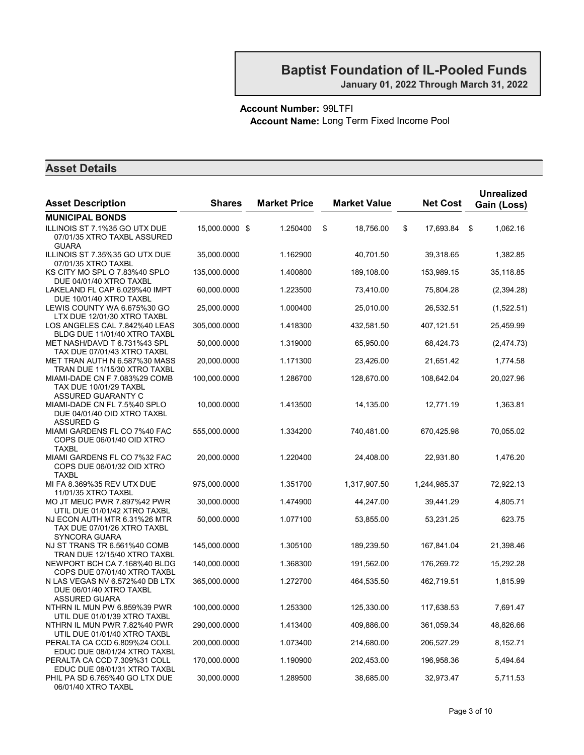#### Account Number: 99LTFI Account Name: Long Term Fixed Income Pool

| <b>Asset Description</b>                                                             | <b>Shares</b>  | <b>Market Price</b> | <b>Market Value</b> | <b>Net Cost</b> | <b>Unrealized</b><br>Gain (Loss) |
|--------------------------------------------------------------------------------------|----------------|---------------------|---------------------|-----------------|----------------------------------|
| <b>MUNICIPAL BONDS</b>                                                               |                |                     |                     |                 |                                  |
| ILLINOIS ST 7.1%35 GO UTX DUE<br>07/01/35 XTRO TAXBL ASSURED<br><b>GUARA</b>         | 15,000.0000 \$ | 1.250400            | \$<br>18,756.00     | \$<br>17,693.84 | 1,062.16<br>\$                   |
| ILLINOIS ST 7.35%35 GO UTX DUE<br>07/01/35 XTRO TAXBL                                | 35,000.0000    | 1.162900            | 40,701.50           | 39,318.65       | 1,382.85                         |
| KS CITY MO SPL O 7.83%40 SPLO<br>DUE 04/01/40 XTRO TAXBL                             | 135,000.0000   | 1.400800            | 189,108.00          | 153,989.15      | 35,118.85                        |
| LAKELAND FL CAP 6.029%40 IMPT<br>DUE 10/01/40 XTRO TAXBL                             | 60,000.0000    | 1.223500            | 73,410.00           | 75,804.28       | (2,394.28)                       |
| LEWIS COUNTY WA 6.675%30 GO<br>LTX DUE 12/01/30 XTRO TAXBL                           | 25,000.0000    | 1.000400            | 25,010.00           | 26,532.51       | (1,522.51)                       |
| LOS ANGELES CAL 7.842%40 LEAS<br>BLDG DUE 11/01/40 XTRO TAXBL                        | 305,000.0000   | 1.418300            | 432,581.50          | 407,121.51      | 25,459.99                        |
| MET NASH/DAVD T 6.731%43 SPL<br>TAX DUE 07/01/43 XTRO TAXBL                          | 50,000.0000    | 1.319000            | 65,950.00           | 68,424.73       | (2,474.73)                       |
| MET TRAN AUTH N 6.587%30 MASS<br>TRAN DUE 11/15/30 XTRO TAXBL                        | 20,000.0000    | 1.171300            | 23,426.00           | 21,651.42       | 1,774.58                         |
| MIAMI-DADE CN F 7.083%29 COMB<br><b>TAX DUE 10/01/29 TAXBL</b><br>ASSURED GUARANTY C | 100,000.0000   | 1.286700            | 128,670.00          | 108,642.04      | 20,027.96                        |
| MIAMI-DADE CN FL 7.5%40 SPLO<br>DUE 04/01/40 OID XTRO TAXBL<br>ASSURED G             | 10,000.0000    | 1.413500            | 14,135.00           | 12,771.19       | 1,363.81                         |
| MIAMI GARDENS FL CO 7%40 FAC<br>COPS DUE 06/01/40 OID XTRO<br><b>TAXBL</b>           | 555,000.0000   | 1.334200            | 740,481.00          | 670,425.98      | 70,055.02                        |
| MIAMI GARDENS FL CO 7%32 FAC<br>COPS DUE 06/01/32 OID XTRO<br><b>TAXBL</b>           | 20,000.0000    | 1.220400            | 24,408.00           | 22,931.80       | 1,476.20                         |
| MI FA 8.369%35 REV UTX DUE<br>11/01/35 XTRO TAXBL                                    | 975,000.0000   | 1.351700            | 1,317,907.50        | 1,244,985.37    | 72,922.13                        |
| MO JT MEUC PWR 7.897%42 PWR<br>UTIL DUE 01/01/42 XTRO TAXBL                          | 30,000.0000    | 1.474900            | 44,247.00           | 39,441.29       | 4,805.71                         |
| NJ ECON AUTH MTR 6.31%26 MTR<br>TAX DUE 07/01/26 XTRO TAXBL<br>SYNCORA GUARA         | 50,000.0000    | 1.077100            | 53,855.00           | 53,231.25       | 623.75                           |
| NJ ST TRANS TR 6.561%40 COMB<br>TRAN DUE 12/15/40 XTRO TAXBL                         | 145,000.0000   | 1.305100            | 189,239.50          | 167,841.04      | 21,398.46                        |
| NEWPORT BCH CA 7.168%40 BLDG<br>COPS DUE 07/01/40 XTRO TAXBL                         | 140,000.0000   | 1.368300            | 191,562.00          | 176,269.72      | 15,292.28                        |
| N LAS VEGAS NV 6.572%40 DB LTX<br>DUE 06/01/40 XTRO TAXBL<br>ASSURED GUARA           | 365,000.0000   | 1.272700            | 464,535.50          | 462,719.51      | 1,815.99                         |
| NTHRN IL MUN PW 6.859%39 PWR<br>UTIL DUE 01/01/39 XTRO TAXBL                         | 100,000.0000   | 1.253300            | 125,330.00          | 117,638.53      | 7,691.47                         |
| NTHRN IL MUN PWR 7.82%40 PWR<br>UTIL DUE 01/01/40 XTRO TAXBL                         | 290,000.0000   | 1.413400            | 409,886.00          | 361,059.34      | 48,826.66                        |
| PERALTA CA CCD 6.809%24 COLL<br>EDUC DUE 08/01/24 XTRO TAXBL                         | 200,000.0000   | 1.073400            | 214,680.00          | 206,527.29      | 8,152.71                         |
| PERALTA CA CCD 7.309%31 COLL<br>EDUC DUE 08/01/31 XTRO TAXBL                         | 170,000.0000   | 1.190900            | 202,453.00          | 196,958.36      | 5,494.64                         |
| PHIL PA SD 6.765%40 GO LTX DUE<br>06/01/40 XTRO TAXBL                                | 30,000.0000    | 1.289500            | 38,685.00           | 32,973.47       | 5,711.53                         |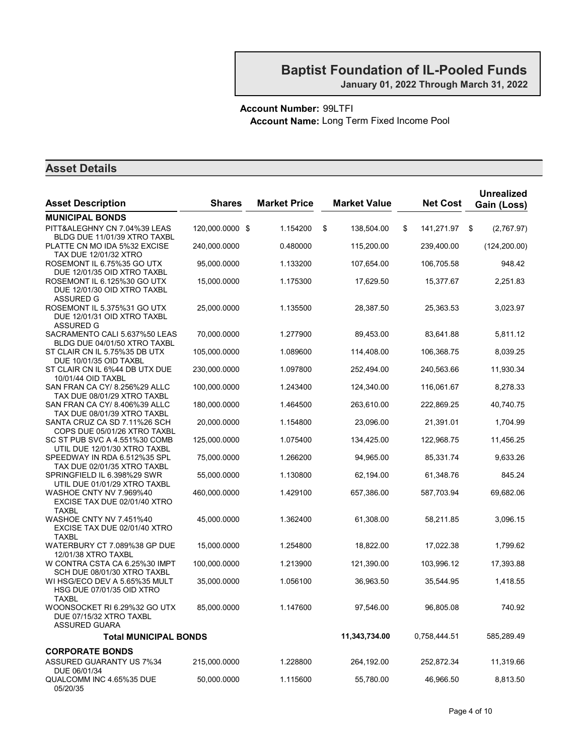#### Account Number: 99LTFI Account Name: Long Term Fixed Income Pool

| <b>Asset Description</b>                                                       | <b>Shares</b>   | <b>Market Price</b> | <b>Market Value</b> | <b>Net Cost</b>  | <b>Unrealized</b><br>Gain (Loss) |
|--------------------------------------------------------------------------------|-----------------|---------------------|---------------------|------------------|----------------------------------|
| <b>MUNICIPAL BONDS</b>                                                         |                 |                     |                     |                  |                                  |
| PITT&ALEGHNY CN 7.04%39 LEAS<br>BLDG DUE 11/01/39 XTRO TAXBL                   | 120,000.0000 \$ | 1.154200            | \$<br>138,504.00    | \$<br>141,271.97 | \$<br>(2,767.97)                 |
| PLATTE CN MO IDA 5%32 EXCISE<br><b>TAX DUE 12/01/32 XTRO</b>                   | 240,000.0000    | 0.480000            | 115,200.00          | 239,400.00       | (124, 200.00)                    |
| ROSEMONT IL 6.75%35 GO UTX<br>DUE 12/01/35 OID XTRO TAXBL                      | 95,000.0000     | 1.133200            | 107,654.00          | 106,705.58       | 948.42                           |
| ROSEMONT IL 6.125%30 GO UTX<br>DUE 12/01/30 OID XTRO TAXBL<br>ASSURED G        | 15,000.0000     | 1.175300            | 17,629.50           | 15,377.67        | 2,251.83                         |
| ROSEMONT IL 5.375%31 GO UTX<br>DUE 12/01/31 OID XTRO TAXBL<br>ASSURED G        | 25,000.0000     | 1.135500            | 28,387.50           | 25,363.53        | 3,023.97                         |
| SACRAMENTO CALI 5.637%50 LEAS<br>BLDG DUE 04/01/50 XTRO TAXBL                  | 70,000.0000     | 1.277900            | 89,453.00           | 83,641.88        | 5,811.12                         |
| ST CLAIR CN IL 5.75%35 DB UTX<br>DUE 10/01/35 OID TAXBL                        | 105,000.0000    | 1.089600            | 114,408.00          | 106,368.75       | 8,039.25                         |
| ST CLAIR CN IL 6%44 DB UTX DUE<br>10/01/44 OID TAXBL                           | 230,000.0000    | 1.097800            | 252,494.00          | 240,563.66       | 11,930.34                        |
| SAN FRAN CA CY/ 8.256%29 ALLC<br>TAX DUE 08/01/29 XTRO TAXBL                   | 100,000.0000    | 1.243400            | 124,340.00          | 116,061.67       | 8,278.33                         |
| SAN FRAN CA CY/ 8.406%39 ALLC<br>TAX DUE 08/01/39 XTRO TAXBL                   | 180,000.0000    | 1.464500            | 263,610.00          | 222,869.25       | 40,740.75                        |
| SANTA CRUZ CA SD 7.11%26 SCH<br>COPS DUE 05/01/26 XTRO TAXBL                   | 20,000.0000     | 1.154800            | 23,096.00           | 21,391.01        | 1,704.99                         |
| SC ST PUB SVC A 4.551%30 COMB<br>UTIL DUE 12/01/30 XTRO TAXBL                  | 125,000.0000    | 1.075400            | 134,425.00          | 122,968.75       | 11,456.25                        |
| SPEEDWAY IN RDA 6.512%35 SPL<br>TAX DUE 02/01/35 XTRO TAXBL                    | 75,000.0000     | 1.266200            | 94,965.00           | 85,331.74        | 9,633.26                         |
| SPRINGFIELD IL 6.398%29 SWR<br>UTIL DUE 01/01/29 XTRO TAXBL                    | 55,000.0000     | 1.130800            | 62,194.00           | 61,348.76        | 845.24                           |
| WASHOE CNTY NV 7.969%40<br>EXCISE TAX DUE 02/01/40 XTRO<br><b>TAXBL</b>        | 460,000.0000    | 1.429100            | 657,386.00          | 587,703.94       | 69,682.06                        |
| <b>WASHOE CNTY NV 7.451%40</b><br>EXCISE TAX DUE 02/01/40 XTRO<br><b>TAXBL</b> | 45,000.0000     | 1.362400            | 61,308.00           | 58,211.85        | 3,096.15                         |
| WATERBURY CT 7.089%38 GP DUE<br>12/01/38 XTRO TAXBL                            | 15,000.0000     | 1.254800            | 18,822.00           | 17,022.38        | 1,799.62                         |
| W CONTRA CSTA CA 6.25%30 IMPT<br>SCH DUE 08/01/30 XTRO TAXBL                   | 100,000.0000    | 1.213900            | 121,390.00          | 103,996.12       | 17,393.88                        |
| WI HSG/ECO DEV A 5.65%35 MULT<br>HSG DUE 07/01/35 OID XTRO<br><b>TAXBL</b>     | 35,000.0000     | 1.056100            | 36,963.50           | 35,544.95        | 1,418.55                         |
| WOONSOCKET RI 6.29%32 GO UTX<br>DUE 07/15/32 XTRO TAXBL<br>ASSURED GUARA       | 85,000.0000     | 1.147600            | 97,546.00           | 96,805.08        | 740.92                           |
| <b>Total MUNICIPAL BONDS</b>                                                   |                 |                     | 11,343,734.00       | 0,758,444.51     | 585,289.49                       |
| <b>CORPORATE BONDS</b>                                                         |                 |                     |                     |                  |                                  |
| ASSURED GUARANTY US 7%34<br>DUE 06/01/34                                       | 215,000.0000    | 1.228800            | 264,192.00          | 252,872.34       | 11,319.66                        |
| QUALCOMM INC 4.65%35 DUE<br>05/20/35                                           | 50,000.0000     | 1.115600            | 55,780.00           | 46,966.50        | 8,813.50                         |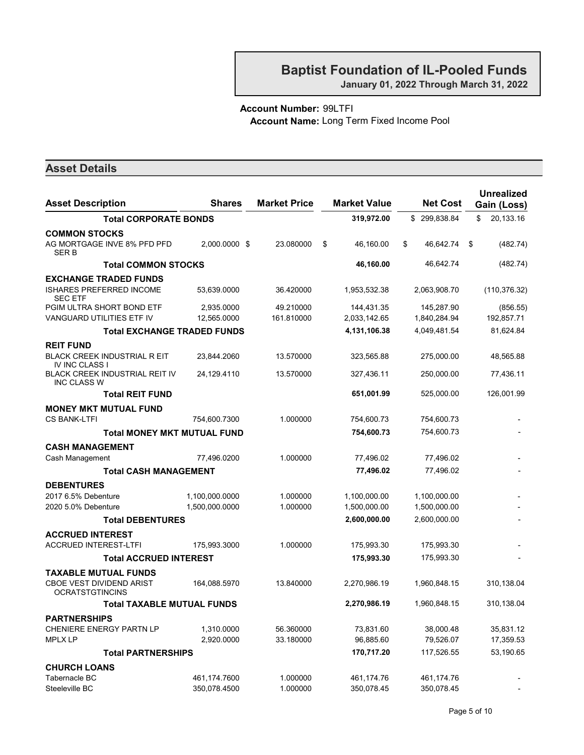January 01, 2022 Through March 31, 2022

#### Account Number: 99LTFI Account Name: Long Term Fixed Income Pool

| <b>Asset Description</b>                                     | <b>Shares</b>  | <b>Market Price</b> | <b>Market Value</b> | <b>Net Cost</b> | <b>Unrealized</b><br>Gain (Loss) |
|--------------------------------------------------------------|----------------|---------------------|---------------------|-----------------|----------------------------------|
| <b>Total CORPORATE BONDS</b>                                 |                |                     | 319,972.00          | \$299,838.84    | \$<br>20,133.16                  |
|                                                              |                |                     |                     |                 |                                  |
| <b>COMMON STOCKS</b><br>AG MORTGAGE INVE 8% PFD PFD<br>SER B | 2.000.0000 \$  | 23.080000           | \$<br>46,160.00     | \$<br>46.642.74 | \$<br>(482.74)                   |
| <b>Total COMMON STOCKS</b>                                   |                |                     | 46,160.00           | 46,642.74       | (482.74)                         |
| <b>EXCHANGE TRADED FUNDS</b>                                 |                |                     |                     |                 |                                  |
| <b>ISHARES PREFERRED INCOME</b><br><b>SEC ETF</b>            | 53,639.0000    | 36.420000           | 1,953,532.38        | 2,063,908.70    | (110, 376.32)                    |
| PGIM ULTRA SHORT BOND ETF                                    | 2,935.0000     | 49.210000           | 144,431.35          | 145,287.90      | (856.55)                         |
| VANGUARD UTILITIES ETF IV                                    | 12,565.0000    | 161.810000          | 2,033,142.65        | 1,840,284.94    | 192,857.71                       |
| <b>Total EXCHANGE TRADED FUNDS</b>                           |                |                     | 4,131,106.38        | 4,049,481.54    | 81,624.84                        |
| <b>REIT FUND</b>                                             |                |                     |                     |                 |                                  |
| <b>BLACK CREEK INDUSTRIAL R EIT</b><br><b>IV INC CLASS I</b> | 23,844.2060    | 13.570000           | 323,565.88          | 275,000.00      | 48,565.88                        |
| <b>BLACK CREEK INDUSTRIAL REIT IV</b><br><b>INC CLASS W</b>  | 24.129.4110    | 13.570000           | 327,436.11          | 250,000.00      | 77,436.11                        |
| <b>Total REIT FUND</b>                                       |                |                     | 651,001.99          | 525,000.00      | 126,001.99                       |
| <b>MONEY MKT MUTUAL FUND</b>                                 |                |                     |                     |                 |                                  |
| <b>CS BANK-LTFI</b>                                          | 754,600.7300   | 1.000000            | 754,600.73          | 754,600.73      |                                  |
| <b>Total MONEY MKT MUTUAL FUND</b>                           |                |                     | 754,600.73          | 754,600.73      |                                  |
| <b>CASH MANAGEMENT</b>                                       |                |                     |                     |                 |                                  |
| Cash Management                                              | 77,496.0200    | 1.000000            | 77,496.02           | 77,496.02       |                                  |
| <b>Total CASH MANAGEMENT</b>                                 |                |                     | 77,496.02           | 77,496.02       |                                  |
| <b>DEBENTURES</b>                                            |                |                     |                     |                 |                                  |
| 2017 6.5% Debenture                                          | 1,100,000.0000 | 1.000000            | 1,100,000.00        | 1,100,000.00    |                                  |
| 2020 5.0% Debenture                                          | 1,500,000.0000 | 1.000000            | 1,500,000.00        | 1,500,000.00    |                                  |
| <b>Total DEBENTURES</b>                                      |                |                     | 2,600,000.00        | 2,600,000.00    |                                  |
| <b>ACCRUED INTEREST</b>                                      |                |                     |                     |                 |                                  |
| <b>ACCRUED INTEREST-LTFI</b>                                 | 175,993.3000   | 1.000000            | 175,993.30          | 175,993.30      |                                  |
| <b>Total ACCRUED INTEREST</b>                                |                |                     | 175,993.30          | 175,993.30      |                                  |
| TAXABLE MUTUAL FUNDS                                         |                |                     |                     |                 |                                  |
| <b>CBOE VEST DIVIDEND ARIST</b><br><b>OCRATSTGTINCINS</b>    | 164,088.5970   | 13.840000           | 2,270,986.19        | 1,960,848.15    | 310,138.04                       |
| <b>Total TAXABLE MUTUAL FUNDS</b>                            |                |                     | 2,270,986.19        | 1,960,848.15    | 310,138.04                       |
| <b>PARTNERSHIPS</b>                                          |                |                     |                     |                 |                                  |
| CHENIERE ENERGY PARTN LP                                     | 1,310.0000     | 56.360000           | 73,831.60           | 38,000.48       | 35,831.12                        |
| <b>MPLX LP</b>                                               | 2,920.0000     | 33.180000           | 96,885.60           | 79,526.07       | 17,359.53                        |
| <b>Total PARTNERSHIPS</b>                                    |                |                     | 170,717.20          | 117,526.55      | 53,190.65                        |
| <b>CHURCH LOANS</b>                                          |                |                     |                     |                 |                                  |
| Tabernacle BC                                                | 461,174.7600   | 1.000000            | 461,174.76          | 461,174.76      |                                  |
| Steeleville BC                                               | 350,078.4500   | 1.000000            | 350,078.45          | 350,078.45      |                                  |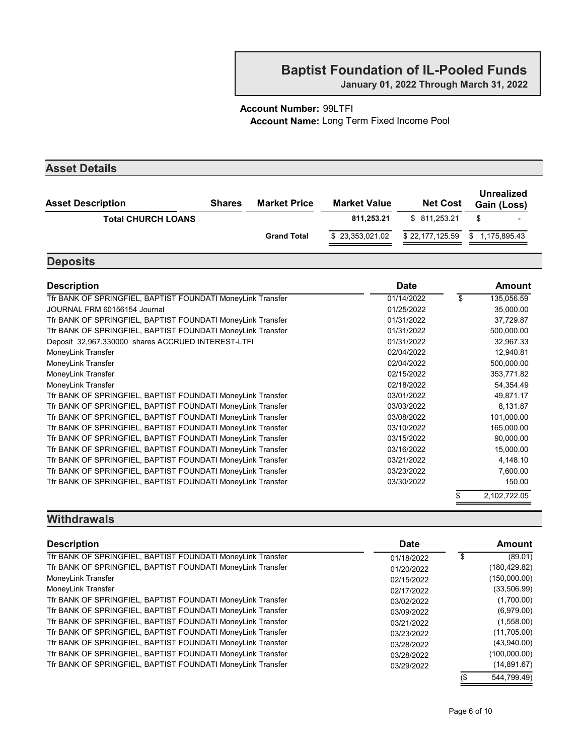January 01, 2022 Through March 31, 2022

#### Account Number: 99LTFI Account Name: Long Term Fixed Income Pool

| <b>Asset Details</b>      |               |                     |                     |                 |                                  |
|---------------------------|---------------|---------------------|---------------------|-----------------|----------------------------------|
| <b>Asset Description</b>  | <b>Shares</b> | <b>Market Price</b> | <b>Market Value</b> | <b>Net Cost</b> | <b>Unrealized</b><br>Gain (Loss) |
| <b>Total CHURCH LOANS</b> |               |                     | 811.253.21          | \$ 811,253.21   | \$                               |
|                           |               | <b>Grand Total</b>  | \$23,353,021.02     | \$22,177,125.59 | 1,175,895.43<br>\$               |

# **Deposits**

| <b>Description</b>                                          | <b>Date</b> | Amount           |
|-------------------------------------------------------------|-------------|------------------|
| Tfr BANK OF SPRINGFIEL, BAPTIST FOUNDATI MoneyLink Transfer | 01/14/2022  | \$<br>135,056.59 |
| JOURNAL FRM 60156154 Journal                                | 01/25/2022  | 35,000.00        |
| Tfr BANK OF SPRINGFIEL, BAPTIST FOUNDATI MoneyLink Transfer | 01/31/2022  | 37,729.87        |
| Tfr BANK OF SPRINGFIEL, BAPTIST FOUNDATI MoneyLink Transfer | 01/31/2022  | 500,000.00       |
| Deposit 32,967.330000 shares ACCRUED INTEREST-LTFI          | 01/31/2022  | 32,967.33        |
| MoneyLink Transfer                                          | 02/04/2022  | 12,940.81        |
| MoneyLink Transfer                                          | 02/04/2022  | 500,000.00       |
| MoneyLink Transfer                                          | 02/15/2022  | 353,771.82       |
| MoneyLink Transfer                                          | 02/18/2022  | 54,354.49        |
| Tfr BANK OF SPRINGFIEL, BAPTIST FOUNDATI MoneyLink Transfer | 03/01/2022  | 49,871.17        |
| Tfr BANK OF SPRINGFIEL, BAPTIST FOUNDATI MoneyLink Transfer | 03/03/2022  | 8,131.87         |
| Tfr BANK OF SPRINGFIEL, BAPTIST FOUNDATI MoneyLink Transfer | 03/08/2022  | 101,000.00       |
| Tfr BANK OF SPRINGFIEL, BAPTIST FOUNDATI MoneyLink Transfer | 03/10/2022  | 165,000.00       |
| Tfr BANK OF SPRINGFIEL, BAPTIST FOUNDATI MoneyLink Transfer | 03/15/2022  | 90,000.00        |
| Tfr BANK OF SPRINGFIEL, BAPTIST FOUNDATI MoneyLink Transfer | 03/16/2022  | 15,000.00        |
| Tfr BANK OF SPRINGFIEL, BAPTIST FOUNDATI MoneyLink Transfer | 03/21/2022  | 4,148.10         |
| Tfr BANK OF SPRINGFIEL, BAPTIST FOUNDATI MoneyLink Transfer | 03/23/2022  | 7,600.00         |
| Tfr BANK OF SPRINGFIEL, BAPTIST FOUNDATI MoneyLink Transfer | 03/30/2022  | 150.00           |
|                                                             |             | 2,102,722.05     |
|                                                             |             |                  |

#### **Withdrawals**

| <b>Description</b>                                          | Date       |     | Amount        |
|-------------------------------------------------------------|------------|-----|---------------|
| Tfr BANK OF SPRINGFIEL, BAPTIST FOUNDATI MoneyLink Transfer | 01/18/2022 |     | (89.01)       |
| Tfr BANK OF SPRINGFIEL, BAPTIST FOUNDATI MoneyLink Transfer | 01/20/2022 |     | (180, 429.82) |
| MoneyLink Transfer                                          | 02/15/2022 |     | (150,000.00)  |
| MoneyLink Transfer                                          | 02/17/2022 |     | (33,506.99)   |
| Tfr BANK OF SPRINGFIEL, BAPTIST FOUNDATI MoneyLink Transfer | 03/02/2022 |     | (1,700.00)    |
| Tfr BANK OF SPRINGFIEL, BAPTIST FOUNDATI MoneyLink Transfer | 03/09/2022 |     | (6,979.00)    |
| Tfr BANK OF SPRINGFIEL, BAPTIST FOUNDATI MoneyLink Transfer | 03/21/2022 |     | (1,558.00)    |
| Tfr BANK OF SPRINGFIEL, BAPTIST FOUNDATI MoneyLink Transfer | 03/23/2022 |     | (11,705.00)   |
| Tfr BANK OF SPRINGFIEL, BAPTIST FOUNDATI MoneyLink Transfer | 03/28/2022 |     | (43,940.00)   |
| Tfr BANK OF SPRINGFIEL, BAPTIST FOUNDATI MoneyLink Transfer | 03/28/2022 |     | (100,000.00)  |
| Tfr BANK OF SPRINGFIEL, BAPTIST FOUNDATI MoneyLink Transfer | 03/29/2022 |     | (14, 891.67)  |
|                                                             |            | (\$ | 544.799.49)   |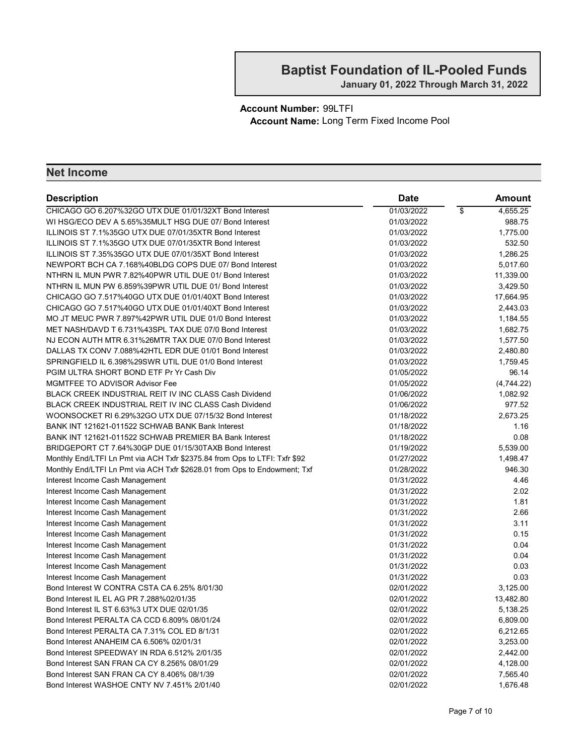January 01, 2022 Through March 31, 2022

Account Number: 99LTFI Account Name: Long Term Fixed Income Pool

| <b>Description</b>                                                         | <b>Date</b> |                          | <b>Amount</b> |
|----------------------------------------------------------------------------|-------------|--------------------------|---------------|
| CHICAGO GO 6.207%32GO UTX DUE 01/01/32XT Bond Interest                     | 01/03/2022  | $\overline{\mathcal{S}}$ | 4,655.25      |
| WI HSG/ECO DEV A 5.65%35MULT HSG DUE 07/ Bond Interest                     | 01/03/2022  |                          | 988.75        |
| ILLINOIS ST 7.1%35GO UTX DUE 07/01/35XTR Bond Interest                     | 01/03/2022  |                          | 1,775.00      |
| ILLINOIS ST 7.1%35GO UTX DUE 07/01/35XTR Bond Interest                     | 01/03/2022  |                          | 532.50        |
| ILLINOIS ST 7.35%35GO UTX DUE 07/01/35XT Bond Interest                     | 01/03/2022  |                          | 1,286.25      |
| NEWPORT BCH CA 7.168%40BLDG COPS DUE 07/ Bond Interest                     | 01/03/2022  |                          | 5,017.60      |
| NTHRN IL MUN PWR 7.82%40PWR UTIL DUE 01/ Bond Interest                     | 01/03/2022  |                          | 11,339.00     |
| NTHRN IL MUN PW 6.859%39PWR UTIL DUE 01/ Bond Interest                     | 01/03/2022  |                          | 3,429.50      |
| CHICAGO GO 7.517%40GO UTX DUE 01/01/40XT Bond Interest                     | 01/03/2022  |                          | 17,664.95     |
| CHICAGO GO 7.517%40GO UTX DUE 01/01/40XT Bond Interest                     | 01/03/2022  |                          | 2,443.03      |
| MO JT MEUC PWR 7.897%42PWR UTIL DUE 01/0 Bond Interest                     | 01/03/2022  |                          | 1,184.55      |
| MET NASH/DAVD T 6.731%43SPL TAX DUE 07/0 Bond Interest                     | 01/03/2022  |                          | 1,682.75      |
| NJ ECON AUTH MTR 6.31%26MTR TAX DUE 07/0 Bond Interest                     | 01/03/2022  |                          | 1,577.50      |
| DALLAS TX CONV 7.088%42HTL EDR DUE 01/01 Bond Interest                     | 01/03/2022  |                          | 2,480.80      |
| SPRINGFIELD IL 6.398%29SWR UTIL DUE 01/0 Bond Interest                     | 01/03/2022  |                          | 1,759.45      |
| PGIM ULTRA SHORT BOND ETF Pr Yr Cash Div                                   | 01/05/2022  |                          | 96.14         |
| <b>MGMTFEE TO ADVISOR Advisor Fee</b>                                      | 01/05/2022  |                          | (4,744.22)    |
| BLACK CREEK INDUSTRIAL REIT IV INC CLASS Cash Dividend                     | 01/06/2022  |                          | 1,082.92      |
| BLACK CREEK INDUSTRIAL REIT IV INC CLASS Cash Dividend                     | 01/06/2022  |                          | 977.52        |
| WOONSOCKET RI 6.29%32GO UTX DUE 07/15/32 Bond Interest                     | 01/18/2022  |                          | 2,673.25      |
| BANK INT 121621-011522 SCHWAB BANK Bank Interest                           | 01/18/2022  |                          | 1.16          |
| BANK INT 121621-011522 SCHWAB PREMIER BA Bank Interest                     | 01/18/2022  |                          | 0.08          |
| BRIDGEPORT CT 7.64%30GP DUE 01/15/30TAXB Bond Interest                     | 01/19/2022  |                          | 5,539.00      |
| Monthly End/LTFI Ln Pmt via ACH Txfr \$2375.84 from Ops to LTFI: Txfr \$92 | 01/27/2022  |                          | 1,498.47      |
| Monthly End/LTFI Ln Pmt via ACH Txfr \$2628.01 from Ops to Endowment; Txf  | 01/28/2022  |                          | 946.30        |
| Interest Income Cash Management                                            | 01/31/2022  |                          | 4.46          |
| Interest Income Cash Management                                            | 01/31/2022  |                          | 2.02          |
| Interest Income Cash Management                                            | 01/31/2022  |                          | 1.81          |
| Interest Income Cash Management                                            | 01/31/2022  |                          | 2.66          |
| Interest Income Cash Management                                            | 01/31/2022  |                          | 3.11          |
| Interest Income Cash Management                                            | 01/31/2022  |                          | 0.15          |
| Interest Income Cash Management                                            | 01/31/2022  |                          | 0.04          |
| Interest Income Cash Management                                            | 01/31/2022  |                          | 0.04          |
| Interest Income Cash Management                                            | 01/31/2022  |                          | 0.03          |
| Interest Income Cash Management                                            | 01/31/2022  |                          | 0.03          |
| Bond Interest W CONTRA CSTA CA 6.25% 8/01/30                               | 02/01/2022  |                          | 3,125.00      |
| Bond Interest IL EL AG PR 7.288%02/01/35                                   | 02/01/2022  |                          | 13,482.80     |
| Bond Interest IL ST 6.63%3 UTX DUE 02/01/35                                | 02/01/2022  |                          | 5,138.25      |
| Bond Interest PERALTA CA CCD 6.809% 08/01/24                               | 02/01/2022  |                          | 6,809.00      |
| Bond Interest PERALTA CA 7.31% COL ED 8/1/31                               | 02/01/2022  |                          | 6,212.65      |
| Bond Interest ANAHEIM CA 6.506% 02/01/31                                   | 02/01/2022  |                          | 3,253.00      |
| Bond Interest SPEEDWAY IN RDA 6.512% 2/01/35                               | 02/01/2022  |                          | 2,442.00      |
| Bond Interest SAN FRAN CA CY 8.256% 08/01/29                               | 02/01/2022  |                          | 4,128.00      |
| Bond Interest SAN FRAN CA CY 8.406% 08/1/39                                | 02/01/2022  |                          | 7,565.40      |
| Bond Interest WASHOE CNTY NV 7.451% 2/01/40                                | 02/01/2022  |                          | 1,676.48      |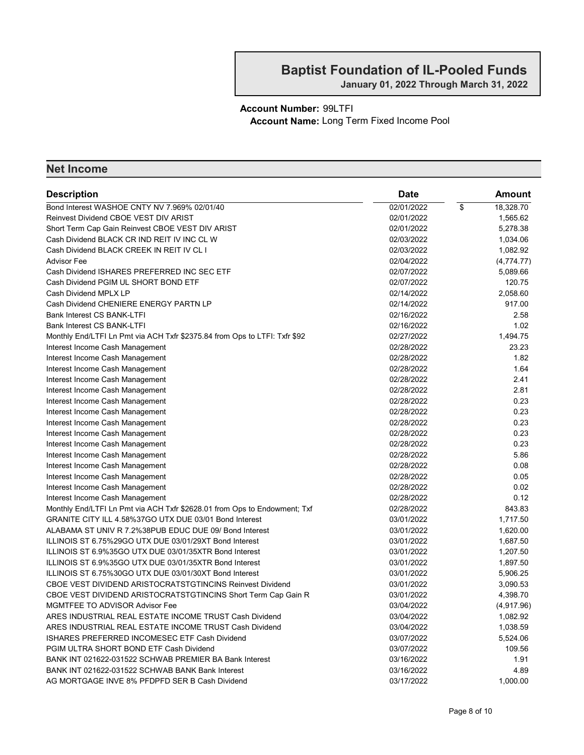#### Account Number: 99LTFI Account Name: Long Term Fixed Income Pool

| <b>Description</b>                                                         | <b>Date</b> |                          | Amount     |
|----------------------------------------------------------------------------|-------------|--------------------------|------------|
| Bond Interest WASHOE CNTY NV 7.969% 02/01/40                               | 02/01/2022  | $\overline{\mathcal{E}}$ | 18,328.70  |
| Reinvest Dividend CBOE VEST DIV ARIST                                      | 02/01/2022  |                          | 1,565.62   |
| Short Term Cap Gain Reinvest CBOE VEST DIV ARIST                           | 02/01/2022  |                          | 5,278.38   |
| Cash Dividend BLACK CR IND REIT IV INC CL W                                | 02/03/2022  |                          | 1,034.06   |
| Cash Dividend BLACK CREEK IN REIT IV CL I                                  | 02/03/2022  |                          | 1,082.92   |
| Advisor Fee                                                                | 02/04/2022  |                          | (4,774.77) |
| Cash Dividend ISHARES PREFERRED INC SEC ETF                                | 02/07/2022  |                          | 5,089.66   |
| Cash Dividend PGIM UL SHORT BOND ETF                                       | 02/07/2022  |                          | 120.75     |
| Cash Dividend MPLX LP                                                      | 02/14/2022  |                          | 2,058.60   |
| Cash Dividend CHENIERE ENERGY PARTN LP                                     | 02/14/2022  |                          | 917.00     |
| <b>Bank Interest CS BANK-LTFI</b>                                          | 02/16/2022  |                          | 2.58       |
| Bank Interest CS BANK-LTFI                                                 | 02/16/2022  |                          | 1.02       |
| Monthly End/LTFI Ln Pmt via ACH Txfr \$2375.84 from Ops to LTFI: Txfr \$92 | 02/27/2022  |                          | 1,494.75   |
| Interest Income Cash Management                                            | 02/28/2022  |                          | 23.23      |
| Interest Income Cash Management                                            | 02/28/2022  |                          | 1.82       |
| Interest Income Cash Management                                            | 02/28/2022  |                          | 1.64       |
| Interest Income Cash Management                                            | 02/28/2022  |                          | 2.41       |
| Interest Income Cash Management                                            | 02/28/2022  |                          | 2.81       |
| Interest Income Cash Management                                            | 02/28/2022  |                          | 0.23       |
| Interest Income Cash Management                                            | 02/28/2022  |                          | 0.23       |
| Interest Income Cash Management                                            | 02/28/2022  |                          | 0.23       |
| Interest Income Cash Management                                            | 02/28/2022  |                          | 0.23       |
| Interest Income Cash Management                                            | 02/28/2022  |                          | 0.23       |
| Interest Income Cash Management                                            | 02/28/2022  |                          | 5.86       |
| Interest Income Cash Management                                            | 02/28/2022  |                          | 0.08       |
| Interest Income Cash Management                                            | 02/28/2022  |                          | 0.05       |
| Interest Income Cash Management                                            | 02/28/2022  |                          | 0.02       |
| Interest Income Cash Management                                            | 02/28/2022  |                          | 0.12       |
| Monthly End/LTFI Ln Pmt via ACH Txfr \$2628.01 from Ops to Endowment; Txf  | 02/28/2022  |                          | 843.83     |
| GRANITE CITY ILL 4.58%37GO UTX DUE 03/01 Bond Interest                     | 03/01/2022  |                          | 1,717.50   |
| ALABAMA ST UNIV R 7.2%38PUB EDUC DUE 09/ Bond Interest                     | 03/01/2022  |                          | 1,620.00   |
| ILLINOIS ST 6.75%29GO UTX DUE 03/01/29XT Bond Interest                     | 03/01/2022  |                          | 1,687.50   |
| ILLINOIS ST 6.9%35GO UTX DUE 03/01/35XTR Bond Interest                     | 03/01/2022  |                          | 1,207.50   |
| ILLINOIS ST 6.9%35GO UTX DUE 03/01/35XTR Bond Interest                     | 03/01/2022  |                          | 1,897.50   |
| ILLINOIS ST 6.75%30GO UTX DUE 03/01/30XT Bond Interest                     | 03/01/2022  |                          | 5,906.25   |
| <b>CBOE VEST DIVIDEND ARISTOCRATSTGTINCINS Reinvest Dividend</b>           | 03/01/2022  |                          | 3,090.53   |
| CBOE VEST DIVIDEND ARISTOCRATSTGTINCINS Short Term Cap Gain R              | 03/01/2022  |                          | 4,398.70   |
| MGMTFEE TO ADVISOR Advisor Fee                                             | 03/04/2022  |                          | (4.917.96) |
| ARES INDUSTRIAL REAL ESTATE INCOME TRUST Cash Dividend                     | 03/04/2022  |                          | 1,082.92   |
| ARES INDUSTRIAL REAL ESTATE INCOME TRUST Cash Dividend                     | 03/04/2022  |                          | 1,038.59   |
| ISHARES PREFERRED INCOMESEC ETF Cash Dividend                              | 03/07/2022  |                          | 5,524.06   |
| PGIM ULTRA SHORT BOND ETF Cash Dividend                                    | 03/07/2022  |                          | 109.56     |
| BANK INT 021622-031522 SCHWAB PREMIER BA Bank Interest                     | 03/16/2022  |                          | 1.91       |
| BANK INT 021622-031522 SCHWAB BANK Bank Interest                           | 03/16/2022  |                          | 4.89       |
| AG MORTGAGE INVE 8% PFDPFD SER B Cash Dividend                             | 03/17/2022  |                          | 1,000.00   |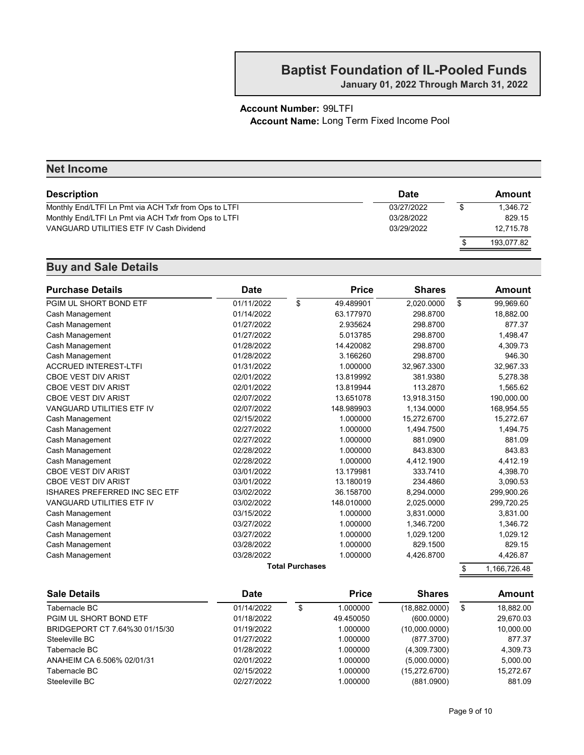January 01, 2022 Through March 31, 2022

#### Account Number: 99LTFI Account Name: Long Term Fixed Income Pool

| <b>Net Income</b>                                     |             |                |
|-------------------------------------------------------|-------------|----------------|
| <b>Description</b>                                    | <b>Date</b> | Amount         |
| Monthly End/LTFI Ln Pmt via ACH Txfr from Ops to LTFI | 03/27/2022  | \$<br>1.346.72 |
| Monthly End/LTFI Ln Pmt via ACH Txfr from Ops to LTFI | 03/28/2022  | 829.15         |
| VANGUARD UTILITIES ETF IV Cash Dividend               | 03/29/2022  | 12.715.78      |
|                                                       |             | 193.077.82     |
|                                                       |             |                |

| <b>Purchase Details</b><br><b>Date</b> |            |                        | <b>Price</b> | <b>Shares</b> | Amount             |  |
|----------------------------------------|------------|------------------------|--------------|---------------|--------------------|--|
| PGIM UL SHORT BOND ETF                 | 01/11/2022 | \$                     | 49.489901    | 2,020.0000    | \$<br>99,969.60    |  |
| Cash Management                        | 01/14/2022 |                        | 63.177970    | 298.8700      | 18,882.00          |  |
| Cash Management                        | 01/27/2022 |                        | 2.935624     | 298.8700      | 877.37             |  |
| Cash Management                        | 01/27/2022 |                        | 5.013785     | 298.8700      | 1,498.47           |  |
| Cash Management                        | 01/28/2022 |                        | 14.420082    | 298.8700      | 4,309.73           |  |
| Cash Management                        | 01/28/2022 |                        | 3.166260     | 298.8700      | 946.30             |  |
| <b>ACCRUED INTEREST-LTFI</b>           | 01/31/2022 |                        | 1.000000     | 32,967.3300   | 32,967.33          |  |
| <b>CBOE VEST DIV ARIST</b>             | 02/01/2022 |                        | 13.819992    | 381.9380      | 5,278.38           |  |
| <b>CBOE VEST DIV ARIST</b>             | 02/01/2022 |                        | 13.819944    | 113,2870      | 1,565.62           |  |
| <b>CBOE VEST DIV ARIST</b>             | 02/07/2022 |                        | 13.651078    | 13,918.3150   | 190,000.00         |  |
| <b>VANGUARD UTILITIES ETF IV</b>       | 02/07/2022 |                        | 148.989903   | 1,134.0000    | 168,954.55         |  |
| Cash Management                        | 02/15/2022 |                        | 1.000000     | 15,272.6700   | 15,272.67          |  |
| Cash Management                        | 02/27/2022 |                        | 1.000000     | 1,494.7500    | 1,494.75           |  |
| Cash Management                        | 02/27/2022 |                        | 1.000000     | 881.0900      | 881.09             |  |
| Cash Management                        | 02/28/2022 |                        | 1.000000     | 843.8300      | 843.83             |  |
| Cash Management                        | 02/28/2022 |                        | 1.000000     | 4,412.1900    | 4,412.19           |  |
| <b>CBOE VEST DIV ARIST</b>             | 03/01/2022 |                        | 13.179981    | 333.7410      | 4,398.70           |  |
| <b>CBOE VEST DIV ARIST</b>             | 03/01/2022 |                        | 13.180019    | 234.4860      | 3,090.53           |  |
| <b>ISHARES PREFERRED INC SEC ETF</b>   | 03/02/2022 |                        | 36.158700    | 8,294.0000    | 299,900.26         |  |
| VANGUARD UTILITIES ETF IV              | 03/02/2022 |                        | 148.010000   | 2,025.0000    | 299,720.25         |  |
| Cash Management                        | 03/15/2022 |                        | 1.000000     | 3.831.0000    | 3,831.00           |  |
| Cash Management                        | 03/27/2022 |                        | 1.000000     | 1,346.7200    | 1,346.72           |  |
| Cash Management                        | 03/27/2022 |                        | 1.000000     | 1,029.1200    | 1,029.12           |  |
| Cash Management                        | 03/28/2022 |                        | 1.000000     | 829.1500      | 829.15             |  |
| Cash Management                        | 03/28/2022 |                        | 1.000000     | 4,426.8700    | 4,426.87           |  |
|                                        |            | <b>Total Purchases</b> |              |               | \$<br>1,166,726.48 |  |

| <b>Sale Details</b>            | Date       |  | <b>Price</b> | <b>Shares</b>  |    | Amount    |  |
|--------------------------------|------------|--|--------------|----------------|----|-----------|--|
| Tabernacle BC                  | 01/14/2022 |  | 1.000000     | (18, 882.0000) | \$ | 18.882.00 |  |
| PGIM UL SHORT BOND ETF         | 01/18/2022 |  | 49.450050    | (600.0000)     |    | 29,670.03 |  |
| BRIDGEPORT CT 7.64%30 01/15/30 | 01/19/2022 |  | 1.000000     | (10,000.0000)  |    | 10,000.00 |  |
| Steeleville BC                 | 01/27/2022 |  | 1.000000     | (877.3700)     |    | 877.37    |  |
| Tabernacle BC                  | 01/28/2022 |  | 1.000000     | (4,309.7300)   |    | 4.309.73  |  |
| ANAHEIM CA 6.506% 02/01/31     | 02/01/2022 |  | 1.000000     | (5,000.0000)   |    | 5.000.00  |  |
| Tabernacle BC                  | 02/15/2022 |  | 1.000000     | (15,272.6700)  |    | 15.272.67 |  |
| Steeleville BC                 | 02/27/2022 |  | 1.000000     | (881.0900)     |    | 881.09    |  |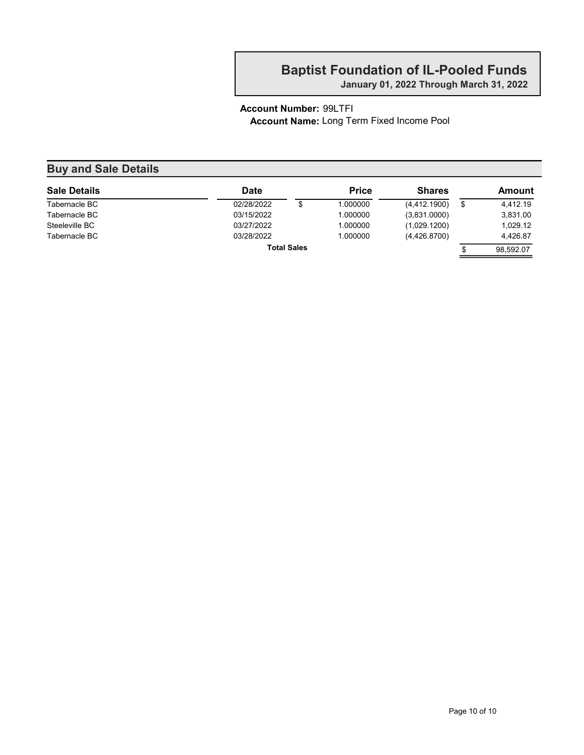January 01, 2022 Through March 31, 2022

#### Account Number: 99LTFI Account Name: Long Term Fixed Income Pool

#### Buy and Sale Details Sale Details **Sale Details Date Date Price** Shares Amount Tabernacle BC 02/28/2022 \$ 1.000000 (4,412.1900) \$ 4,412.19 Tabernacle BC 03/15/2022 1.000000 ) (3,831.0000 3,831.00 Steeleville BC **03/27/2022** 1.000000 (1,029.1200) 1,029.12 Tabernacle BC 63/28/2022 1.000000 (4,426.8700) 4,426.87 Total Sales  $\overline{\text{S}}$  98,592.07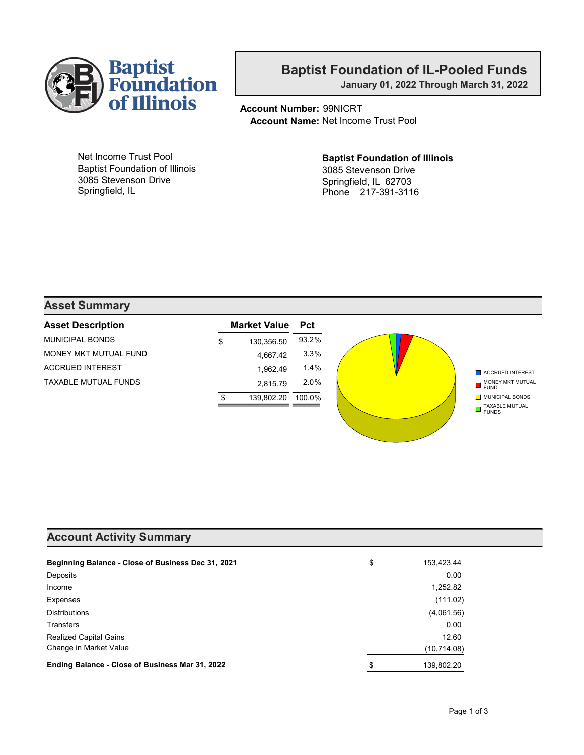

January 01, 2022 Through March 31, 2022

Account Number: 99NICRT Account Name: Net Income Trust Pool

Net Income Trust Pool Baptist Foundation of Illinois 3085 Stevenson Drive Springfield, IL

Baptist Foundation of Illinois 3085 Stevenson Drive Springfield, IL 62703 Phone 217-391-3116

#### Asset Summary

| <b>Asset Description</b> | <b>Market Value</b> Pct |            |        |
|--------------------------|-------------------------|------------|--------|
| <b>MUNICIPAL BONDS</b>   | \$                      | 130,356.50 | 93.2%  |
| MONEY MKT MUTUAL FUND    |                         | 4.667.42   | 3.3%   |
| <b>ACCRUED INTEREST</b>  |                         | 1.962.49   | 1.4%   |
| TAXABLE MUTUAL FUNDS     |                         | 2.815.79   | 2.0%   |
|                          |                         | 139.802.20 | 100.0% |
|                          |                         |            |        |

#### Account Activity Summary

| Beginning Balance - Close of Business Dec 31, 2021 | \$<br>153,423.44 |
|----------------------------------------------------|------------------|
| Deposits                                           | 0.00             |
| Income                                             | 1,252.82         |
| Expenses                                           | (111.02)         |
| <b>Distributions</b>                               | (4,061.56)       |
| Transfers                                          | 0.00             |
| <b>Realized Capital Gains</b>                      | 12.60            |
| Change in Market Value                             | (10, 714.08)     |
| Ending Balance - Close of Business Mar 31, 2022    | \$<br>139,802.20 |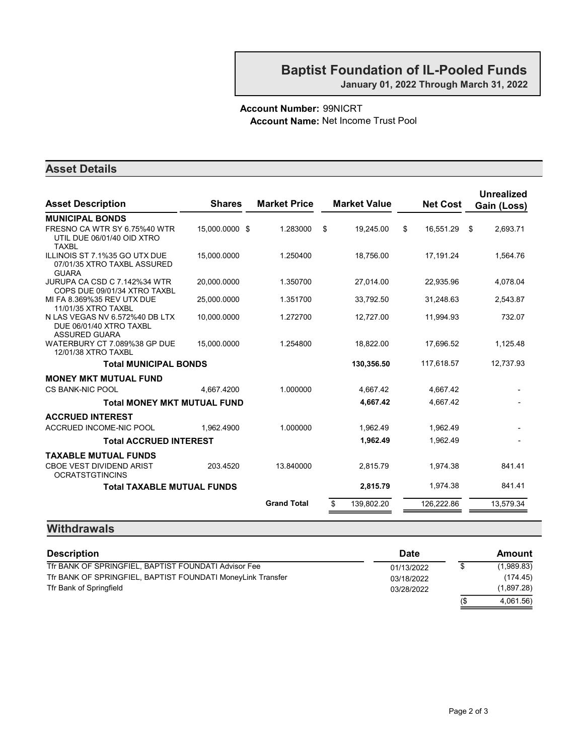#### Account Number: 99NICRT Account Name: Net Income Trust Pool

#### Asset Details

| <b>Asset Description</b>                                                          | <b>Shares</b>  | <b>Market Price</b> |    | <b>Market Value</b> | <b>Net Cost</b> |      | <b>Unrealized</b><br>Gain (Loss) |
|-----------------------------------------------------------------------------------|----------------|---------------------|----|---------------------|-----------------|------|----------------------------------|
| <b>MUNICIPAL BONDS</b>                                                            |                |                     |    |                     |                 |      |                                  |
| FRESNO CA WTR SY 6.75%40 WTR<br>UTIL DUE 06/01/40 OID XTRO<br><b>TAXBL</b>        | 15.000.0000 \$ | 1.283000            | \$ | 19.245.00           | \$<br>16,551.29 | - \$ | 2.693.71                         |
| ILLINOIS ST 7.1%35 GO UTX DUE<br>07/01/35 XTRO TAXBL ASSURED<br><b>GUARA</b>      | 15.000.0000    | 1.250400            |    | 18,756.00           | 17,191.24       |      | 1.564.76                         |
| JURUPA CA CSD C 7.142%34 WTR<br>COPS DUE 09/01/34 XTRO TAXBL                      | 20.000.0000    | 1.350700            |    | 27,014.00           | 22.935.96       |      | 4,078.04                         |
| MI FA 8.369%35 REV UTX DUE<br>11/01/35 XTRO TAXBL                                 | 25,000.0000    | 1.351700            |    | 33,792.50           | 31,248.63       |      | 2,543.87                         |
| N LAS VEGAS NV 6.572%40 DB LTX<br>DUE 06/01/40 XTRO TAXBL<br><b>ASSURED GUARA</b> | 10,000.0000    | 1.272700            |    | 12,727.00           | 11,994.93       |      | 732.07                           |
| WATERBURY CT 7.089%38 GP DUE<br>12/01/38 XTRO TAXBL                               | 15,000.0000    | 1.254800            |    | 18,822.00           | 17,696.52       |      | 1,125.48                         |
| <b>Total MUNICIPAL BONDS</b>                                                      |                |                     |    | 130,356.50          | 117,618.57      |      | 12,737.93                        |
| <b>MONEY MKT MUTUAL FUND</b>                                                      |                |                     |    |                     |                 |      |                                  |
| <b>CS BANK-NIC POOL</b>                                                           | 4.667.4200     | 1.000000            |    | 4.667.42            | 4.667.42        |      |                                  |
| <b>Total MONEY MKT MUTUAL FUND</b>                                                |                |                     |    | 4,667.42            | 4.667.42        |      |                                  |
| <b>ACCRUED INTEREST</b>                                                           |                |                     |    |                     |                 |      |                                  |
| ACCRUED INCOME-NIC POOL                                                           | 1.962.4900     | 1.000000            |    | 1,962.49            | 1,962.49        |      |                                  |
| <b>Total ACCRUED INTEREST</b>                                                     |                |                     |    | 1,962.49            | 1,962.49        |      |                                  |
| <b>TAXABLE MUTUAL FUNDS</b>                                                       |                |                     |    |                     |                 |      |                                  |
| <b>CBOE VEST DIVIDEND ARIST</b><br><b>OCRATSTGTINCINS</b>                         | 203.4520       | 13.840000           |    | 2.815.79            | 1.974.38        |      | 841.41                           |
| <b>Total TAXABLE MUTUAL FUNDS</b>                                                 |                |                     |    | 2,815.79            | 1,974.38        |      | 841.41                           |
|                                                                                   |                | <b>Grand Total</b>  | S  | 139,802.20          | 126,222.86      |      | 13,579.34                        |

#### **Withdrawals**

| <b>Description</b>                                          | <b>Date</b> |        | Amount     |
|-------------------------------------------------------------|-------------|--------|------------|
| Tfr BANK OF SPRINGFIEL, BAPTIST FOUNDATI Advisor Fee        | 01/13/2022  |        | (1,989.83) |
| Tfr BANK OF SPRINGFIEL, BAPTIST FOUNDATI MoneyLink Transfer | 03/18/2022  |        | (174.45)   |
| Tfr Bank of Springfield                                     | 03/28/2022  |        | (1,897.28) |
|                                                             |             | $($ \$ | 4.061.56)  |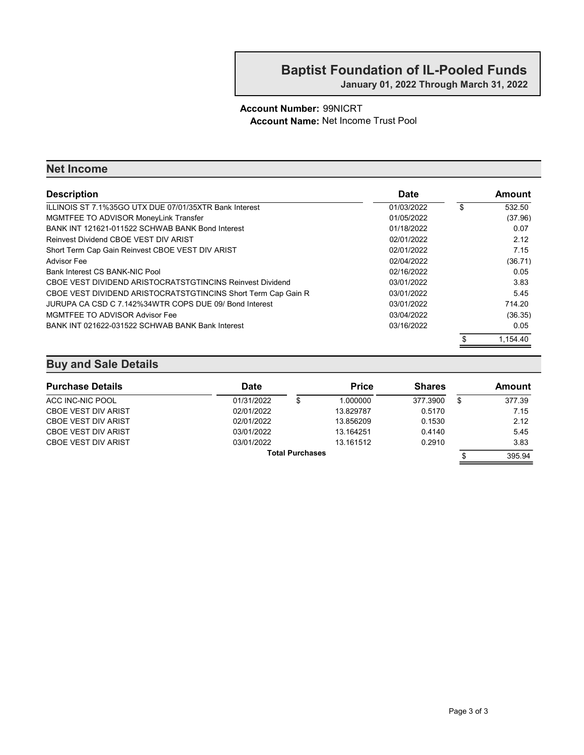#### Account Number: 99NICRT Account Name: Net Income Trust Pool

#### Net Income

| <b>Description</b>                                            | <b>Date</b> | Amount       |
|---------------------------------------------------------------|-------------|--------------|
| ILLINOIS ST 7.1%35GO UTX DUE 07/01/35XTR Bank Interest        | 01/03/2022  | \$<br>532.50 |
| MGMTFEE TO ADVISOR MoneyLink Transfer                         | 01/05/2022  | (37.96)      |
| BANK INT 121621-011522 SCHWAB BANK Bond Interest              | 01/18/2022  | 0.07         |
| Reinvest Dividend CBOE VEST DIV ARIST                         | 02/01/2022  | 2.12         |
| Short Term Cap Gain Reinvest CBOE VEST DIV ARIST              | 02/01/2022  | 7.15         |
| <b>Advisor Fee</b>                                            | 02/04/2022  | (36.71)      |
| Bank Interest CS BANK-NIC Pool                                | 02/16/2022  | 0.05         |
| CBOE VEST DIVIDEND ARISTOCRATSTGTINCINS Reinvest Dividend     | 03/01/2022  | 3.83         |
| CBOE VEST DIVIDEND ARISTOCRATSTGTINCINS Short Term Cap Gain R | 03/01/2022  | 5.45         |
| JURUPA CA CSD C 7.142%34WTR COPS DUE 09/ Bond Interest        | 03/01/2022  | 714.20       |
| MGMTFEE TO ADVISOR Advisor Fee                                | 03/04/2022  | (36.35)      |
| BANK INT 021622-031522 SCHWAB BANK Bank Interest              | 03/16/2022  | 0.05         |
|                                                               |             | 1.154.40     |

| <b>Purchase Details</b>    | Date       |  | <b>Price</b> | <b>Shares</b> |    | Amount |
|----------------------------|------------|--|--------------|---------------|----|--------|
| ACC INC-NIC POOL           | 01/31/2022 |  | 1.000000     | 377.3900      | \$ | 377.39 |
| <b>CBOE VEST DIV ARIST</b> | 02/01/2022 |  | 13.829787    | 0.5170        |    | 7.15   |
| <b>CBOE VEST DIV ARIST</b> | 02/01/2022 |  | 13.856209    | 0.1530        |    | 2.12   |
| <b>CBOE VEST DIV ARIST</b> | 03/01/2022 |  | 13.164251    | 0.4140        |    | 5.45   |
| <b>CBOE VEST DIV ARIST</b> | 03/01/2022 |  | 13.161512    | 0.2910        |    | 3.83   |
| <b>Total Purchases</b>     |            |  |              |               |    | 395.94 |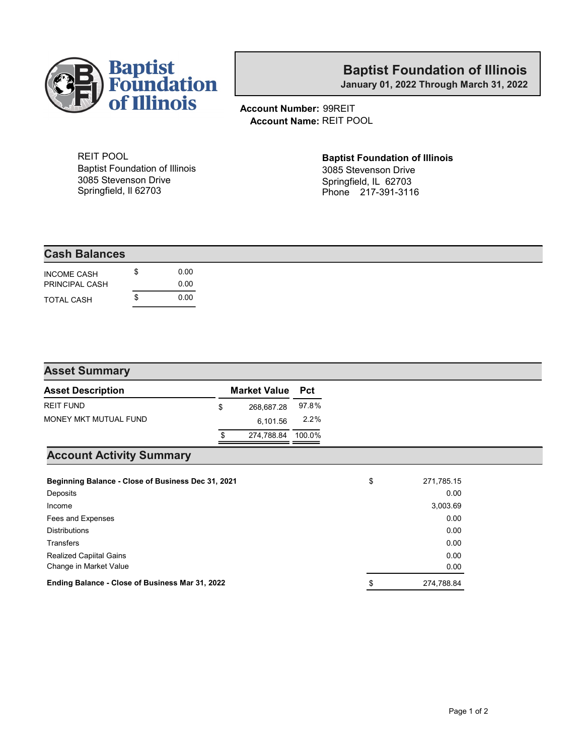

January 01, 2022 Through March 31, 2022

Account Number: 99REIT Account Name: REIT POOL

REIT POOL Baptist Foundation of Illinois 3085 Stevenson Drive Springfield, Il 62703

### Baptist Foundation of Illinois

3085 Stevenson Drive Springfield, IL 62703 Phone 217-391-3116

| <b>Cash Balances</b> |      |
|----------------------|------|
| <b>INCOME CASH</b>   | 0.00 |
| PRINCIPAL CASH       | 0.00 |
| TOTAL CASH           | 0.00 |

#### Asset Summary

| <b>Asset Description</b> | <b>Market Value</b> Pct |       |
|--------------------------|-------------------------|-------|
| <b>REIT FUND</b>         | \$<br>268,687.28        | 97.8% |
| MONEY MKT MUTUAL FUND    | 6.101.56                | 2.2%  |
|                          | 274,788.84 100.0%       |       |

#### Account Activity Summary

| Beginning Balance - Close of Business Dec 31, 2021 | \$<br>271,785.15 |
|----------------------------------------------------|------------------|
| Deposits                                           | 0.00             |
| Income                                             | 3,003.69         |
| Fees and Expenses                                  | 0.00             |
| <b>Distributions</b>                               | 0.00             |
| <b>Transfers</b>                                   | 0.00             |
| <b>Realized Capiital Gains</b>                     | 0.00             |
| Change in Market Value                             | 0.00             |
| Ending Balance - Close of Business Mar 31, 2022    | \$<br>274.788.84 |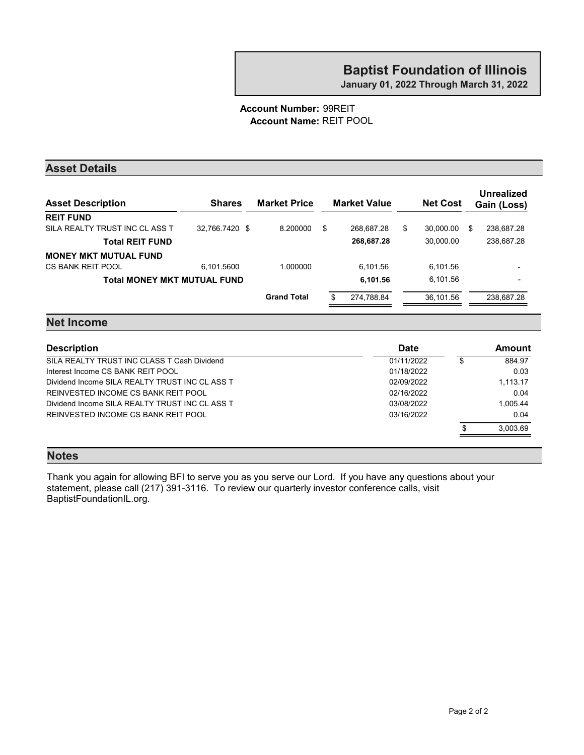#### Account Number: 99REIT Account Name: REIT POOL

#### Asset Details

| <b>Asset Description</b>           | <b>Shares</b>  | <b>Market Price</b> | <b>Market Value</b> | <b>Net Cost</b> |   | Unrealized<br>Gain (Loss) |
|------------------------------------|----------------|---------------------|---------------------|-----------------|---|---------------------------|
| <b>REIT FUND</b>                   |                |                     |                     |                 |   |                           |
| SILA REALTY TRUST INC CL ASS T     | 32.766.7420 \$ | 8.200000            | \$<br>268.687.28    | \$<br>30.000.00 | S | 238,687.28                |
| <b>Total REIT FUND</b>             |                |                     | 268,687.28          | 30.000.00       |   | 238,687.28                |
| <b>MONEY MKT MUTUAL FUND</b>       |                |                     |                     |                 |   |                           |
| CS BANK REIT POOL                  | 6.101.5600     | 1.000000            | 6.101.56            | 6.101.56        |   | $\overline{\phantom{a}}$  |
| <b>Total MONEY MKT MUTUAL FUND</b> |                |                     | 6,101.56            | 6.101.56        |   | $\overline{\phantom{a}}$  |
|                                    |                | <b>Grand Total</b>  | \$<br>274,788.84    | 36.101.56       |   | 238.687.28                |
|                                    |                |                     |                     |                 |   |                           |

#### Net Income

| <b>Description</b>                             | <b>Date</b> | Amount   |
|------------------------------------------------|-------------|----------|
| SILA REALTY TRUST INC CLASS T Cash Dividend    | 01/11/2022  | 884.97   |
| Interest Income CS BANK REIT POOL              | 01/18/2022  | 0.03     |
| Dividend Income SILA REALTY TRUST INC CL ASS T | 02/09/2022  | 1,113.17 |
| REINVESTED INCOME CS BANK REIT POOL            | 02/16/2022  | 0.04     |
| Dividend Income SILA REALTY TRUST INC CL ASS T | 03/08/2022  | 1.005.44 |
| REINVESTED INCOME CS BANK REIT POOL            | 03/16/2022  | 0.04     |
|                                                |             | 3.003.69 |
|                                                |             |          |

#### Notes

Thank you again for allowing BFI to serve you as you serve our Lord. If you have any questions about your statement, please call (217) 391-3116. To review our quarterly investor conference calls, visit BaptistFoundationIL.org.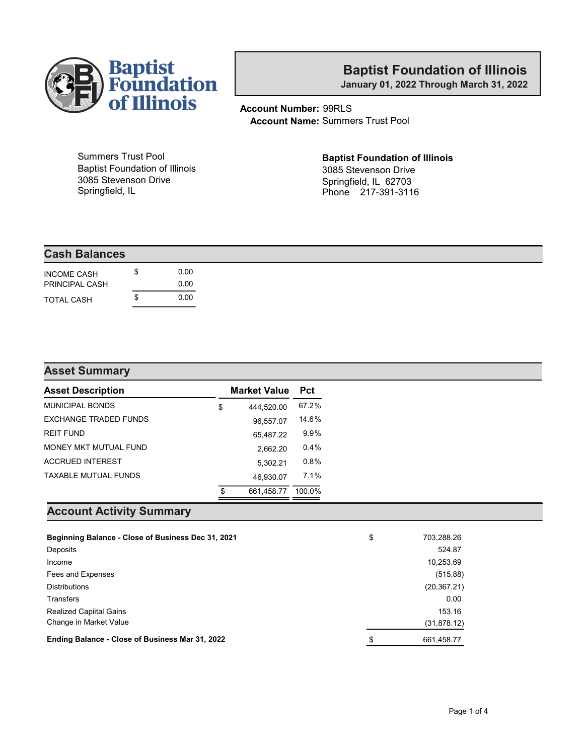

January 01, 2022 Through March 31, 2022

Account Number: 99RLS Account Name: Summers Trust Pool

Summers Trust Pool Baptist Foundation of Illinois 3085 Stevenson Drive Springfield, IL

#### Baptist Foundation of Illinois 3085 Stevenson Drive

Springfield, IL 62703 Phone 217-391-3116

| <b>Cash Balances</b> |      |
|----------------------|------|
| <b>INCOME CASH</b>   | 0.00 |
| PRINCIPAL CASH       | 0.00 |
| <b>TOTAL CASH</b>    | 0.00 |

| <b>Asset Summary</b>         |    |                         |        |
|------------------------------|----|-------------------------|--------|
| <b>Asset Description</b>     |    | <b>Market Value</b> Pct |        |
| <b>MUNICIPAL BONDS</b>       | \$ | 444.520.00              | 67.2%  |
| <b>EXCHANGE TRADED FUNDS</b> |    | 96,557.07               | 14.6%  |
| <b>REIT FUND</b>             |    | 65,487.22               | 9.9%   |
| MONEY MKT MUTUAL FUND        |    | 2,662.20                | 0.4%   |
| <b>ACCRUED INTEREST</b>      |    | 5,302.21                | 0.8%   |
| <b>TAXABLE MUTUAL FUNDS</b>  |    | 46,930.07               | 7.1%   |
|                              | £. | 661,458.77              | 100.0% |

#### Account Activity Summary

| Beginning Balance - Close of Business Dec 31, 2021 | \$<br>703,288.26 |
|----------------------------------------------------|------------------|
| Deposits                                           | 524.87           |
| Income                                             | 10,253.69        |
| Fees and Expenses                                  | (515.88)         |
| <b>Distributions</b>                               | (20, 367.21)     |
| <b>Transfers</b>                                   | 0.00             |
| <b>Realized Capiital Gains</b>                     | 153.16           |
| Change in Market Value                             | (31, 878.12)     |
| Ending Balance - Close of Business Mar 31, 2022    | \$<br>661.458.77 |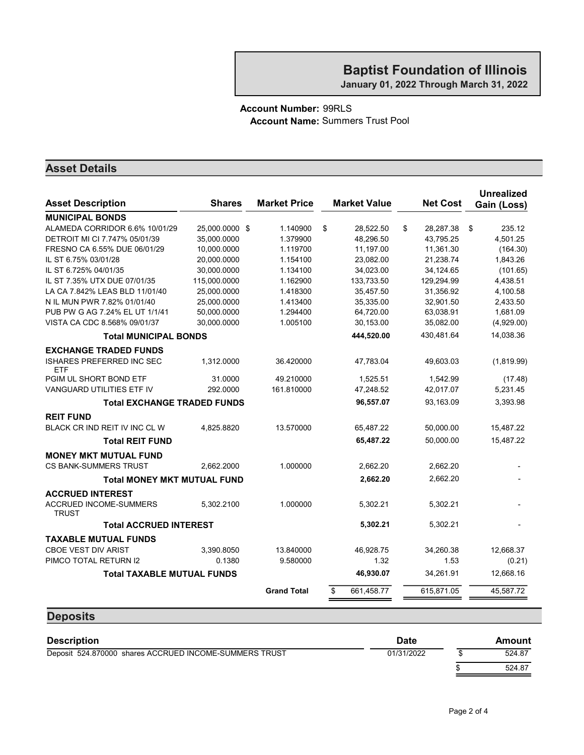#### Account Number: 99RLS Account Name: Summers Trust Pool

#### Asset Details

**Deposits** 

| <b>Asset Description</b>                       | <b>Shares</b>  | <b>Market Price</b> | <b>Market Value</b> | <b>Net Cost</b> | <b>Unrealized</b><br>Gain (Loss) |
|------------------------------------------------|----------------|---------------------|---------------------|-----------------|----------------------------------|
| <b>MUNICIPAL BONDS</b>                         |                |                     |                     |                 |                                  |
| ALAMEDA CORRIDOR 6.6% 10/01/29                 | 25,000.0000 \$ | 1.140900            | \$<br>28,522.50     | \$<br>28,287.38 | \$<br>235.12                     |
| DETROIT MI CI 7.747% 05/01/39                  | 35,000.0000    | 1.379900            | 48,296.50           | 43,795.25       | 4,501.25                         |
| FRESNO CA 6.55% DUE 06/01/29                   | 10,000.0000    | 1.119700            | 11,197.00           | 11,361.30       | (164.30)                         |
| IL ST 6.75% 03/01/28                           | 20,000.0000    | 1.154100            | 23,082.00           | 21,238.74       | 1,843.26                         |
| IL ST 6.725% 04/01/35                          | 30,000.0000    | 1.134100            | 34,023.00           | 34,124.65       | (101.65)                         |
| IL ST 7.35% UTX DUE 07/01/35                   | 115,000.0000   | 1.162900            | 133,733.50          | 129,294.99      | 4,438.51                         |
| LA CA 7.842% LEAS BLD 11/01/40                 | 25.000.0000    | 1.418300            | 35,457.50           | 31.356.92       | 4,100.58                         |
| N IL MUN PWR 7.82% 01/01/40                    | 25,000.0000    | 1.413400            | 35,335.00           | 32,901.50       | 2,433.50                         |
| PUB PW G AG 7.24% EL UT 1/1/41                 | 50,000.0000    | 1.294400            | 64,720.00           | 63,038.91       | 1,681.09                         |
| VISTA CA CDC 8.568% 09/01/37                   | 30,000.0000    | 1.005100            | 30,153.00           | 35,082.00       | (4,929.00)                       |
| <b>Total MUNICIPAL BONDS</b>                   |                |                     | 444,520.00          | 430.481.64      | 14.038.36                        |
| <b>EXCHANGE TRADED FUNDS</b>                   |                |                     |                     |                 |                                  |
| <b>ISHARES PREFERRED INC SEC</b><br><b>ETF</b> | 1,312.0000     | 36.420000           | 47,783.04           | 49,603.03       | (1,819.99)                       |
| PGIM UL SHORT BOND ETF                         | 31.0000        | 49.210000           | 1,525.51            | 1,542.99        | (17.48)                          |
| VANGUARD UTILITIES ETF IV                      | 292.0000       | 161.810000          | 47,248.52           | 42,017.07       | 5,231.45                         |
| <b>Total EXCHANGE TRADED FUNDS</b>             |                |                     | 96,557.07           | 93,163.09       | 3,393.98                         |
| <b>REIT FUND</b>                               |                |                     |                     |                 |                                  |
| BLACK CR IND REIT IV INC CL W                  | 4,825.8820     | 13.570000           | 65,487.22           | 50,000.00       | 15,487.22                        |
| <b>Total REIT FUND</b>                         |                |                     | 65,487.22           | 50,000.00       | 15,487.22                        |
| <b>MONEY MKT MUTUAL FUND</b>                   |                |                     |                     |                 |                                  |
| <b>CS BANK-SUMMERS TRUST</b>                   | 2,662.2000     | 1.000000            | 2,662.20            | 2,662.20        |                                  |
| <b>Total MONEY MKT MUTUAL FUND</b>             |                |                     | 2,662.20            | 2,662.20        |                                  |
| <b>ACCRUED INTEREST</b>                        |                |                     |                     |                 |                                  |
| ACCRUED INCOME-SUMMERS<br><b>TRUST</b>         | 5,302.2100     | 1.000000            | 5,302.21            | 5,302.21        |                                  |
| <b>Total ACCRUED INTEREST</b>                  |                |                     | 5,302.21            | 5,302.21        |                                  |
| <b>TAXABLE MUTUAL FUNDS</b>                    |                |                     |                     |                 |                                  |
| <b>CBOE VEST DIV ARIST</b>                     | 3,390.8050     | 13.840000           | 46,928.75           | 34,260.38       | 12,668.37                        |
| PIMCO TOTAL RETURN I2                          | 0.1380         | 9.580000            | 1.32                | 1.53            | (0.21)                           |
| <b>Total TAXABLE MUTUAL FUNDS</b>              |                |                     | 46,930.07           | 34,261.91       | 12,668.16                        |
|                                                |                | <b>Grand Total</b>  | 661,458.77<br>\$    | 615,871.05      | 45,587.72                        |
|                                                |                |                     |                     |                 |                                  |

# Description **Description Date** Amount Deposit 524.870000 shares ACCRUED INCOME-SUMMERS TRUST 01/31/2022 \$ 524.87  $\frac{\$}{\$}$  524.87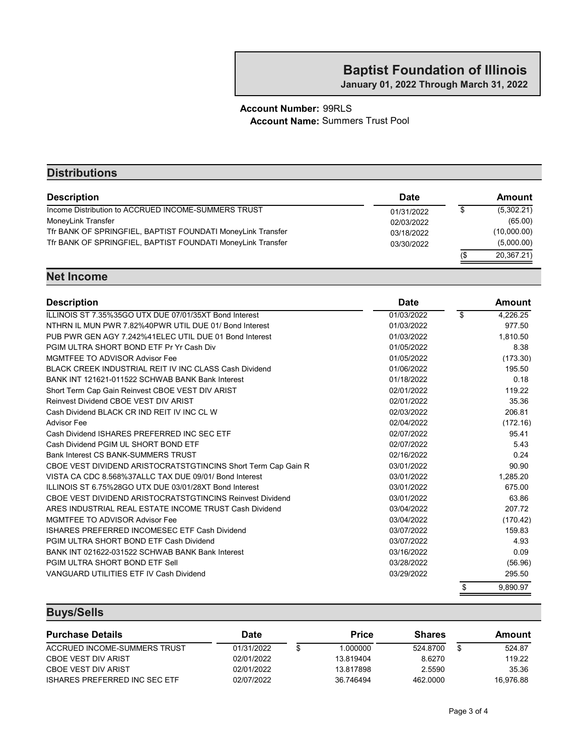January 01, 2022 Through March 31, 2022

#### Account Number: 99RLS Account Name: Summers Trust Pool

| <b>Distributions</b>                                        |             |     |               |
|-------------------------------------------------------------|-------------|-----|---------------|
| <b>Description</b>                                          | <b>Date</b> |     | <b>Amount</b> |
| Income Distribution to ACCRUED INCOME-SUMMERS TRUST         | 01/31/2022  |     | (5,302.21)    |
| MoneyLink Transfer                                          | 02/03/2022  |     | (65.00)       |
| Tfr BANK OF SPRINGFIEL, BAPTIST FOUNDATI MoneyLink Transfer | 03/18/2022  |     | (10,000.00)   |
| Tfr BANK OF SPRINGFIEL, BAPTIST FOUNDATI MoneyLink Transfer | 03/30/2022  |     | (5,000.00)    |
|                                                             |             | 1\$ | 20,367.21)    |

#### Net Income

| <b>Description</b>                                            | <b>Date</b> | Amount         |
|---------------------------------------------------------------|-------------|----------------|
| ILLINOIS ST 7.35%35GO UTX DUE 07/01/35XT Bond Interest        | 01/03/2022  | \$<br>4,226.25 |
| NTHRN IL MUN PWR 7.82%40PWR UTIL DUE 01/ Bond Interest        | 01/03/2022  | 977.50         |
| PUB PWR GEN AGY 7.242%41ELEC UTIL DUE 01 Bond Interest        | 01/03/2022  | 1.810.50       |
| PGIM ULTRA SHORT BOND ETF Pr Yr Cash Div                      | 01/05/2022  | 8.38           |
| <b>MGMTFEE TO ADVISOR Advisor Fee</b>                         | 01/05/2022  | (173.30)       |
| BLACK CREEK INDUSTRIAL REIT IV INC CLASS Cash Dividend        | 01/06/2022  | 195.50         |
| BANK INT 121621-011522 SCHWAB BANK Bank Interest              | 01/18/2022  | 0.18           |
| Short Term Cap Gain Reinvest CBOE VEST DIV ARIST              | 02/01/2022  | 119.22         |
| Reinvest Dividend CBOE VEST DIV ARIST                         | 02/01/2022  | 35.36          |
| Cash Dividend BLACK CR IND REIT IV INC CL W                   | 02/03/2022  | 206.81         |
| <b>Advisor Fee</b>                                            | 02/04/2022  | (172.16)       |
| Cash Dividend ISHARES PREFERRED INC SEC ETF                   | 02/07/2022  | 95.41          |
| Cash Dividend PGIM UL SHORT BOND ETF                          | 02/07/2022  | 5.43           |
| <b>Bank Interest CS BANK-SUMMERS TRUST</b>                    | 02/16/2022  | 0.24           |
| CBOE VEST DIVIDEND ARISTOCRATSTGTINCINS Short Term Cap Gain R | 03/01/2022  | 90.90          |
| VISTA CA CDC 8.568%37ALLC TAX DUE 09/01/ Bond Interest        | 03/01/2022  | 1,285.20       |
| ILLINOIS ST 6.75%28GO UTX DUE 03/01/28XT Bond Interest        | 03/01/2022  | 675.00         |
| CBOE VEST DIVIDEND ARISTOCRATSTGTINCINS Reinvest Dividend     | 03/01/2022  | 63.86          |
| ARES INDUSTRIAL REAL ESTATE INCOME TRUST Cash Dividend        | 03/04/2022  | 207.72         |
| MGMTFEE TO ADVISOR Advisor Fee                                | 03/04/2022  | (170.42)       |
| ISHARES PREFERRED INCOMESEC ETF Cash Dividend                 | 03/07/2022  | 159.83         |
| PGIM ULTRA SHORT BOND ETF Cash Dividend                       | 03/07/2022  | 4.93           |
| BANK INT 021622-031522 SCHWAB BANK Bank Interest              | 03/16/2022  | 0.09           |
| PGIM ULTRA SHORT BOND ETF Sell                                | 03/28/2022  | (56.96)        |
| VANGUARD UTILITIES ETF IV Cash Dividend                       | 03/29/2022  | 295.50         |
|                                                               |             | \$<br>9,890.97 |

### Buys/Sells

| <b>Purchase Details</b>       | Date       | <b>Price</b> | <b>Shares</b> | Amount    |
|-------------------------------|------------|--------------|---------------|-----------|
| ACCRUED INCOME-SUMMERS TRUST  | 01/31/2022 | .000000      | 524.8700      | 524.87    |
| CBOE VEST DIV ARIST           | 02/01/2022 | 13.819404    | 8.6270        | 119.22    |
| CBOE VEST DIV ARIST           | 02/01/2022 | 13.817898    | 2.5590        | 35.36     |
| ISHARES PREFERRED INC SEC ETF | 02/07/2022 | 36.746494    | 462,0000      | 16.976.88 |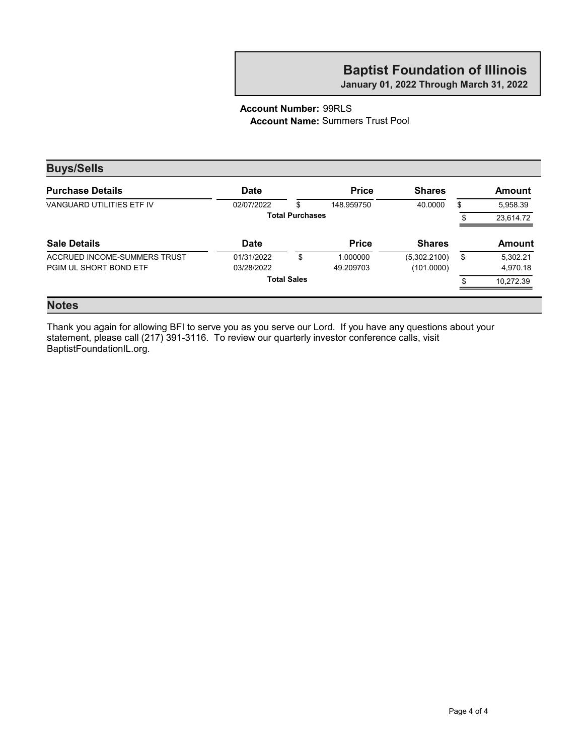January 01, 2022 Through March 31, 2022

#### Account Number: 99RLS Account Name: Summers Trust Pool

| <b>Date</b> | <b>Price</b>       | <b>Shares</b>          | Amount         |
|-------------|--------------------|------------------------|----------------|
| 02/07/2022  | \$<br>148.959750   | 40.0000                | \$<br>5,958.39 |
|             |                    |                        | 23,614.72      |
| <b>Date</b> | <b>Price</b>       | <b>Shares</b>          | <b>Amount</b>  |
| 01/31/2022  | \$<br>1.000000     | (5,302.2100)           | \$<br>5,302.21 |
| 03/28/2022  | 49.209703          | (101.0000)             | 4,970.18       |
|             |                    |                        | 10.272.39      |
|             | <b>Total Sales</b> | <b>Total Purchases</b> |                |

#### Notes

Thank you again for allowing BFI to serve you as you serve our Lord. If you have any questions about your statement, please call (217) 391-3116. To review our quarterly investor conference calls, visit BaptistFoundationIL.org.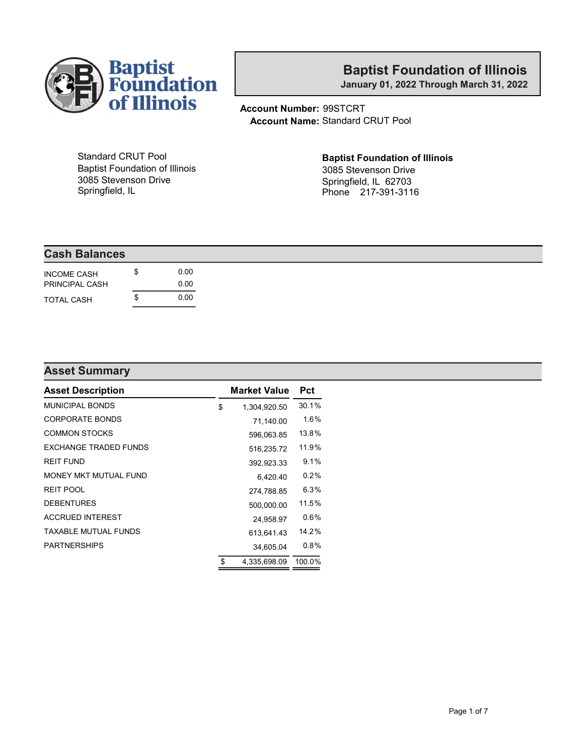

January 01, 2022 Through March 31, 2022

Account Number: 99STCRT Account Name: Standard CRUT Pool

Standard CRUT Pool Baptist Foundation of Illinois 3085 Stevenson Drive Springfield, IL

# Baptist Foundation of Illinois

3085 Stevenson Drive Springfield, IL 62703 Phone 217-391-3116

#### Cash Balances

| <b>INCOME CASH</b><br>PRINCIPAL CASH | S   | 0.OO<br>0.OO |
|--------------------------------------|-----|--------------|
| <b>TOTAL CASH</b>                    | \$. | 0. QU        |

#### Asset Summary

| <b>Asset Description</b>     | <b>Market Value</b> | Pct     |
|------------------------------|---------------------|---------|
| <b>MUNICIPAL BONDS</b>       | \$<br>1,304,920.50  | 30.1%   |
| <b>CORPORATE BONDS</b>       | 71,140.00           | 1.6%    |
| <b>COMMON STOCKS</b>         | 596,063.85          | 13.8%   |
| <b>FXCHANGE TRADED FUNDS</b> | 516,235.72          | 11.9%   |
| <b>REIT FUND</b>             | 392,923.33          | 9.1%    |
| MONEY MKT MUTUAL FUND        | 6,420.40            | $0.2\%$ |
| <b>REIT POOL</b>             | 274,788.85          | 6.3%    |
| <b>DEBENTURES</b>            | 500.000.00          | 11.5%   |
| <b>ACCRUED INTEREST</b>      | 24.958.97           | $0.6\%$ |
| TAXABLE MUTUAL FUNDS         | 613.641.43          | 14.2%   |
| <b>PARTNERSHIPS</b>          | 34,605.04           | $0.8\%$ |
|                              | \$<br>4,335,698.09  | 100.0%  |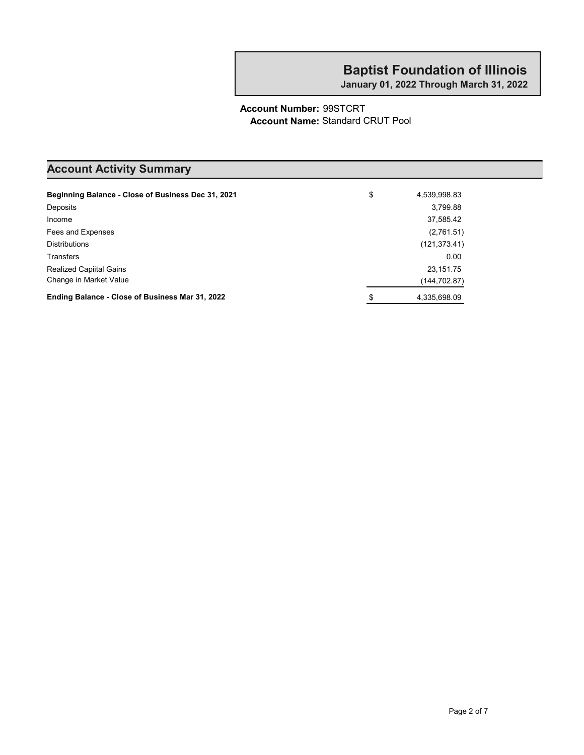January 01, 2022 Through March 31, 2022

#### Account Number: 99STCRT Account Name: Standard CRUT Pool

### Account Activity Summary

| Beginning Balance - Close of Business Dec 31, 2021 | \$<br>4,539,998.83 |
|----------------------------------------------------|--------------------|
| Deposits                                           | 3,799.88           |
| Income                                             | 37,585.42          |
| Fees and Expenses                                  | (2,761.51)         |
| <b>Distributions</b>                               | (121, 373.41)      |
| <b>Transfers</b>                                   | 0.00               |
| <b>Realized Capiital Gains</b>                     | 23, 151. 75        |
| Change in Market Value                             | (144,702.87)       |
| Ending Balance - Close of Business Mar 31, 2022    | \$<br>4,335,698.09 |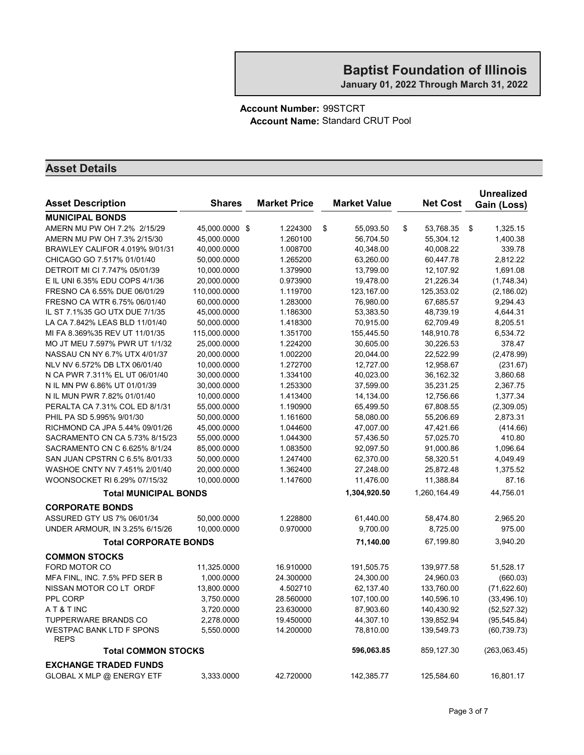#### Account Number: 99STCRT Account Name: Standard CRUT Pool

| <b>Asset Description</b>                       | <b>Shares</b>  | <b>Market Price</b> | <b>Market Value</b> | <b>Net Cost</b> | <b>Unrealized</b><br>Gain (Loss) |
|------------------------------------------------|----------------|---------------------|---------------------|-----------------|----------------------------------|
| <b>MUNICIPAL BONDS</b>                         |                |                     |                     |                 |                                  |
| AMERN MU PW OH 7.2% 2/15/29                    | 45,000.0000 \$ | 1.224300            | \$<br>55,093.50     | \$<br>53,768.35 | \$<br>1,325.15                   |
| AMERN MU PW OH 7.3% 2/15/30                    | 45,000.0000    | 1.260100            | 56,704.50           | 55,304.12       | 1,400.38                         |
| BRAWLEY CALIFOR 4.019% 9/01/31                 | 40,000.0000    | 1.008700            | 40,348.00           | 40,008.22       | 339.78                           |
| CHICAGO GO 7.517% 01/01/40                     | 50,000.0000    | 1.265200            | 63,260.00           | 60,447.78       | 2,812.22                         |
| DETROIT MI CI 7.747% 05/01/39                  | 10,000.0000    | 1.379900            | 13,799.00           | 12,107.92       | 1,691.08                         |
| E IL UNI 6.35% EDU COPS 4/1/36                 | 20,000.0000    | 0.973900            | 19,478.00           | 21,226.34       | (1,748.34)                       |
| FRESNO CA 6.55% DUE 06/01/29                   | 110,000.0000   | 1.119700            | 123,167.00          | 125,353.02      | (2, 186.02)                      |
| FRESNO CA WTR 6.75% 06/01/40                   | 60,000.0000    | 1.283000            | 76,980.00           | 67,685.57       | 9,294.43                         |
| IL ST 7.1%35 GO UTX DUE 7/1/35                 | 45,000.0000    | 1.186300            | 53,383.50           | 48,739.19       | 4,644.31                         |
| LA CA 7.842% LEAS BLD 11/01/40                 | 50,000.0000    | 1.418300            | 70,915.00           | 62,709.49       | 8,205.51                         |
| MI FA 8.369%35 REV UT 11/01/35                 | 115,000.0000   | 1.351700            | 155,445.50          | 148,910.78      | 6,534.72                         |
| MO JT MEU 7.597% PWR UT 1/1/32                 | 25,000.0000    | 1.224200            | 30,605.00           | 30,226.53       | 378.47                           |
| NASSAU CN NY 6.7% UTX 4/01/37                  | 20,000.0000    | 1.002200            | 20,044.00           | 22,522.99       | (2,478.99)                       |
| NLV NV 6.572% DB LTX 06/01/40                  | 10,000.0000    | 1.272700            | 12,727.00           | 12,958.67       | (231.67)                         |
| N CA PWR 7.311% EL UT 06/01/40                 | 30,000.0000    | 1.334100            | 40,023.00           | 36,162.32       | 3,860.68                         |
| N IL MN PW 6.86% UT 01/01/39                   | 30,000.0000    | 1.253300            | 37,599.00           | 35,231.25       | 2,367.75                         |
| N IL MUN PWR 7.82% 01/01/40                    | 10,000.0000    | 1.413400            | 14,134.00           | 12,756.66       | 1,377.34                         |
| PERALTA CA 7.31% COL ED 8/1/31                 | 55,000.0000    | 1.190900            | 65,499.50           | 67,808.55       | (2,309.05)                       |
| PHIL PA SD 5.995% 9/01/30                      | 50,000.0000    | 1.161600            | 58,080.00           | 55,206.69       | 2,873.31                         |
| RICHMOND CA JPA 5.44% 09/01/26                 | 45,000.0000    | 1.044600            | 47,007.00           | 47,421.66       | (414.66)                         |
| SACRAMENTO CN CA 5.73% 8/15/23                 | 55,000.0000    | 1.044300            | 57,436.50           | 57,025.70       | 410.80                           |
| SACRAMENTO CN C 6.625% 8/1/24                  | 85,000.0000    | 1.083500            | 92,097.50           | 91,000.86       | 1,096.64                         |
| SAN JUAN CPSTRN C 6.5% 8/01/33                 | 50,000.0000    | 1.247400            | 62,370.00           | 58,320.51       | 4,049.49                         |
| WASHOE CNTY NV 7.451% 2/01/40                  | 20,000.0000    | 1.362400            | 27,248.00           | 25,872.48       | 1,375.52                         |
| WOONSOCKET RI 6.29% 07/15/32                   | 10,000.0000    | 1.147600            | 11,476.00           | 11,388.84       | 87.16                            |
| <b>Total MUNICIPAL BONDS</b>                   |                |                     | 1,304,920.50        | 1,260,164.49    | 44,756.01                        |
| <b>CORPORATE BONDS</b>                         |                |                     |                     |                 |                                  |
| ASSURED GTY US 7% 06/01/34                     | 50,000.0000    | 1.228800            | 61,440.00           | 58,474.80       | 2,965.20                         |
| UNDER ARMOUR, IN 3.25% 6/15/26                 | 10,000.0000    | 0.970000            | 9,700.00            | 8,725.00        | 975.00                           |
| <b>Total CORPORATE BONDS</b>                   |                |                     | 71,140.00           | 67,199.80       | 3,940.20                         |
| <b>COMMON STOCKS</b>                           |                |                     |                     |                 |                                  |
| FORD MOTOR CO                                  | 11,325.0000    | 16.910000           | 191,505.75          | 139,977.58      | 51,528.17                        |
| MFA FINL, INC. 7.5% PFD SER B                  | 1,000.0000     | 24.300000           | 24,300.00           | 24,960.03       | (660.03)                         |
| NISSAN MOTOR CO LT ORDF                        | 13,800.0000    | 4.502710            | 62,137.40           | 133,760.00      | (71, 622.60)                     |
| PPL CORP                                       | 3,750.0000     | 28.560000           | 107,100.00          | 140,596.10      | (33, 496.10)                     |
| AT&TINC                                        | 3,720.0000     | 23.630000           | 87,903.60           | 140,430.92      | (52, 527.32)                     |
| <b>TUPPERWARE BRANDS CO</b>                    | 2,278.0000     | 19.450000           | 44,307.10           | 139,852.94      | (95, 545.84)                     |
| <b>WESTPAC BANK LTD F SPONS</b><br><b>REPS</b> | 5,550.0000     | 14.200000           | 78,810.00           | 139,549.73      | (60, 739.73)                     |
| <b>Total COMMON STOCKS</b>                     |                |                     | 596,063.85          | 859,127.30      | (263,063.45)                     |
| <b>EXCHANGE TRADED FUNDS</b>                   |                |                     |                     |                 |                                  |
| GLOBAL X MLP @ ENERGY ETF                      | 3,333.0000     | 42.720000           | 142,385.77          | 125,584.60      | 16,801.17                        |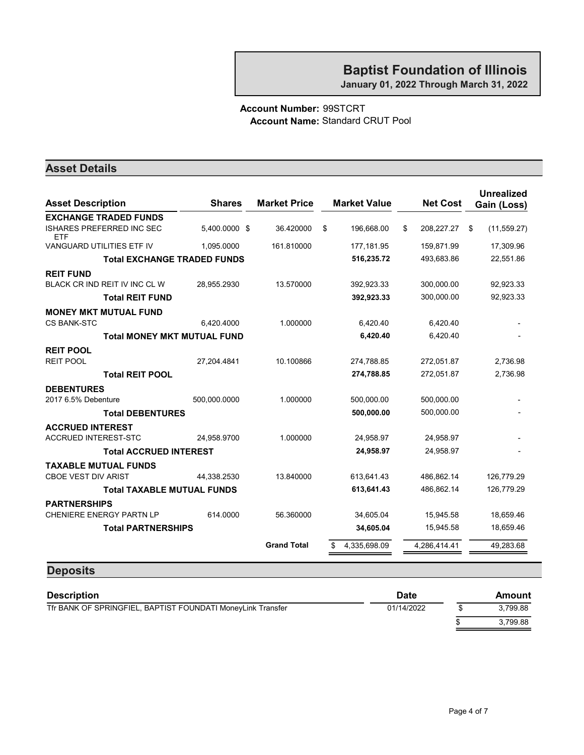January 01, 2022 Through March 31, 2022

#### Account Number: 99STCRT Account Name: Standard CRUT Pool

#### Asset Details

| <b>Asset Description</b>                       | <b>Shares</b> | <b>Market Price</b> | <b>Market Value</b> | <b>Net Cost</b>  | <b>Unrealized</b><br>Gain (Loss) |
|------------------------------------------------|---------------|---------------------|---------------------|------------------|----------------------------------|
| <b>EXCHANGE TRADED FUNDS</b>                   |               |                     |                     |                  |                                  |
| <b>ISHARES PREFERRED INC SEC</b><br><b>ETF</b> | 5.400.0000 \$ | 36.420000           | \$<br>196.668.00    | \$<br>208,227.27 | \$<br>(11, 559.27)               |
| <b>VANGUARD UTILITIES ETF IV</b>               | 1.095.0000    | 161.810000          | 177,181.95          | 159,871.99       | 17,309.96                        |
| <b>Total EXCHANGE TRADED FUNDS</b>             |               |                     | 516,235.72          | 493,683.86       | 22,551.86                        |
| <b>REIT FUND</b>                               |               |                     |                     |                  |                                  |
| BLACK CR IND REIT IV INC CL W                  | 28,955.2930   | 13.570000           | 392.923.33          | 300,000.00       | 92,923.33                        |
| <b>Total REIT FUND</b>                         |               |                     | 392,923.33          | 300,000.00       | 92,923.33                        |
| <b>MONEY MKT MUTUAL FUND</b>                   |               |                     |                     |                  |                                  |
| <b>CS BANK-STC</b>                             | 6,420.4000    | 1.000000            | 6,420.40            | 6,420.40         |                                  |
| <b>Total MONEY MKT MUTUAL FUND</b>             |               |                     | 6,420.40            | 6,420.40         |                                  |
| <b>REIT POOL</b>                               |               |                     |                     |                  |                                  |
| <b>REIT POOL</b>                               | 27,204.4841   | 10.100866           | 274,788.85          | 272,051.87       | 2,736.98                         |
| <b>Total REIT POOL</b>                         |               |                     | 274,788.85          | 272,051.87       | 2,736.98                         |
| <b>DEBENTURES</b>                              |               |                     |                     |                  |                                  |
| 2017 6.5% Debenture                            | 500,000.0000  | 1.000000            | 500,000.00          | 500,000.00       |                                  |
| <b>Total DEBENTURES</b>                        |               |                     | 500,000.00          | 500,000.00       |                                  |
| <b>ACCRUED INTEREST</b>                        |               |                     |                     |                  |                                  |
| <b>ACCRUED INTEREST-STC</b>                    | 24,958.9700   | 1.000000            | 24.958.97           | 24.958.97        |                                  |
| <b>Total ACCRUED INTEREST</b>                  |               |                     | 24,958.97           | 24,958.97        |                                  |
| <b>TAXABLE MUTUAL FUNDS</b>                    |               |                     |                     |                  |                                  |
| <b>CBOE VEST DIV ARIST</b>                     | 44.338.2530   | 13.840000           | 613,641.43          | 486,862.14       | 126,779.29                       |
| <b>Total TAXABLE MUTUAL FUNDS</b>              |               |                     | 613,641.43          | 486,862.14       | 126,779.29                       |
| <b>PARTNERSHIPS</b>                            |               |                     |                     |                  |                                  |
| <b>CHENIERE ENERGY PARTN LP</b>                | 614.0000      | 56.360000           | 34,605.04           | 15,945.58        | 18,659.46                        |
| <b>Total PARTNERSHIPS</b>                      |               |                     | 34,605.04           | 15,945.58        | 18,659.46                        |
|                                                |               | <b>Grand Total</b>  | 4,335,698.09        | 4,286,414.41     | 49,283.68                        |
|                                                |               |                     |                     |                  |                                  |

#### **Deposits**

| <b>Description</b>                                          | <b>Date</b> | Amount   |
|-------------------------------------------------------------|-------------|----------|
| Tfr BANK OF SPRINGFIEL, BAPTIST FOUNDATI MoneyLink Transfer | 01/14/2022  | 3.799.88 |
|                                                             |             | 3.799.88 |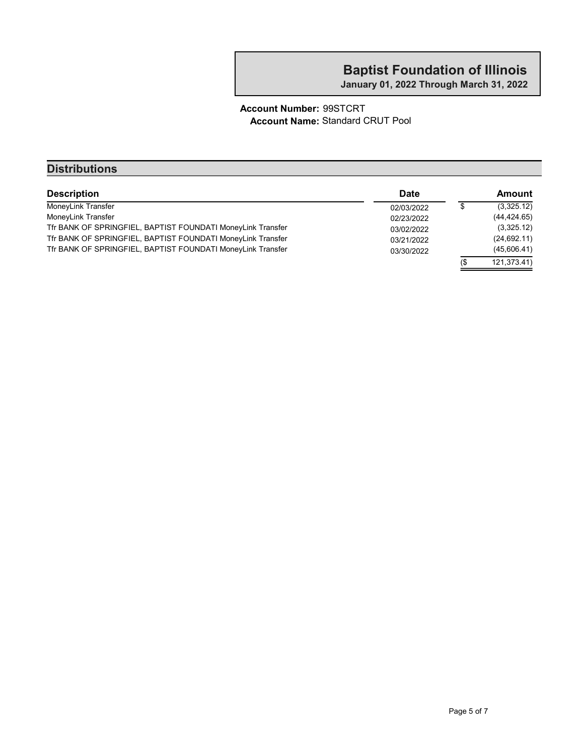January 01, 2022 Through March 31, 2022

#### Account Number: 99STCRT Account Name: Standard CRUT Pool

| <b>Distributions</b>                                        |            |     |               |
|-------------------------------------------------------------|------------|-----|---------------|
| <b>Description</b>                                          | Date       |     | <b>Amount</b> |
| MoneyLink Transfer                                          | 02/03/2022 | \$  | (3,325.12)    |
| MoneyLink Transfer                                          | 02/23/2022 |     | (44, 424.65)  |
| Tfr BANK OF SPRINGFIEL, BAPTIST FOUNDATI MoneyLink Transfer | 03/02/2022 |     | (3,325.12)    |
| Tfr BANK OF SPRINGFIEL, BAPTIST FOUNDATI MoneyLink Transfer | 03/21/2022 |     | (24, 692.11)  |
| Tfr BANK OF SPRINGFIEL, BAPTIST FOUNDATI MoneyLink Transfer | 03/30/2022 |     | (45,606.41)   |
|                                                             |            | 1\$ | 121,373.41)   |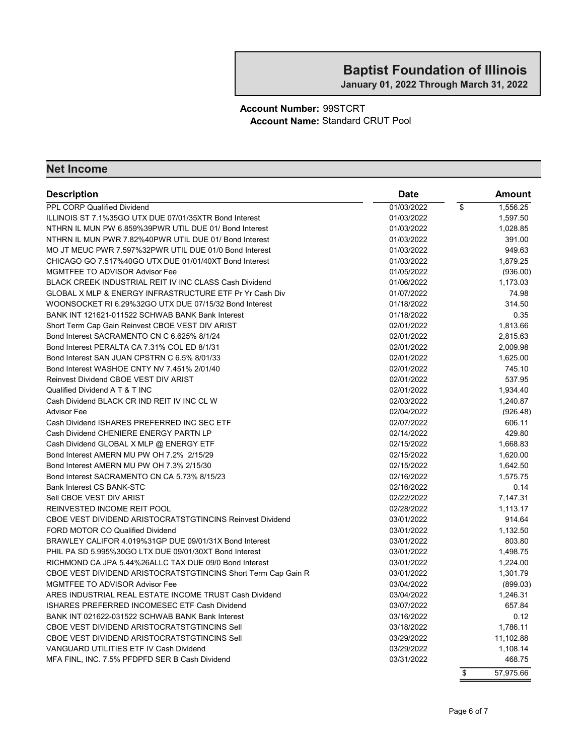January 01, 2022 Through March 31, 2022

#### Account Number: 99STCRT Account Name: Standard CRUT Pool

| <b>Description</b>                                            | <b>Date</b> |                         | Amount    |
|---------------------------------------------------------------|-------------|-------------------------|-----------|
| <b>PPL CORP Qualified Dividend</b>                            | 01/03/2022  | $\overline{\mathbf{S}}$ | 1,556.25  |
| ILLINOIS ST 7.1%35GO UTX DUE 07/01/35XTR Bond Interest        | 01/03/2022  |                         | 1,597.50  |
| NTHRN IL MUN PW 6.859%39PWR UTIL DUE 01/ Bond Interest        | 01/03/2022  |                         | 1,028.85  |
| NTHRN IL MUN PWR 7.82%40PWR UTIL DUE 01/ Bond Interest        | 01/03/2022  |                         | 391.00    |
| MO JT MEUC PWR 7.597%32PWR UTIL DUE 01/0 Bond Interest        | 01/03/2022  |                         | 949.63    |
| CHICAGO GO 7.517%40GO UTX DUE 01/01/40XT Bond Interest        | 01/03/2022  |                         | 1,879.25  |
| MGMTFEE TO ADVISOR Advisor Fee                                | 01/05/2022  |                         | (936.00)  |
| BLACK CREEK INDUSTRIAL REIT IV INC CLASS Cash Dividend        | 01/06/2022  |                         | 1,173.03  |
| GLOBAL X MLP & ENERGY INFRASTRUCTURE ETF Pr Yr Cash Div       | 01/07/2022  |                         | 74.98     |
| WOONSOCKET RI 6.29%32GO UTX DUE 07/15/32 Bond Interest        | 01/18/2022  |                         | 314.50    |
| BANK INT 121621-011522 SCHWAB BANK Bank Interest              | 01/18/2022  |                         | 0.35      |
| Short Term Cap Gain Reinvest CBOE VEST DIV ARIST              | 02/01/2022  |                         | 1,813.66  |
| Bond Interest SACRAMENTO CN C 6.625% 8/1/24                   | 02/01/2022  |                         | 2,815.63  |
| Bond Interest PERALTA CA 7.31% COL ED 8/1/31                  | 02/01/2022  |                         | 2,009.98  |
| Bond Interest SAN JUAN CPSTRN C 6.5% 8/01/33                  | 02/01/2022  |                         | 1,625.00  |
| Bond Interest WASHOE CNTY NV 7.451% 2/01/40                   | 02/01/2022  |                         | 745.10    |
| Reinvest Dividend CBOE VEST DIV ARIST                         | 02/01/2022  |                         | 537.95    |
| Qualified Dividend A T & T INC                                | 02/01/2022  |                         | 1,934.40  |
| Cash Dividend BLACK CR IND REIT IV INC CL W                   | 02/03/2022  |                         | 1,240.87  |
| <b>Advisor Fee</b>                                            | 02/04/2022  |                         | (926.48)  |
| Cash Dividend ISHARES PREFERRED INC SEC ETF                   | 02/07/2022  |                         | 606.11    |
| Cash Dividend CHENIERE ENERGY PARTN LP                        | 02/14/2022  |                         | 429.80    |
| Cash Dividend GLOBAL X MLP @ ENERGY ETF                       | 02/15/2022  |                         | 1,668.83  |
| Bond Interest AMERN MU PW OH 7.2% 2/15/29                     | 02/15/2022  |                         | 1,620.00  |
| Bond Interest AMERN MU PW OH 7.3% 2/15/30                     | 02/15/2022  |                         | 1,642.50  |
| Bond Interest SACRAMENTO CN CA 5.73% 8/15/23                  | 02/16/2022  |                         | 1,575.75  |
| <b>Bank Interest CS BANK-STC</b>                              | 02/16/2022  |                         | 0.14      |
| Sell CBOE VEST DIV ARIST                                      | 02/22/2022  |                         | 7,147.31  |
| REINVESTED INCOME REIT POOL                                   | 02/28/2022  |                         | 1,113.17  |
| CBOE VEST DIVIDEND ARISTOCRATSTGTINCINS Reinvest Dividend     | 03/01/2022  |                         | 914.64    |
| FORD MOTOR CO Qualified Dividend                              | 03/01/2022  |                         | 1,132.50  |
| BRAWLEY CALIFOR 4.019%31GP DUE 09/01/31X Bond Interest        | 03/01/2022  |                         | 803.80    |
| PHIL PA SD 5.995%30GO LTX DUE 09/01/30XT Bond Interest        | 03/01/2022  |                         | 1,498.75  |
| RICHMOND CA JPA 5.44%26ALLC TAX DUE 09/0 Bond Interest        | 03/01/2022  |                         | 1,224.00  |
| CBOE VEST DIVIDEND ARISTOCRATSTGTINCINS Short Term Cap Gain R | 03/01/2022  |                         | 1,301.79  |
| MGMTFEE TO ADVISOR Advisor Fee                                | 03/04/2022  |                         | (899.03)  |
| ARES INDUSTRIAL REAL ESTATE INCOME TRUST Cash Dividend        | 03/04/2022  |                         | 1,246.31  |
| ISHARES PREFERRED INCOMESEC ETF Cash Dividend                 | 03/07/2022  |                         | 657.84    |
| BANK INT 021622-031522 SCHWAB BANK Bank Interest              | 03/16/2022  |                         | 0.12      |
| CBOE VEST DIVIDEND ARISTOCRATSTGTINCINS Sell                  | 03/18/2022  |                         | 1,786.11  |
| CBOE VEST DIVIDEND ARISTOCRATSTGTINCINS Sell                  | 03/29/2022  |                         | 11,102.88 |
| VANGUARD UTILITIES ETF IV Cash Dividend                       | 03/29/2022  |                         | 1,108.14  |
| MFA FINL, INC. 7.5% PFDPFD SER B Cash Dividend                | 03/31/2022  |                         | 468.75    |
|                                                               |             | \$                      | 57,975.66 |